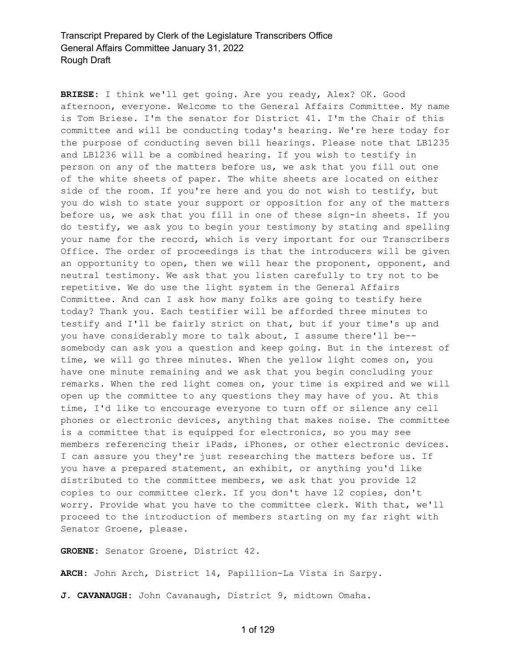**BRIESE:** I think we'll get going. Are you ready, Alex? OK. Good afternoon, everyone. Welcome to the General Affairs Committee. My name is Tom Briese. I'm the senator for District 41. I'm the Chair of this committee and will be conducting today's hearing. We're here today for the purpose of conducting seven bill hearings. Please note that LB1235 and LB1236 will be a combined hearing. If you wish to testify in person on any of the matters before us, we ask that you fill out one of the white sheets of paper. The white sheets are located on either side of the room. If you're here and you do not wish to testify, but you do wish to state your support or opposition for any of the matters before us, we ask that you fill in one of these sign-in sheets. If you do testify, we ask you to begin your testimony by stating and spelling your name for the record, which is very important for our Transcribers Office. The order of proceedings is that the introducers will be given an opportunity to open, then we will hear the proponent, opponent, and neutral testimony. We ask that you listen carefully to try not to be repetitive. We do use the light system in the General Affairs Committee. And can I ask how many folks are going to testify here today? Thank you. Each testifier will be afforded three minutes to testify and I'll be fairly strict on that, but if your time's up and you have considerably more to talk about, I assume there'll be- somebody can ask you a question and keep going. But in the interest of time, we will go three minutes. When the yellow light comes on, you have one minute remaining and we ask that you begin concluding your remarks. When the red light comes on, your time is expired and we will open up the committee to any questions they may have of you. At this time, I'd like to encourage everyone to turn off or silence any cell phones or electronic devices, anything that makes noise. The committee is a committee that is equipped for electronics, so you may see members referencing their iPads, iPhones, or other electronic devices. I can assure you they're just researching the matters before us. If you have a prepared statement, an exhibit, or anything you'd like distributed to the committee members, we ask that you provide 12 copies to our committee clerk. If you don't have 12 copies, don't worry. Provide what you have to the committee clerk. With that, we'll proceed to the introduction of members starting on my far right with Senator Groene, please.

**GROENE:** Senator Groene, District 42.

**ARCH:** John Arch, District 14, Papillion-La Vista in Sarpy.

**J. CAVANAUGH:** John Cavanaugh, District 9, midtown Omaha.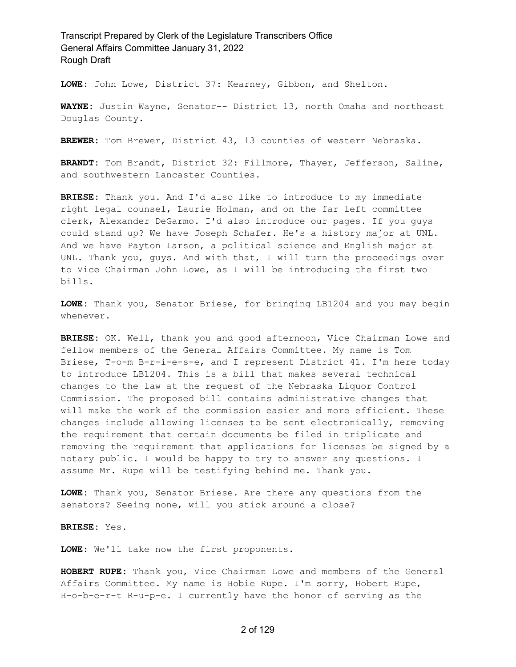**LOWE:** John Lowe, District 37: Kearney, Gibbon, and Shelton.

**WAYNE:** Justin Wayne, Senator-- District 13, north Omaha and northeast Douglas County.

**BREWER:** Tom Brewer, District 43, 13 counties of western Nebraska.

**BRANDT:** Tom Brandt, District 32: Fillmore, Thayer, Jefferson, Saline, and southwestern Lancaster Counties.

**BRIESE:** Thank you. And I'd also like to introduce to my immediate right legal counsel, Laurie Holman, and on the far left committee clerk, Alexander DeGarmo. I'd also introduce our pages. If you guys could stand up? We have Joseph Schafer. He's a history major at UNL. And we have Payton Larson, a political science and English major at UNL. Thank you, guys. And with that, I will turn the proceedings over to Vice Chairman John Lowe, as I will be introducing the first two bills.

**LOWE:** Thank you, Senator Briese, for bringing LB1204 and you may begin whenever.

**BRIESE:** OK. Well, thank you and good afternoon, Vice Chairman Lowe and fellow members of the General Affairs Committee. My name is Tom Briese, T-o-m B-r-i-e-s-e, and I represent District 41. I'm here today to introduce LB1204. This is a bill that makes several technical changes to the law at the request of the Nebraska Liquor Control Commission. The proposed bill contains administrative changes that will make the work of the commission easier and more efficient. These changes include allowing licenses to be sent electronically, removing the requirement that certain documents be filed in triplicate and removing the requirement that applications for licenses be signed by a notary public. I would be happy to try to answer any questions. I assume Mr. Rupe will be testifying behind me. Thank you.

**LOWE:** Thank you, Senator Briese. Are there any questions from the senators? Seeing none, will you stick around a close?

#### **BRIESE:** Yes.

**LOWE:** We'll take now the first proponents.

**HOBERT RUPE:** Thank you, Vice Chairman Lowe and members of the General Affairs Committee. My name is Hobie Rupe. I'm sorry, Hobert Rupe, H-o-b-e-r-t R-u-p-e. I currently have the honor of serving as the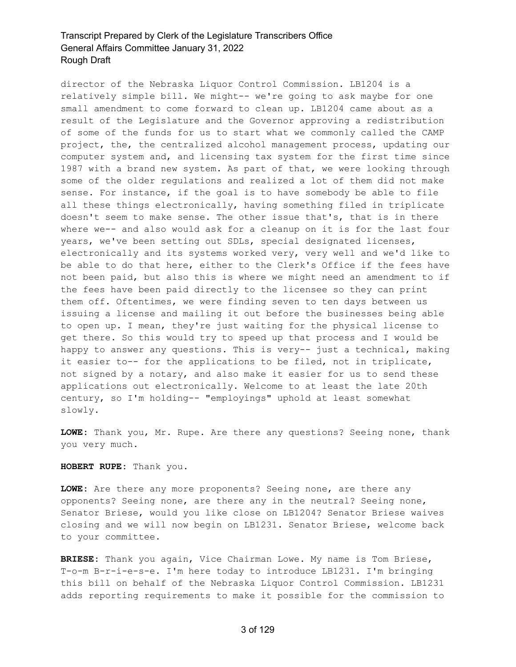director of the Nebraska Liquor Control Commission. LB1204 is a relatively simple bill. We might-- we're going to ask maybe for one small amendment to come forward to clean up. LB1204 came about as a result of the Legislature and the Governor approving a redistribution of some of the funds for us to start what we commonly called the CAMP project, the, the centralized alcohol management process, updating our computer system and, and licensing tax system for the first time since 1987 with a brand new system. As part of that, we were looking through some of the older regulations and realized a lot of them did not make sense. For instance, if the goal is to have somebody be able to file all these things electronically, having something filed in triplicate doesn't seem to make sense. The other issue that's, that is in there where we-- and also would ask for a cleanup on it is for the last four years, we've been setting out SDLs, special designated licenses, electronically and its systems worked very, very well and we'd like to be able to do that here, either to the Clerk's Office if the fees have not been paid, but also this is where we might need an amendment to if the fees have been paid directly to the licensee so they can print them off. Oftentimes, we were finding seven to ten days between us issuing a license and mailing it out before the businesses being able to open up. I mean, they're just waiting for the physical license to get there. So this would try to speed up that process and I would be happy to answer any questions. This is very-- just a technical, making it easier to-- for the applications to be filed, not in triplicate, not signed by a notary, and also make it easier for us to send these applications out electronically. Welcome to at least the late 20th century, so I'm holding-- "employings" uphold at least somewhat slowly.

**LOWE:** Thank you, Mr. Rupe. Are there any questions? Seeing none, thank you very much.

**HOBERT RUPE:** Thank you.

**LOWE:** Are there any more proponents? Seeing none, are there any opponents? Seeing none, are there any in the neutral? Seeing none, Senator Briese, would you like close on LB1204? Senator Briese waives closing and we will now begin on LB1231. Senator Briese, welcome back to your committee.

**BRIESE:** Thank you again, Vice Chairman Lowe. My name is Tom Briese, T-o-m B-r-i-e-s-e. I'm here today to introduce LB1231. I'm bringing this bill on behalf of the Nebraska Liquor Control Commission. LB1231 adds reporting requirements to make it possible for the commission to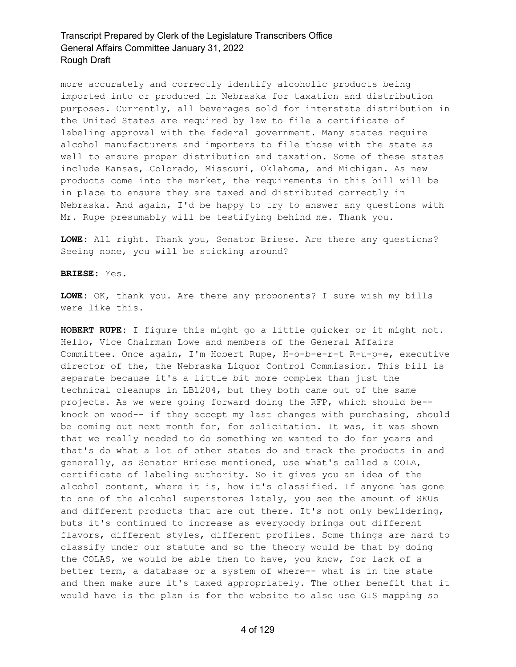more accurately and correctly identify alcoholic products being imported into or produced in Nebraska for taxation and distribution purposes. Currently, all beverages sold for interstate distribution in the United States are required by law to file a certificate of labeling approval with the federal government. Many states require alcohol manufacturers and importers to file those with the state as well to ensure proper distribution and taxation. Some of these states include Kansas, Colorado, Missouri, Oklahoma, and Michigan. As new products come into the market, the requirements in this bill will be in place to ensure they are taxed and distributed correctly in Nebraska. And again, I'd be happy to try to answer any questions with Mr. Rupe presumably will be testifying behind me. Thank you.

**LOWE:** All right. Thank you, Senator Briese. Are there any questions? Seeing none, you will be sticking around?

**BRIESE:** Yes.

**LOWE:** OK, thank you. Are there any proponents? I sure wish my bills were like this.

**HOBERT RUPE:** I figure this might go a little quicker or it might not. Hello, Vice Chairman Lowe and members of the General Affairs Committee. Once again, I'm Hobert Rupe, H-o-b-e-r-t R-u-p-e, executive director of the, the Nebraska Liquor Control Commission. This bill is separate because it's a little bit more complex than just the technical cleanups in LB1204, but they both came out of the same projects. As we were going forward doing the RFP, which should be- knock on wood-- if they accept my last changes with purchasing, should be coming out next month for, for solicitation. It was, it was shown that we really needed to do something we wanted to do for years and that's do what a lot of other states do and track the products in and generally, as Senator Briese mentioned, use what's called a COLA, certificate of labeling authority. So it gives you an idea of the alcohol content, where it is, how it's classified. If anyone has gone to one of the alcohol superstores lately, you see the amount of SKUs and different products that are out there. It's not only bewildering, buts it's continued to increase as everybody brings out different flavors, different styles, different profiles. Some things are hard to classify under our statute and so the theory would be that by doing the COLAS, we would be able then to have, you know, for lack of a better term, a database or a system of where-- what is in the state and then make sure it's taxed appropriately. The other benefit that it would have is the plan is for the website to also use GIS mapping so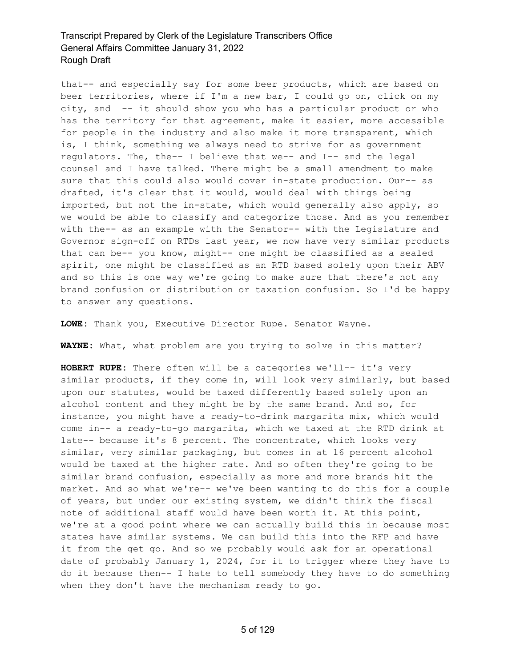that-- and especially say for some beer products, which are based on beer territories, where if I'm a new bar, I could go on, click on my city, and I-- it should show you who has a particular product or who has the territory for that agreement, make it easier, more accessible for people in the industry and also make it more transparent, which is, I think, something we always need to strive for as government regulators. The, the-- I believe that we-- and I-- and the legal counsel and I have talked. There might be a small amendment to make sure that this could also would cover in-state production. Our-- as drafted, it's clear that it would, would deal with things being imported, but not the in-state, which would generally also apply, so we would be able to classify and categorize those. And as you remember with the-- as an example with the Senator-- with the Legislature and Governor sign-off on RTDs last year, we now have very similar products that can be-- you know, might-- one might be classified as a sealed spirit, one might be classified as an RTD based solely upon their ABV and so this is one way we're going to make sure that there's not any brand confusion or distribution or taxation confusion. So I'd be happy to answer any questions.

**LOWE:** Thank you, Executive Director Rupe. Senator Wayne.

**WAYNE:** What, what problem are you trying to solve in this matter?

**HOBERT RUPE:** There often will be a categories we'll-- it's very similar products, if they come in, will look very similarly, but based upon our statutes, would be taxed differently based solely upon an alcohol content and they might be by the same brand. And so, for instance, you might have a ready-to-drink margarita mix, which would come in-- a ready-to-go margarita, which we taxed at the RTD drink at late-- because it's 8 percent. The concentrate, which looks very similar, very similar packaging, but comes in at 16 percent alcohol would be taxed at the higher rate. And so often they're going to be similar brand confusion, especially as more and more brands hit the market. And so what we're-- we've been wanting to do this for a couple of years, but under our existing system, we didn't think the fiscal note of additional staff would have been worth it. At this point, we're at a good point where we can actually build this in because most states have similar systems. We can build this into the RFP and have it from the get go. And so we probably would ask for an operational date of probably January 1, 2024, for it to trigger where they have to do it because then-- I hate to tell somebody they have to do something when they don't have the mechanism ready to go.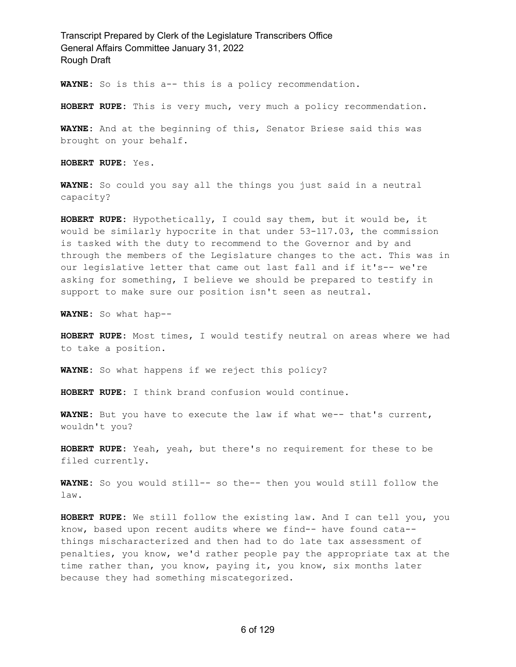**WAYNE:** So is this a-- this is a policy recommendation.

**HOBERT RUPE:** This is very much, very much a policy recommendation.

**WAYNE:** And at the beginning of this, Senator Briese said this was brought on your behalf.

**HOBERT RUPE:** Yes.

**WAYNE:** So could you say all the things you just said in a neutral capacity?

**HOBERT RUPE:** Hypothetically, I could say them, but it would be, it would be similarly hypocrite in that under 53-117.03, the commission is tasked with the duty to recommend to the Governor and by and through the members of the Legislature changes to the act. This was in our legislative letter that came out last fall and if it's-- we're asking for something, I believe we should be prepared to testify in support to make sure our position isn't seen as neutral.

**WAYNE:** So what hap--

**HOBERT RUPE:** Most times, I would testify neutral on areas where we had to take a position.

**WAYNE:** So what happens if we reject this policy?

**HOBERT RUPE:** I think brand confusion would continue.

**WAYNE:** But you have to execute the law if what we-- that's current, wouldn't you?

**HOBERT RUPE:** Yeah, yeah, but there's no requirement for these to be filed currently.

**WAYNE:** So you would still-- so the-- then you would still follow the law.

**HOBERT RUPE:** We still follow the existing law. And I can tell you, you know, based upon recent audits where we find-- have found cata- things mischaracterized and then had to do late tax assessment of penalties, you know, we'd rather people pay the appropriate tax at the time rather than, you know, paying it, you know, six months later because they had something miscategorized.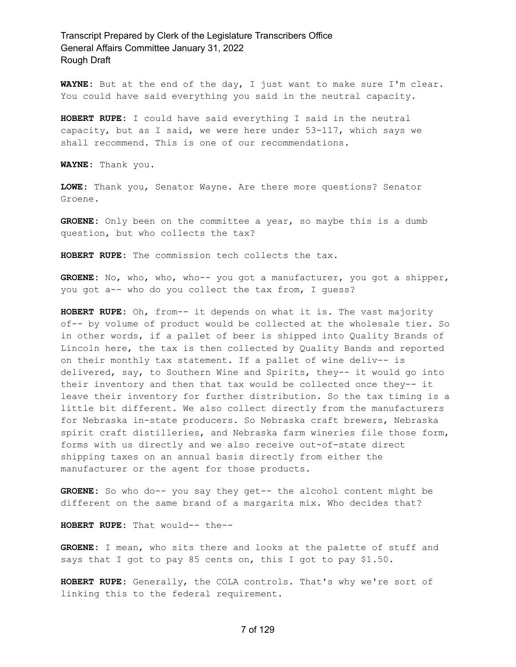**WAYNE:** But at the end of the day, I just want to make sure I'm clear. You could have said everything you said in the neutral capacity.

**HOBERT RUPE:** I could have said everything I said in the neutral capacity, but as I said, we were here under 53-117, which says we shall recommend. This is one of our recommendations.

**WAYNE:** Thank you.

**LOWE:** Thank you, Senator Wayne. Are there more questions? Senator Groene.

**GROENE:** Only been on the committee a year, so maybe this is a dumb question, but who collects the tax?

**HOBERT RUPE:** The commission tech collects the tax.

**GROENE:** No, who, who, who-- you got a manufacturer, you got a shipper, you got a-- who do you collect the tax from, I guess?

**HOBERT RUPE:** Oh, from-- it depends on what it is. The vast majority of-- by volume of product would be collected at the wholesale tier. So in other words, if a pallet of beer is shipped into Quality Brands of Lincoln here, the tax is then collected by Quality Bands and reported on their monthly tax statement. If a pallet of wine deliv-- is delivered, say, to Southern Wine and Spirits, they-- it would go into their inventory and then that tax would be collected once they-- it leave their inventory for further distribution. So the tax timing is a little bit different. We also collect directly from the manufacturers for Nebraska in-state producers. So Nebraska craft brewers, Nebraska spirit craft distilleries, and Nebraska farm wineries file those form, forms with us directly and we also receive out-of-state direct shipping taxes on an annual basis directly from either the manufacturer or the agent for those products.

**GROENE:** So who do-- you say they get-- the alcohol content might be different on the same brand of a margarita mix. Who decides that?

**HOBERT RUPE:** That would-- the--

**GROENE:** I mean, who sits there and looks at the palette of stuff and says that I got to pay 85 cents on, this I got to pay \$1.50.

**HOBERT RUPE:** Generally, the COLA controls. That's why we're sort of linking this to the federal requirement.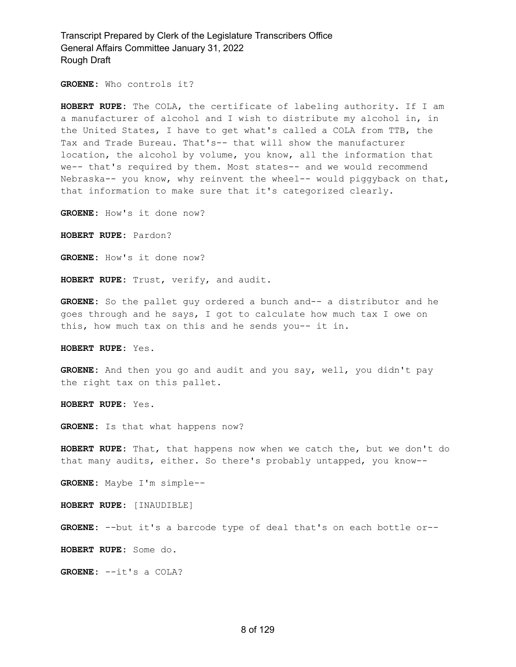**GROENE:** Who controls it?

**HOBERT RUPE:** The COLA, the certificate of labeling authority. If I am a manufacturer of alcohol and I wish to distribute my alcohol in, in the United States, I have to get what's called a COLA from TTB, the Tax and Trade Bureau. That's-- that will show the manufacturer location, the alcohol by volume, you know, all the information that we-- that's required by them. Most states-- and we would recommend Nebraska-- you know, why reinvent the wheel-- would piggyback on that, that information to make sure that it's categorized clearly.

**GROENE:** How's it done now?

**HOBERT RUPE:** Pardon?

**GROENE:** How's it done now?

**HOBERT RUPE:** Trust, verify, and audit.

**GROENE:** So the pallet guy ordered a bunch and-- a distributor and he goes through and he says, I got to calculate how much tax I owe on this, how much tax on this and he sends you-- it in.

**HOBERT RUPE:** Yes.

**GROENE:** And then you go and audit and you say, well, you didn't pay the right tax on this pallet.

**HOBERT RUPE:** Yes.

**GROENE:** Is that what happens now?

**HOBERT RUPE:** That, that happens now when we catch the, but we don't do that many audits, either. So there's probably untapped, you know--

**GROENE:** Maybe I'm simple--

**HOBERT RUPE:** [INAUDIBLE]

**GROENE:** --but it's a barcode type of deal that's on each bottle or--

**HOBERT RUPE:** Some do.

**GROENE:** --it's a COLA?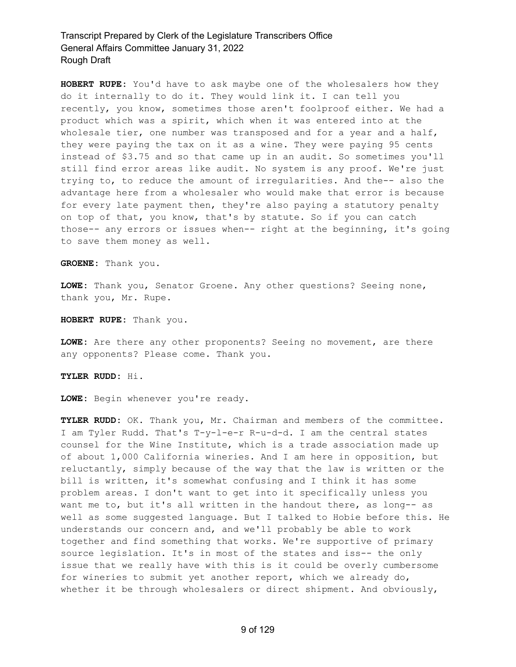**HOBERT RUPE:** You'd have to ask maybe one of the wholesalers how they do it internally to do it. They would link it. I can tell you recently, you know, sometimes those aren't foolproof either. We had a product which was a spirit, which when it was entered into at the wholesale tier, one number was transposed and for a year and a half, they were paying the tax on it as a wine. They were paying 95 cents instead of \$3.75 and so that came up in an audit. So sometimes you'll still find error areas like audit. No system is any proof. We're just trying to, to reduce the amount of irregularities. And the-- also the advantage here from a wholesaler who would make that error is because for every late payment then, they're also paying a statutory penalty on top of that, you know, that's by statute. So if you can catch those-- any errors or issues when-- right at the beginning, it's going to save them money as well.

**GROENE:** Thank you.

**LOWE:** Thank you, Senator Groene. Any other questions? Seeing none, thank you, Mr. Rupe.

**HOBERT RUPE:** Thank you.

**LOWE:** Are there any other proponents? Seeing no movement, are there any opponents? Please come. Thank you.

**TYLER RUDD:** Hi.

**LOWE:** Begin whenever you're ready.

**TYLER RUDD:** OK. Thank you, Mr. Chairman and members of the committee. I am Tyler Rudd. That's T-y-l-e-r R-u-d-d. I am the central states counsel for the Wine Institute, which is a trade association made up of about 1,000 California wineries. And I am here in opposition, but reluctantly, simply because of the way that the law is written or the bill is written, it's somewhat confusing and I think it has some problem areas. I don't want to get into it specifically unless you want me to, but it's all written in the handout there, as long-- as well as some suggested language. But I talked to Hobie before this. He understands our concern and, and we'll probably be able to work together and find something that works. We're supportive of primary source legislation. It's in most of the states and iss-- the only issue that we really have with this is it could be overly cumbersome for wineries to submit yet another report, which we already do, whether it be through wholesalers or direct shipment. And obviously,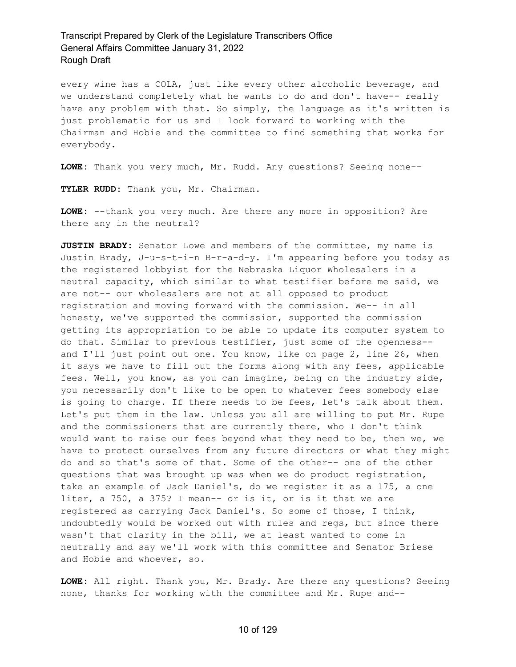every wine has a COLA, just like every other alcoholic beverage, and we understand completely what he wants to do and don't have-- really have any problem with that. So simply, the language as it's written is just problematic for us and I look forward to working with the Chairman and Hobie and the committee to find something that works for everybody.

**LOWE:** Thank you very much, Mr. Rudd. Any questions? Seeing none--

**TYLER RUDD:** Thank you, Mr. Chairman.

**LOWE:** --thank you very much. Are there any more in opposition? Are there any in the neutral?

**JUSTIN BRADY:** Senator Lowe and members of the committee, my name is Justin Brady, J-u-s-t-i-n B-r-a-d-y. I'm appearing before you today as the registered lobbyist for the Nebraska Liquor Wholesalers in a neutral capacity, which similar to what testifier before me said, we are not-- our wholesalers are not at all opposed to product registration and moving forward with the commission. We-- in all honesty, we've supported the commission, supported the commission getting its appropriation to be able to update its computer system to do that. Similar to previous testifier, just some of the openness- and I'll just point out one. You know, like on page 2, line 26, when it says we have to fill out the forms along with any fees, applicable fees. Well, you know, as you can imagine, being on the industry side, you necessarily don't like to be open to whatever fees somebody else is going to charge. If there needs to be fees, let's talk about them. Let's put them in the law. Unless you all are willing to put Mr. Rupe and the commissioners that are currently there, who I don't think would want to raise our fees beyond what they need to be, then we, we have to protect ourselves from any future directors or what they might do and so that's some of that. Some of the other-- one of the other questions that was brought up was when we do product registration, take an example of Jack Daniel's, do we register it as a 175, a one liter, a 750, a 375? I mean-- or is it, or is it that we are registered as carrying Jack Daniel's. So some of those, I think, undoubtedly would be worked out with rules and regs, but since there wasn't that clarity in the bill, we at least wanted to come in neutrally and say we'll work with this committee and Senator Briese and Hobie and whoever, so.

**LOWE:** All right. Thank you, Mr. Brady. Are there any questions? Seeing none, thanks for working with the committee and Mr. Rupe and--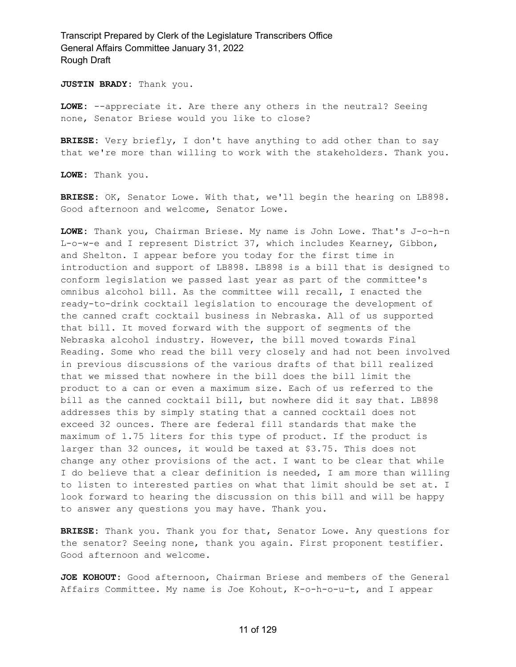**JUSTIN BRADY:** Thank you.

**LOWE:** --appreciate it. Are there any others in the neutral? Seeing none, Senator Briese would you like to close?

**BRIESE:** Very briefly, I don't have anything to add other than to say that we're more than willing to work with the stakeholders. Thank you.

**LOWE:** Thank you.

**BRIESE:** OK, Senator Lowe. With that, we'll begin the hearing on LB898. Good afternoon and welcome, Senator Lowe.

**LOWE:** Thank you, Chairman Briese. My name is John Lowe. That's J-o-h-n L-o-w-e and I represent District 37, which includes Kearney, Gibbon, and Shelton. I appear before you today for the first time in introduction and support of LB898. LB898 is a bill that is designed to conform legislation we passed last year as part of the committee's omnibus alcohol bill. As the committee will recall, I enacted the ready-to-drink cocktail legislation to encourage the development of the canned craft cocktail business in Nebraska. All of us supported that bill. It moved forward with the support of segments of the Nebraska alcohol industry. However, the bill moved towards Final Reading. Some who read the bill very closely and had not been involved in previous discussions of the various drafts of that bill realized that we missed that nowhere in the bill does the bill limit the product to a can or even a maximum size. Each of us referred to the bill as the canned cocktail bill, but nowhere did it say that. LB898 addresses this by simply stating that a canned cocktail does not exceed 32 ounces. There are federal fill standards that make the maximum of 1.75 liters for this type of product. If the product is larger than 32 ounces, it would be taxed at \$3.75. This does not change any other provisions of the act. I want to be clear that while I do believe that a clear definition is needed, I am more than willing to listen to interested parties on what that limit should be set at. I look forward to hearing the discussion on this bill and will be happy to answer any questions you may have. Thank you.

**BRIESE:** Thank you. Thank you for that, Senator Lowe. Any questions for the senator? Seeing none, thank you again. First proponent testifier. Good afternoon and welcome.

**JOE KOHOUT:** Good afternoon, Chairman Briese and members of the General Affairs Committee. My name is Joe Kohout, K-o-h-o-u-t, and I appear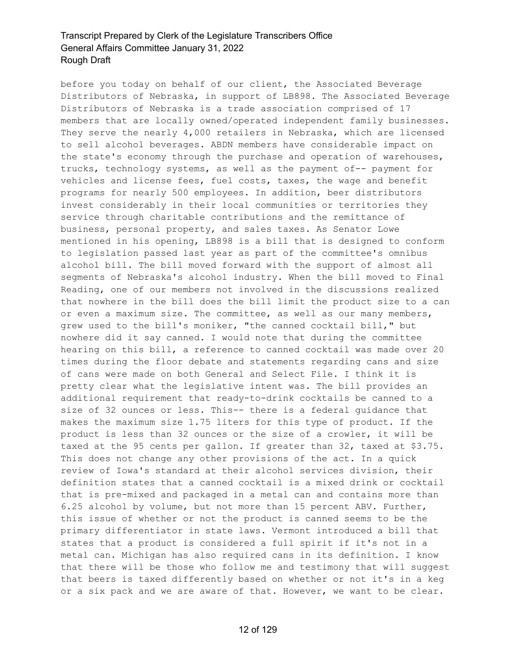before you today on behalf of our client, the Associated Beverage Distributors of Nebraska, in support of LB898. The Associated Beverage Distributors of Nebraska is a trade association comprised of 17 members that are locally owned/operated independent family businesses. They serve the nearly 4,000 retailers in Nebraska, which are licensed to sell alcohol beverages. ABDN members have considerable impact on the state's economy through the purchase and operation of warehouses, trucks, technology systems, as well as the payment of-- payment for vehicles and license fees, fuel costs, taxes, the wage and benefit programs for nearly 500 employees. In addition, beer distributors invest considerably in their local communities or territories they service through charitable contributions and the remittance of business, personal property, and sales taxes. As Senator Lowe mentioned in his opening, LB898 is a bill that is designed to conform to legislation passed last year as part of the committee's omnibus alcohol bill. The bill moved forward with the support of almost all segments of Nebraska's alcohol industry. When the bill moved to Final Reading, one of our members not involved in the discussions realized that nowhere in the bill does the bill limit the product size to a can or even a maximum size. The committee, as well as our many members, grew used to the bill's moniker, "the canned cocktail bill," but nowhere did it say canned. I would note that during the committee hearing on this bill, a reference to canned cocktail was made over 20 times during the floor debate and statements regarding cans and size of cans were made on both General and Select File. I think it is pretty clear what the legislative intent was. The bill provides an additional requirement that ready-to-drink cocktails be canned to a size of 32 ounces or less. This-- there is a federal guidance that makes the maximum size 1.75 liters for this type of product. If the product is less than 32 ounces or the size of a crowler, it will be taxed at the 95 cents per gallon. If greater than 32, taxed at \$3.75. This does not change any other provisions of the act. In a quick review of Iowa's standard at their alcohol services division, their definition states that a canned cocktail is a mixed drink or cocktail that is pre-mixed and packaged in a metal can and contains more than 6.25 alcohol by volume, but not more than 15 percent ABV. Further, this issue of whether or not the product is canned seems to be the primary differentiator in state laws. Vermont introduced a bill that states that a product is considered a full spirit if it's not in a metal can. Michigan has also required cans in its definition. I know that there will be those who follow me and testimony that will suggest that beers is taxed differently based on whether or not it's in a keg or a six pack and we are aware of that. However, we want to be clear.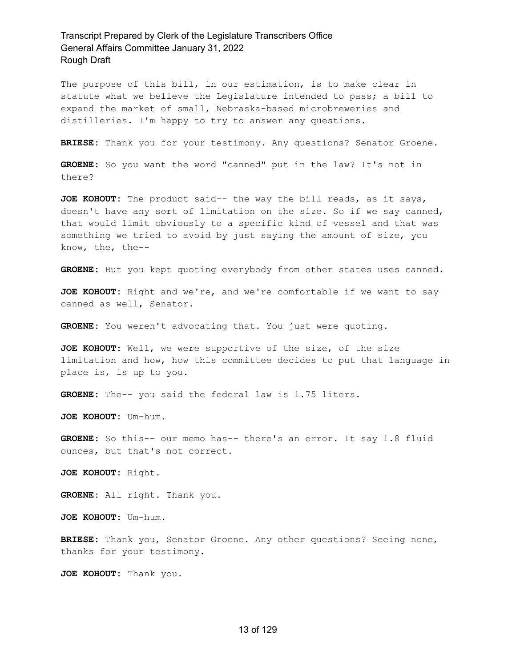The purpose of this bill, in our estimation, is to make clear in statute what we believe the Legislature intended to pass; a bill to expand the market of small, Nebraska-based microbreweries and distilleries. I'm happy to try to answer any questions.

**BRIESE:** Thank you for your testimony. Any questions? Senator Groene.

**GROENE:** So you want the word "canned" put in the law? It's not in there?

**JOE KOHOUT:** The product said-- the way the bill reads, as it says, doesn't have any sort of limitation on the size. So if we say canned, that would limit obviously to a specific kind of vessel and that was something we tried to avoid by just saying the amount of size, you know, the, the--

**GROENE:** But you kept quoting everybody from other states uses canned.

**JOE KOHOUT:** Right and we're, and we're comfortable if we want to say canned as well, Senator.

**GROENE:** You weren't advocating that. You just were quoting.

**JOE KOHOUT:** Well, we were supportive of the size, of the size limitation and how, how this committee decides to put that language in place is, is up to you.

**GROENE:** The-- you said the federal law is 1.75 liters.

**JOE KOHOUT:** Um-hum.

**GROENE:** So this-- our memo has-- there's an error. It say 1.8 fluid ounces, but that's not correct.

**JOE KOHOUT:** Right.

**GROENE:** All right. Thank you.

**JOE KOHOUT:** Um-hum.

**BRIESE:** Thank you, Senator Groene. Any other questions? Seeing none, thanks for your testimony.

**JOE KOHOUT:** Thank you.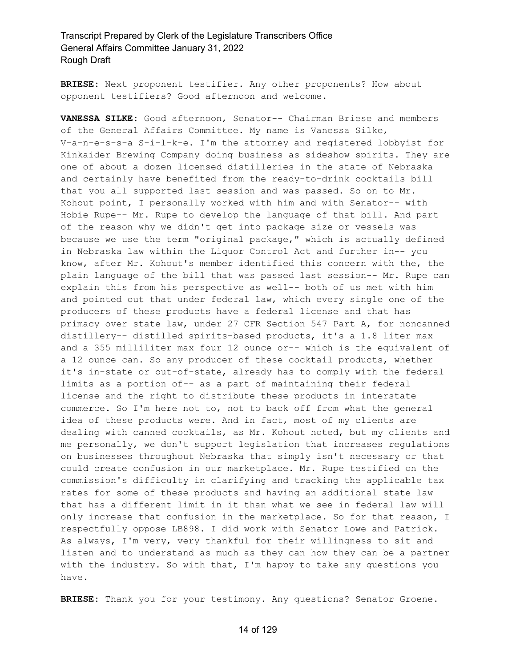**BRIESE:** Next proponent testifier. Any other proponents? How about opponent testifiers? Good afternoon and welcome.

**VANESSA SILKE:** Good afternoon, Senator-- Chairman Briese and members of the General Affairs Committee. My name is Vanessa Silke, V-a-n-e-s-s-a S-i-l-k-e. I'm the attorney and registered lobbyist for Kinkaider Brewing Company doing business as sideshow spirits. They are one of about a dozen licensed distilleries in the state of Nebraska and certainly have benefited from the ready-to-drink cocktails bill that you all supported last session and was passed. So on to Mr. Kohout point, I personally worked with him and with Senator-- with Hobie Rupe-- Mr. Rupe to develop the language of that bill. And part of the reason why we didn't get into package size or vessels was because we use the term "original package," which is actually defined in Nebraska law within the Liquor Control Act and further in-- you know, after Mr. Kohout's member identified this concern with the, the plain language of the bill that was passed last session-- Mr. Rupe can explain this from his perspective as well-- both of us met with him and pointed out that under federal law, which every single one of the producers of these products have a federal license and that has primacy over state law, under 27 CFR Section 547 Part A, for noncanned distillery-- distilled spirits-based products, it's a 1.8 liter max and a 355 milliliter max four 12 ounce or-- which is the equivalent of a 12 ounce can. So any producer of these cocktail products, whether it's in-state or out-of-state, already has to comply with the federal limits as a portion of-- as a part of maintaining their federal license and the right to distribute these products in interstate commerce. So I'm here not to, not to back off from what the general idea of these products were. And in fact, most of my clients are dealing with canned cocktails, as Mr. Kohout noted, but my clients and me personally, we don't support legislation that increases regulations on businesses throughout Nebraska that simply isn't necessary or that could create confusion in our marketplace. Mr. Rupe testified on the commission's difficulty in clarifying and tracking the applicable tax rates for some of these products and having an additional state law that has a different limit in it than what we see in federal law will only increase that confusion in the marketplace. So for that reason, I respectfully oppose LB898. I did work with Senator Lowe and Patrick. As always, I'm very, very thankful for their willingness to sit and listen and to understand as much as they can how they can be a partner with the industry. So with that, I'm happy to take any questions you have.

**BRIESE:** Thank you for your testimony. Any questions? Senator Groene.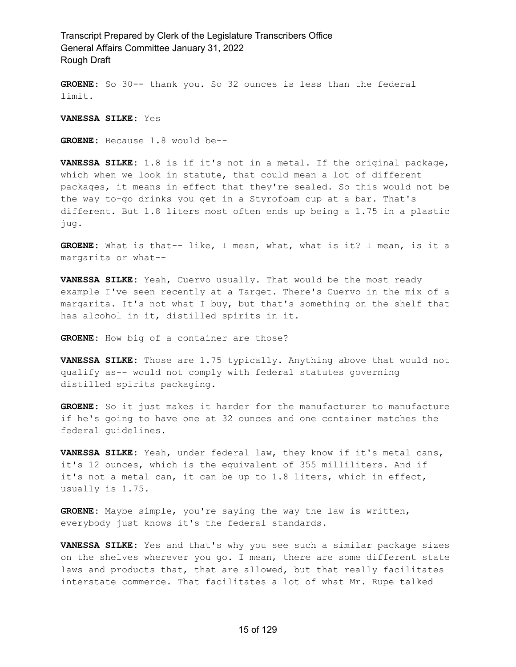**GROENE:** So 30-- thank you. So 32 ounces is less than the federal limit.

**VANESSA SILKE:** Yes

**GROENE:** Because 1.8 would be--

**VANESSA SILKE:** 1.8 is if it's not in a metal. If the original package, which when we look in statute, that could mean a lot of different packages, it means in effect that they're sealed. So this would not be the way to-go drinks you get in a Styrofoam cup at a bar. That's different. But 1.8 liters most often ends up being a 1.75 in a plastic jug.

**GROENE:** What is that-- like, I mean, what, what is it? I mean, is it a margarita or what--

**VANESSA SILKE:** Yeah, Cuervo usually. That would be the most ready example I've seen recently at a Target. There's Cuervo in the mix of a margarita. It's not what I buy, but that's something on the shelf that has alcohol in it, distilled spirits in it.

**GROENE:** How big of a container are those?

**VANESSA SILKE:** Those are 1.75 typically. Anything above that would not qualify as-- would not comply with federal statutes governing distilled spirits packaging.

GROENE: So it just makes it harder for the manufacturer to manufacture if he's going to have one at 32 ounces and one container matches the federal guidelines.

**VANESSA SILKE:** Yeah, under federal law, they know if it's metal cans, it's 12 ounces, which is the equivalent of 355 milliliters. And if it's not a metal can, it can be up to 1.8 liters, which in effect, usually is 1.75.

**GROENE:** Maybe simple, you're saying the way the law is written, everybody just knows it's the federal standards.

**VANESSA SILKE:** Yes and that's why you see such a similar package sizes on the shelves wherever you go. I mean, there are some different state laws and products that, that are allowed, but that really facilitates interstate commerce. That facilitates a lot of what Mr. Rupe talked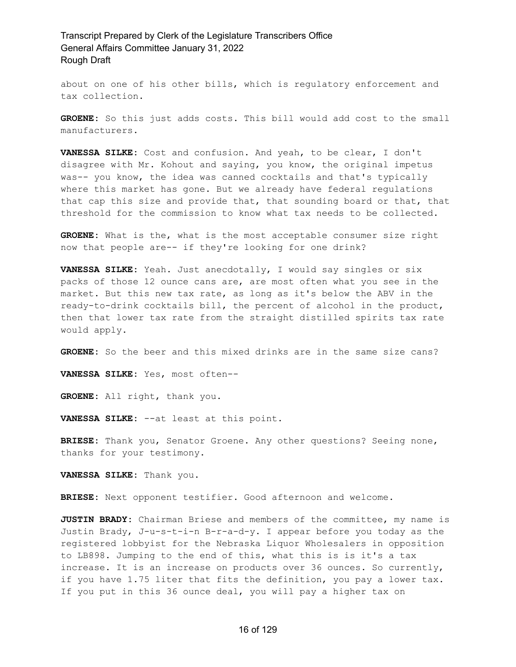about on one of his other bills, which is regulatory enforcement and tax collection.

**GROENE:** So this just adds costs. This bill would add cost to the small manufacturers.

**VANESSA SILKE:** Cost and confusion. And yeah, to be clear, I don't disagree with Mr. Kohout and saying, you know, the original impetus was-- you know, the idea was canned cocktails and that's typically where this market has gone. But we already have federal regulations that cap this size and provide that, that sounding board or that, that threshold for the commission to know what tax needs to be collected.

**GROENE:** What is the, what is the most acceptable consumer size right now that people are-- if they're looking for one drink?

**VANESSA SILKE:** Yeah. Just anecdotally, I would say singles or six packs of those 12 ounce cans are, are most often what you see in the market. But this new tax rate, as long as it's below the ABV in the ready-to-drink cocktails bill, the percent of alcohol in the product, then that lower tax rate from the straight distilled spirits tax rate would apply.

**GROENE:** So the beer and this mixed drinks are in the same size cans?

**VANESSA SILKE:** Yes, most often--

**GROENE:** All right, thank you.

**VANESSA SILKE:** --at least at this point.

**BRIESE:** Thank you, Senator Groene. Any other questions? Seeing none, thanks for your testimony.

**VANESSA SILKE:** Thank you.

**BRIESE:** Next opponent testifier. Good afternoon and welcome.

**JUSTIN BRADY:** Chairman Briese and members of the committee, my name is Justin Brady, J-u-s-t-i-n B-r-a-d-y. I appear before you today as the registered lobbyist for the Nebraska Liquor Wholesalers in opposition to LB898. Jumping to the end of this, what this is is it's a tax increase. It is an increase on products over 36 ounces. So currently, if you have 1.75 liter that fits the definition, you pay a lower tax. If you put in this 36 ounce deal, you will pay a higher tax on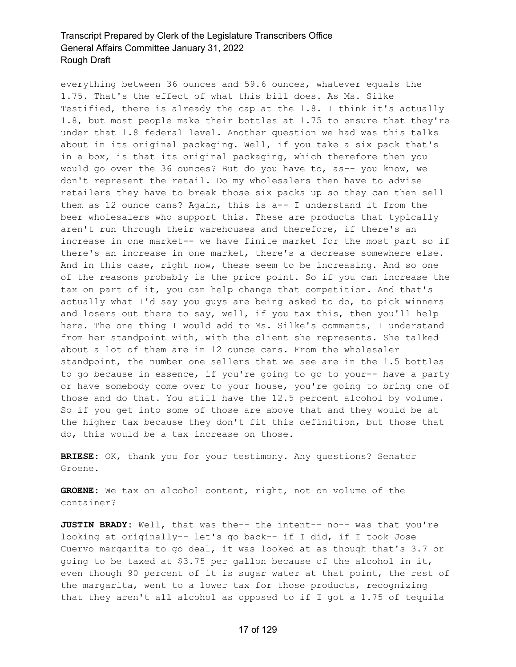everything between 36 ounces and 59.6 ounces, whatever equals the 1.75. That's the effect of what this bill does. As Ms. Silke Testified, there is already the cap at the 1.8. I think it's actually 1.8, but most people make their bottles at 1.75 to ensure that they're under that 1.8 federal level. Another question we had was this talks about in its original packaging. Well, if you take a six pack that's in a box, is that its original packaging, which therefore then you would go over the 36 ounces? But do you have to, as-- you know, we don't represent the retail. Do my wholesalers then have to advise retailers they have to break those six packs up so they can then sell them as 12 ounce cans? Again, this is a-- I understand it from the beer wholesalers who support this. These are products that typically aren't run through their warehouses and therefore, if there's an increase in one market-- we have finite market for the most part so if there's an increase in one market, there's a decrease somewhere else. And in this case, right now, these seem to be increasing. And so one of the reasons probably is the price point. So if you can increase the tax on part of it, you can help change that competition. And that's actually what I'd say you guys are being asked to do, to pick winners and losers out there to say, well, if you tax this, then you'll help here. The one thing I would add to Ms. Silke's comments, I understand from her standpoint with, with the client she represents. She talked about a lot of them are in 12 ounce cans. From the wholesaler standpoint, the number one sellers that we see are in the 1.5 bottles to go because in essence, if you're going to go to your-- have a party or have somebody come over to your house, you're going to bring one of those and do that. You still have the 12.5 percent alcohol by volume. So if you get into some of those are above that and they would be at the higher tax because they don't fit this definition, but those that do, this would be a tax increase on those.

**BRIESE:** OK, thank you for your testimony. Any questions? Senator Groene.

**GROENE:** We tax on alcohol content, right, not on volume of the container?

**JUSTIN BRADY:** Well, that was the-- the intent-- no-- was that you're looking at originally-- let's go back-- if I did, if I took Jose Cuervo margarita to go deal, it was looked at as though that's 3.7 or going to be taxed at \$3.75 per gallon because of the alcohol in it, even though 90 percent of it is sugar water at that point, the rest of the margarita, went to a lower tax for those products, recognizing that they aren't all alcohol as opposed to if I got a 1.75 of tequila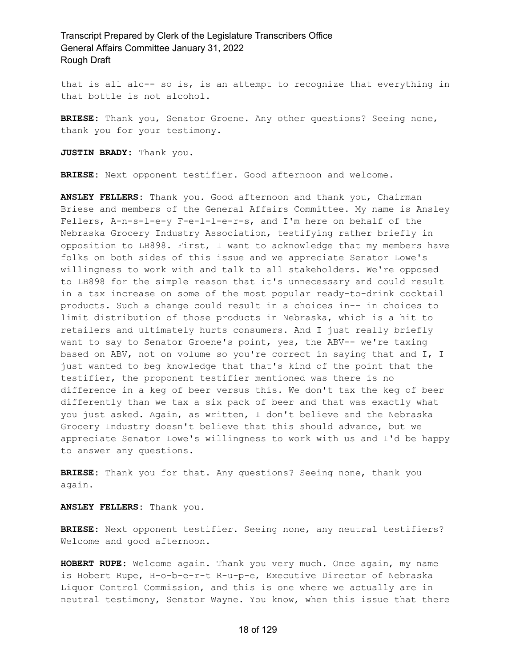that is all alc-- so is, is an attempt to recognize that everything in that bottle is not alcohol.

**BRIESE:** Thank you, Senator Groene. Any other questions? Seeing none, thank you for your testimony.

**JUSTIN BRADY:** Thank you.

**BRIESE:** Next opponent testifier. Good afternoon and welcome.

**ANSLEY FELLERS:** Thank you. Good afternoon and thank you, Chairman Briese and members of the General Affairs Committee. My name is Ansley Fellers, A-n-s-l-e-y F-e-l-l-e-r-s, and I'm here on behalf of the Nebraska Grocery Industry Association, testifying rather briefly in opposition to LB898. First, I want to acknowledge that my members have folks on both sides of this issue and we appreciate Senator Lowe's willingness to work with and talk to all stakeholders. We're opposed to LB898 for the simple reason that it's unnecessary and could result in a tax increase on some of the most popular ready-to-drink cocktail products. Such a change could result in a choices in-- in choices to limit distribution of those products in Nebraska, which is a hit to retailers and ultimately hurts consumers. And I just really briefly want to say to Senator Groene's point, yes, the ABV-- we're taxing based on ABV, not on volume so you're correct in saying that and I, I just wanted to beg knowledge that that's kind of the point that the testifier, the proponent testifier mentioned was there is no difference in a keg of beer versus this. We don't tax the keg of beer differently than we tax a six pack of beer and that was exactly what you just asked. Again, as written, I don't believe and the Nebraska Grocery Industry doesn't believe that this should advance, but we appreciate Senator Lowe's willingness to work with us and I'd be happy to answer any questions.

**BRIESE:** Thank you for that. Any questions? Seeing none, thank you again.

**ANSLEY FELLERS:** Thank you.

**BRIESE:** Next opponent testifier. Seeing none, any neutral testifiers? Welcome and good afternoon.

**HOBERT RUPE:** Welcome again. Thank you very much. Once again, my name is Hobert Rupe, H-o-b-e-r-t R-u-p-e, Executive Director of Nebraska Liquor Control Commission, and this is one where we actually are in neutral testimony, Senator Wayne. You know, when this issue that there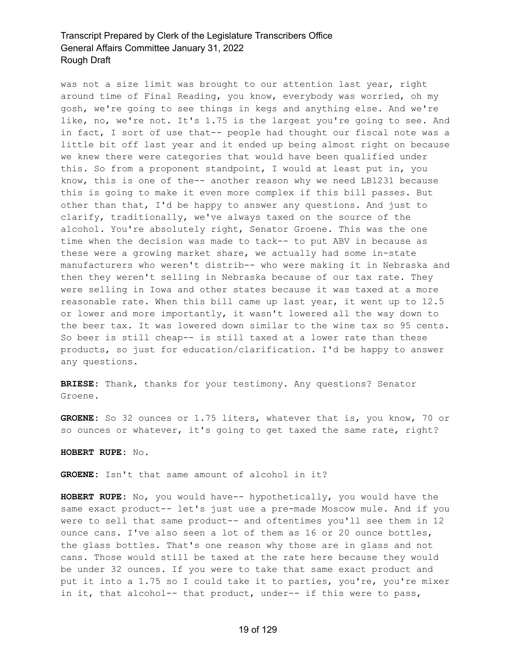was not a size limit was brought to our attention last year, right around time of Final Reading, you know, everybody was worried, oh my gosh, we're going to see things in kegs and anything else. And we're like, no, we're not. It's 1.75 is the largest you're going to see. And in fact, I sort of use that-- people had thought our fiscal note was a little bit off last year and it ended up being almost right on because we knew there were categories that would have been qualified under this. So from a proponent standpoint, I would at least put in, you know, this is one of the-- another reason why we need LB1231 because this is going to make it even more complex if this bill passes. But other than that, I'd be happy to answer any questions. And just to clarify, traditionally, we've always taxed on the source of the alcohol. You're absolutely right, Senator Groene. This was the one time when the decision was made to tack-- to put ABV in because as these were a growing market share, we actually had some in-state manufacturers who weren't distrib-- who were making it in Nebraska and then they weren't selling in Nebraska because of our tax rate. They were selling in Iowa and other states because it was taxed at a more reasonable rate. When this bill came up last year, it went up to 12.5 or lower and more importantly, it wasn't lowered all the way down to the beer tax. It was lowered down similar to the wine tax so 95 cents. So beer is still cheap-- is still taxed at a lower rate than these products, so just for education/clarification. I'd be happy to answer any questions.

**BRIESE:** Thank, thanks for your testimony. Any questions? Senator Groene.

**GROENE:** So 32 ounces or 1.75 liters, whatever that is, you know, 70 or so ounces or whatever, it's going to get taxed the same rate, right?

**HOBERT RUPE:** No.

**GROENE:** Isn't that same amount of alcohol in it?

**HOBERT RUPE:** No, you would have-- hypothetically, you would have the same exact product-- let's just use a pre-made Moscow mule. And if you were to sell that same product-- and oftentimes you'll see them in 12 ounce cans. I've also seen a lot of them as 16 or 20 ounce bottles, the glass bottles. That's one reason why those are in glass and not cans. Those would still be taxed at the rate here because they would be under 32 ounces. If you were to take that same exact product and put it into a 1.75 so I could take it to parties, you're, you're mixer in it, that alcohol-- that product, under-- if this were to pass,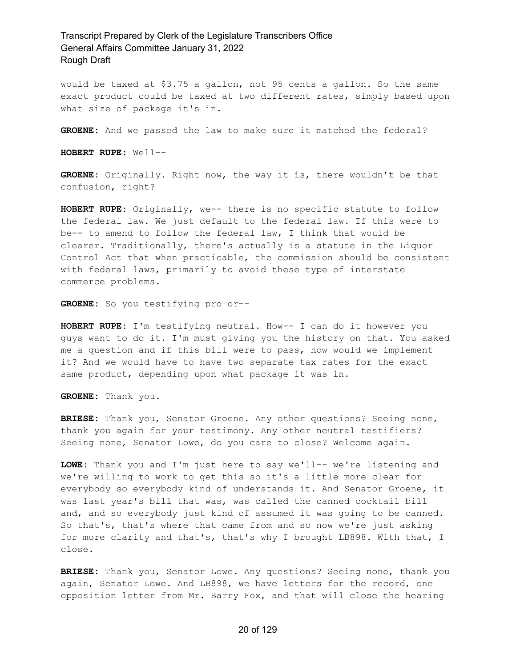would be taxed at \$3.75 a gallon, not 95 cents a gallon. So the same exact product could be taxed at two different rates, simply based upon what size of package it's in.

**GROENE:** And we passed the law to make sure it matched the federal?

**HOBERT RUPE:** Well--

**GROENE:** Originally. Right now, the way it is, there wouldn't be that confusion, right?

**HOBERT RUPE:** Originally, we-- there is no specific statute to follow the federal law. We just default to the federal law. If this were to be-- to amend to follow the federal law, I think that would be clearer. Traditionally, there's actually is a statute in the Liquor Control Act that when practicable, the commission should be consistent with federal laws, primarily to avoid these type of interstate commerce problems.

**GROENE:** So you testifying pro or--

**HOBERT RUPE:** I'm testifying neutral. How-- I can do it however you guys want to do it. I'm must giving you the history on that. You asked me a question and if this bill were to pass, how would we implement it? And we would have to have two separate tax rates for the exact same product, depending upon what package it was in.

**GROENE:** Thank you.

**BRIESE:** Thank you, Senator Groene. Any other questions? Seeing none, thank you again for your testimony. Any other neutral testifiers? Seeing none, Senator Lowe, do you care to close? Welcome again.

**LOWE:** Thank you and I'm just here to say we'll-- we're listening and we're willing to work to get this so it's a little more clear for everybody so everybody kind of understands it. And Senator Groene, it was last year's bill that was, was called the canned cocktail bill and, and so everybody just kind of assumed it was going to be canned. So that's, that's where that came from and so now we're just asking for more clarity and that's, that's why I brought LB898. With that, I close.

**BRIESE:** Thank you, Senator Lowe. Any questions? Seeing none, thank you again, Senator Lowe. And LB898, we have letters for the record, one opposition letter from Mr. Barry Fox, and that will close the hearing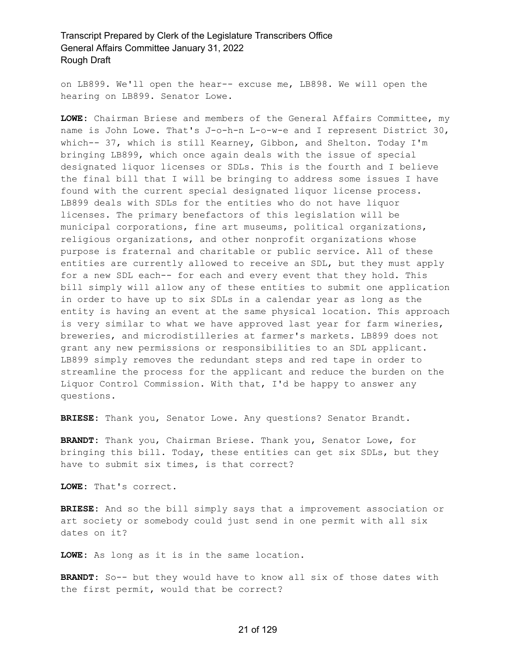on LB899. We'll open the hear-- excuse me, LB898. We will open the hearing on LB899. Senator Lowe.

**LOWE:** Chairman Briese and members of the General Affairs Committee, my name is John Lowe. That's J-o-h-n L-o-w-e and I represent District 30, which-- 37, which is still Kearney, Gibbon, and Shelton. Today I'm bringing LB899, which once again deals with the issue of special designated liquor licenses or SDLs. This is the fourth and I believe the final bill that I will be bringing to address some issues I have found with the current special designated liquor license process. LB899 deals with SDLs for the entities who do not have liquor licenses. The primary benefactors of this legislation will be municipal corporations, fine art museums, political organizations, religious organizations, and other nonprofit organizations whose purpose is fraternal and charitable or public service. All of these entities are currently allowed to receive an SDL, but they must apply for a new SDL each-- for each and every event that they hold. This bill simply will allow any of these entities to submit one application in order to have up to six SDLs in a calendar year as long as the entity is having an event at the same physical location. This approach is very similar to what we have approved last year for farm wineries, breweries, and microdistilleries at farmer's markets. LB899 does not grant any new permissions or responsibilities to an SDL applicant. LB899 simply removes the redundant steps and red tape in order to streamline the process for the applicant and reduce the burden on the Liquor Control Commission. With that, I'd be happy to answer any questions.

**BRIESE:** Thank you, Senator Lowe. Any questions? Senator Brandt.

**BRANDT:** Thank you, Chairman Briese. Thank you, Senator Lowe, for bringing this bill. Today, these entities can get six SDLs, but they have to submit six times, is that correct?

**LOWE:** That's correct.

**BRIESE:** And so the bill simply says that a improvement association or art society or somebody could just send in one permit with all six dates on it?

**LOWE:** As long as it is in the same location.

**BRANDT:** So-- but they would have to know all six of those dates with the first permit, would that be correct?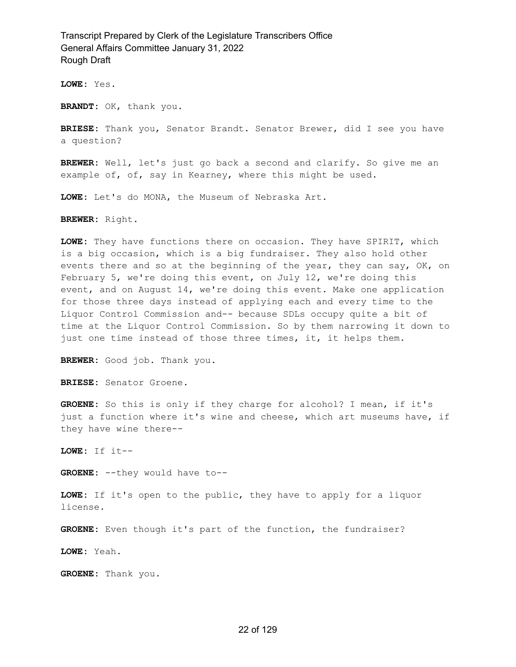**LOWE:** Yes.

**BRANDT:** OK, thank you.

**BRIESE:** Thank you, Senator Brandt. Senator Brewer, did I see you have a question?

**BREWER:** Well, let's just go back a second and clarify. So give me an example of, of, say in Kearney, where this might be used.

**LOWE:** Let's do MONA, the Museum of Nebraska Art.

**BREWER:** Right.

**LOWE:** They have functions there on occasion. They have SPIRIT, which is a big occasion, which is a big fundraiser. They also hold other events there and so at the beginning of the year, they can say, OK, on February 5, we're doing this event, on July 12, we're doing this event, and on August 14, we're doing this event. Make one application for those three days instead of applying each and every time to the Liquor Control Commission and-- because SDLs occupy quite a bit of time at the Liquor Control Commission. So by them narrowing it down to just one time instead of those three times, it, it helps them.

**BREWER:** Good job. Thank you.

**BRIESE:** Senator Groene.

**GROENE:** So this is only if they charge for alcohol? I mean, if it's just a function where it's wine and cheese, which art museums have, if they have wine there--

**LOWE:** If it--

**GROENE:** --they would have to--

**LOWE:** If it's open to the public, they have to apply for a liquor license.

**GROENE:** Even though it's part of the function, the fundraiser?

**LOWE:** Yeah.

**GROENE:** Thank you.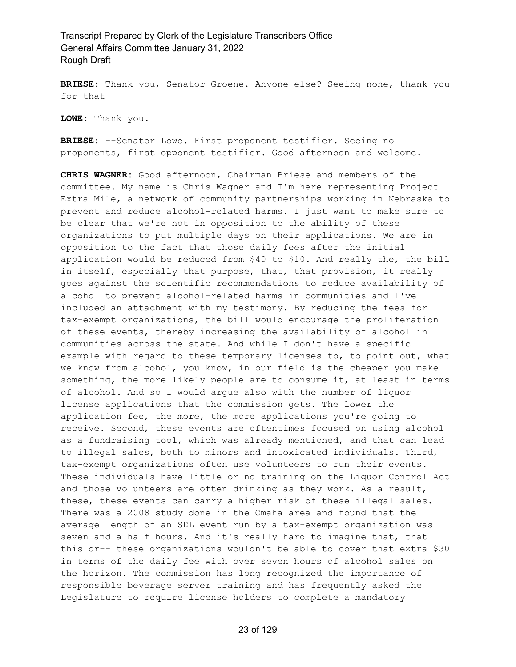**BRIESE:** Thank you, Senator Groene. Anyone else? Seeing none, thank you for that--

**LOWE:** Thank you.

**BRIESE:** --Senator Lowe. First proponent testifier. Seeing no proponents, first opponent testifier. Good afternoon and welcome.

**CHRIS WAGNER:** Good afternoon, Chairman Briese and members of the committee. My name is Chris Wagner and I'm here representing Project Extra Mile, a network of community partnerships working in Nebraska to prevent and reduce alcohol-related harms. I just want to make sure to be clear that we're not in opposition to the ability of these organizations to put multiple days on their applications. We are in opposition to the fact that those daily fees after the initial application would be reduced from \$40 to \$10. And really the, the bill in itself, especially that purpose, that, that provision, it really goes against the scientific recommendations to reduce availability of alcohol to prevent alcohol-related harms in communities and I've included an attachment with my testimony. By reducing the fees for tax-exempt organizations, the bill would encourage the proliferation of these events, thereby increasing the availability of alcohol in communities across the state. And while I don't have a specific example with regard to these temporary licenses to, to point out, what we know from alcohol, you know, in our field is the cheaper you make something, the more likely people are to consume it, at least in terms of alcohol. And so I would argue also with the number of liquor license applications that the commission gets. The lower the application fee, the more, the more applications you're going to receive. Second, these events are oftentimes focused on using alcohol as a fundraising tool, which was already mentioned, and that can lead to illegal sales, both to minors and intoxicated individuals. Third, tax-exempt organizations often use volunteers to run their events. These individuals have little or no training on the Liquor Control Act and those volunteers are often drinking as they work. As a result, these, these events can carry a higher risk of these illegal sales. There was a 2008 study done in the Omaha area and found that the average length of an SDL event run by a tax-exempt organization was seven and a half hours. And it's really hard to imagine that, that this or-- these organizations wouldn't be able to cover that extra \$30 in terms of the daily fee with over seven hours of alcohol sales on the horizon. The commission has long recognized the importance of responsible beverage server training and has frequently asked the Legislature to require license holders to complete a mandatory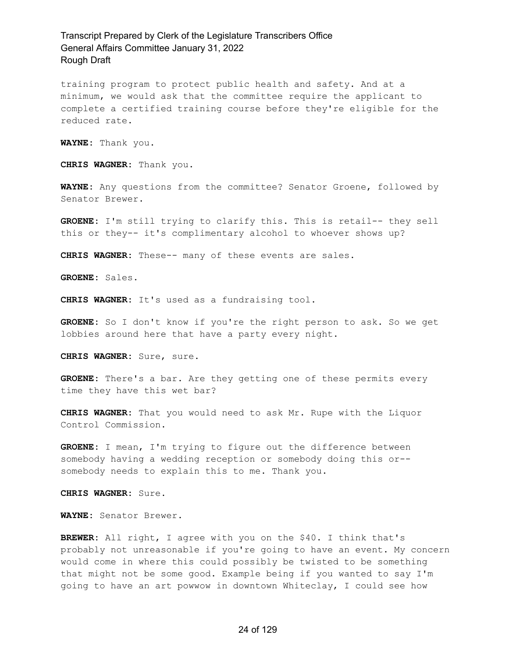training program to protect public health and safety. And at a minimum, we would ask that the committee require the applicant to complete a certified training course before they're eligible for the reduced rate.

**WAYNE:** Thank you.

**CHRIS WAGNER:** Thank you.

**WAYNE:** Any questions from the committee? Senator Groene, followed by Senator Brewer.

**GROENE:** I'm still trying to clarify this. This is retail-- they sell this or they-- it's complimentary alcohol to whoever shows up?

**CHRIS WAGNER:** These-- many of these events are sales.

**GROENE:** Sales.

**CHRIS WAGNER:** It's used as a fundraising tool.

**GROENE:** So I don't know if you're the right person to ask. So we get lobbies around here that have a party every night.

**CHRIS WAGNER:** Sure, sure.

**GROENE:** There's a bar. Are they getting one of these permits every time they have this wet bar?

**CHRIS WAGNER:** That you would need to ask Mr. Rupe with the Liquor Control Commission.

**GROENE:** I mean, I'm trying to figure out the difference between somebody having a wedding reception or somebody doing this or- somebody needs to explain this to me. Thank you.

**CHRIS WAGNER:** Sure.

**WAYNE:** Senator Brewer.

**BREWER:** All right, I agree with you on the \$40. I think that's probably not unreasonable if you're going to have an event. My concern would come in where this could possibly be twisted to be something that might not be some good. Example being if you wanted to say I'm going to have an art powwow in downtown Whiteclay, I could see how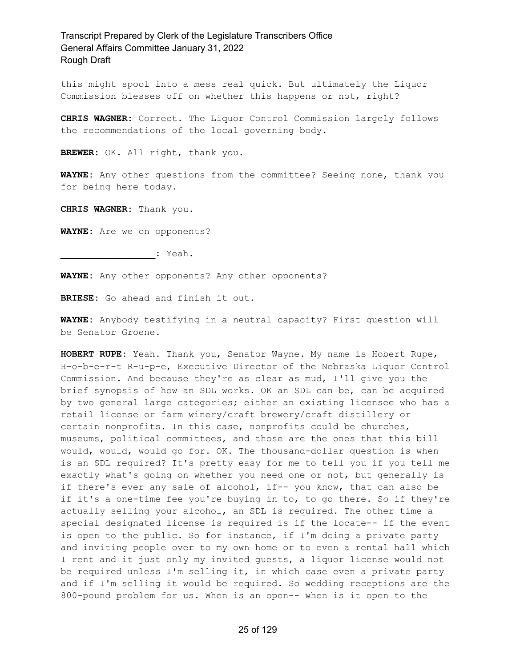this might spool into a mess real quick. But ultimately the Liquor Commission blesses off on whether this happens or not, right?

**CHRIS WAGNER:** Correct. The Liquor Control Commission largely follows the recommendations of the local governing body.

**BREWER:** OK. All right, thank you.

**WAYNE:** Any other questions from the committee? Seeing none, thank you for being here today.

**CHRIS WAGNER:** Thank you.

**WAYNE:** Are we on opponents?

**\_\_\_\_\_\_\_\_\_\_\_\_\_\_\_\_\_:** Yeah.

**WAYNE:** Any other opponents? Any other opponents?

**BRIESE:** Go ahead and finish it out.

**WAYNE:** Anybody testifying in a neutral capacity? First question will be Senator Groene.

**HOBERT RUPE:** Yeah. Thank you, Senator Wayne. My name is Hobert Rupe, H-o-b-e-r-t R-u-p-e, Executive Director of the Nebraska Liquor Control Commission. And because they're as clear as mud, I'll give you the brief synopsis of how an SDL works. OK an SDL can be, can be acquired by two general large categories; either an existing licensee who has a retail license or farm winery/craft brewery/craft distillery or certain nonprofits. In this case, nonprofits could be churches, museums, political committees, and those are the ones that this bill would, would, would go for. OK. The thousand-dollar question is when is an SDL required? It's pretty easy for me to tell you if you tell me exactly what's going on whether you need one or not, but generally is if there's ever any sale of alcohol, if-- you know, that can also be if it's a one-time fee you're buying in to, to go there. So if they're actually selling your alcohol, an SDL is required. The other time a special designated license is required is if the locate-- if the event is open to the public. So for instance, if I'm doing a private party and inviting people over to my own home or to even a rental hall which I rent and it just only my invited guests, a liquor license would not be required unless I'm selling it, in which case even a private party and if I'm selling it would be required. So wedding receptions are the 800-pound problem for us. When is an open-- when is it open to the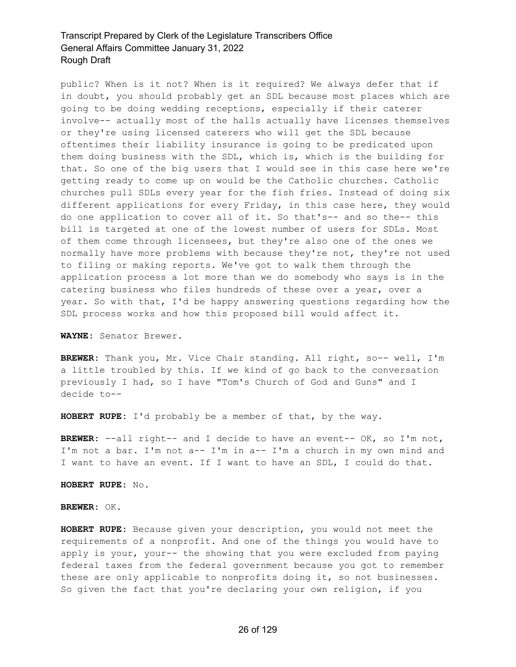public? When is it not? When is it required? We always defer that if in doubt, you should probably get an SDL because most places which are going to be doing wedding receptions, especially if their caterer involve-- actually most of the halls actually have licenses themselves or they're using licensed caterers who will get the SDL because oftentimes their liability insurance is going to be predicated upon them doing business with the SDL, which is, which is the building for that. So one of the big users that I would see in this case here we're getting ready to come up on would be the Catholic churches. Catholic churches pull SDLs every year for the fish fries. Instead of doing six different applications for every Friday, in this case here, they would do one application to cover all of it. So that's-- and so the-- this bill is targeted at one of the lowest number of users for SDLs. Most of them come through licensees, but they're also one of the ones we normally have more problems with because they're not, they're not used to filing or making reports. We've got to walk them through the application process a lot more than we do somebody who says is in the catering business who files hundreds of these over a year, over a year. So with that, I'd be happy answering questions regarding how the SDL process works and how this proposed bill would affect it.

**WAYNE:** Senator Brewer.

**BREWER:** Thank you, Mr. Vice Chair standing. All right, so-- well, I'm a little troubled by this. If we kind of go back to the conversation previously I had, so I have "Tom's Church of God and Guns" and I decide to--

**HOBERT RUPE:** I'd probably be a member of that, by the way.

**BREWER:** --all right-- and I decide to have an event-- OK, so I'm not, I'm not a bar. I'm not a-- I'm in a-- I'm a church in my own mind and I want to have an event. If I want to have an SDL, I could do that.

**HOBERT RUPE:** No.

#### **BREWER:** OK.

**HOBERT RUPE:** Because given your description, you would not meet the requirements of a nonprofit. And one of the things you would have to apply is your, your-- the showing that you were excluded from paying federal taxes from the federal government because you got to remember these are only applicable to nonprofits doing it, so not businesses. So given the fact that you're declaring your own religion, if you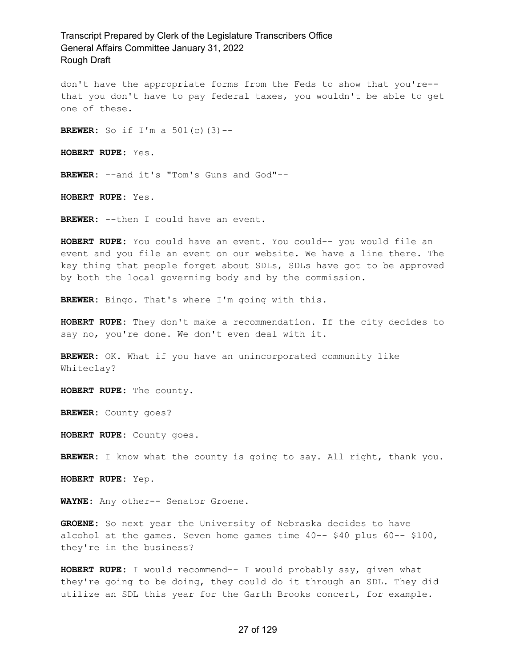don't have the appropriate forms from the Feds to show that you're- that you don't have to pay federal taxes, you wouldn't be able to get one of these.

**BREWER:** So if I'm a  $501(c)(3)$ --

**HOBERT RUPE:** Yes.

**BREWER:** --and it's "Tom's Guns and God"--

**HOBERT RUPE:** Yes.

**BREWER:** --then I could have an event.

**HOBERT RUPE:** You could have an event. You could-- you would file an event and you file an event on our website. We have a line there. The key thing that people forget about SDLs, SDLs have got to be approved by both the local governing body and by the commission.

**BREWER:** Bingo. That's where I'm going with this.

**HOBERT RUPE:** They don't make a recommendation. If the city decides to say no, you're done. We don't even deal with it.

**BREWER:** OK. What if you have an unincorporated community like Whiteclay?

**HOBERT RUPE:** The county.

**BREWER:** County goes?

**HOBERT RUPE:** County goes.

**BREWER:** I know what the county is going to say. All right, thank you.

**HOBERT RUPE:** Yep.

**WAYNE:** Any other-- Senator Groene.

**GROENE:** So next year the University of Nebraska decides to have alcohol at the games. Seven home games time 40-- \$40 plus 60-- \$100, they're in the business?

**HOBERT RUPE:** I would recommend-- I would probably say, given what they're going to be doing, they could do it through an SDL. They did utilize an SDL this year for the Garth Brooks concert, for example.

#### 27 of 129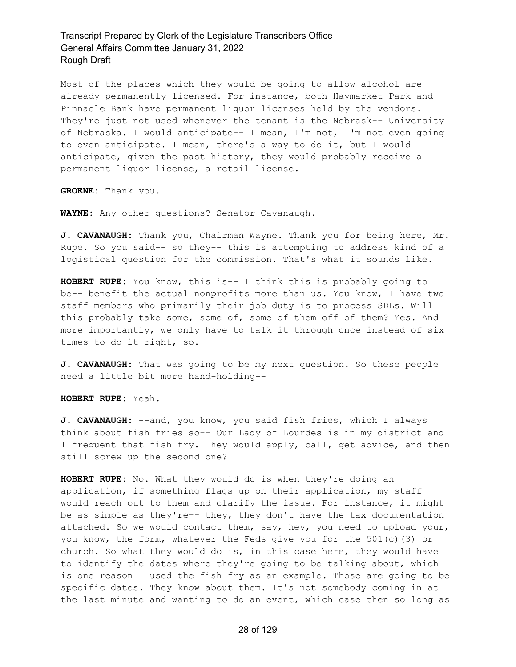Most of the places which they would be going to allow alcohol are already permanently licensed. For instance, both Haymarket Park and Pinnacle Bank have permanent liquor licenses held by the vendors. They're just not used whenever the tenant is the Nebrask-- University of Nebraska. I would anticipate-- I mean, I'm not, I'm not even going to even anticipate. I mean, there's a way to do it, but I would anticipate, given the past history, they would probably receive a permanent liquor license, a retail license.

**GROENE:** Thank you.

**WAYNE:** Any other questions? Senator Cavanaugh.

**J. CAVANAUGH:** Thank you, Chairman Wayne. Thank you for being here, Mr. Rupe. So you said-- so they-- this is attempting to address kind of a logistical question for the commission. That's what it sounds like.

**HOBERT RUPE:** You know, this is-- I think this is probably going to be-- benefit the actual nonprofits more than us. You know, I have two staff members who primarily their job duty is to process SDLs. Will this probably take some, some of, some of them off of them? Yes. And more importantly, we only have to talk it through once instead of six times to do it right, so.

**J. CAVANAUGH:** That was going to be my next question. So these people need a little bit more hand-holding--

**HOBERT RUPE:** Yeah.

**J. CAVANAUGH:** --and, you know, you said fish fries, which I always think about fish fries so-- Our Lady of Lourdes is in my district and I frequent that fish fry. They would apply, call, get advice, and then still screw up the second one?

**HOBERT RUPE:** No. What they would do is when they're doing an application, if something flags up on their application, my staff would reach out to them and clarify the issue. For instance, it might be as simple as they're-- they, they don't have the tax documentation attached. So we would contact them, say, hey, you need to upload your, you know, the form, whatever the Feds give you for the 501(c)(3) or church. So what they would do is, in this case here, they would have to identify the dates where they're going to be talking about, which is one reason I used the fish fry as an example. Those are going to be specific dates. They know about them. It's not somebody coming in at the last minute and wanting to do an event, which case then so long as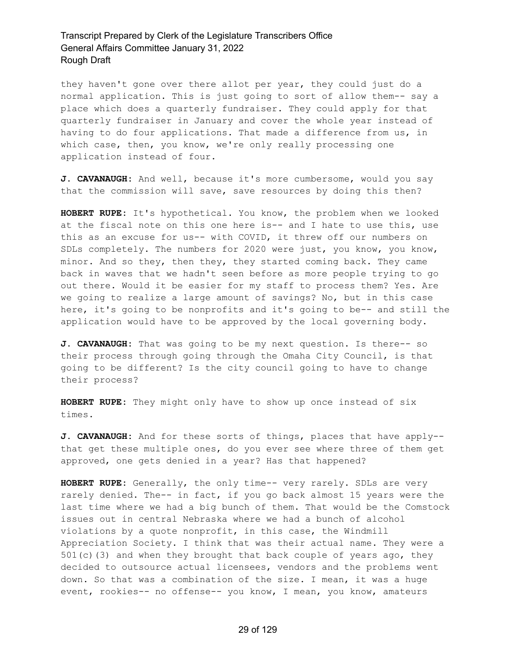they haven't gone over there allot per year, they could just do a normal application. This is just going to sort of allow them-- say a place which does a quarterly fundraiser. They could apply for that quarterly fundraiser in January and cover the whole year instead of having to do four applications. That made a difference from us, in which case, then, you know, we're only really processing one application instead of four.

**J. CAVANAUGH:** And well, because it's more cumbersome, would you say that the commission will save, save resources by doing this then?

**HOBERT RUPE:** It's hypothetical. You know, the problem when we looked at the fiscal note on this one here is-- and I hate to use this, use this as an excuse for us-- with COVID, it threw off our numbers on SDLs completely. The numbers for 2020 were just, you know, you know, minor. And so they, then they, they started coming back. They came back in waves that we hadn't seen before as more people trying to go out there. Would it be easier for my staff to process them? Yes. Are we going to realize a large amount of savings? No, but in this case here, it's going to be nonprofits and it's going to be-- and still the application would have to be approved by the local governing body.

**J. CAVANAUGH:** That was going to be my next question. Is there-- so their process through going through the Omaha City Council, is that going to be different? Is the city council going to have to change their process?

**HOBERT RUPE:** They might only have to show up once instead of six times.

**J. CAVANAUGH:** And for these sorts of things, places that have apply- that get these multiple ones, do you ever see where three of them get approved, one gets denied in a year? Has that happened?

**HOBERT RUPE:** Generally, the only time-- very rarely. SDLs are very rarely denied. The-- in fact, if you go back almost 15 years were the last time where we had a big bunch of them. That would be the Comstock issues out in central Nebraska where we had a bunch of alcohol violations by a quote nonprofit, in this case, the Windmill Appreciation Society. I think that was their actual name. They were a  $501(c)$  (3) and when they brought that back couple of years ago, they decided to outsource actual licensees, vendors and the problems went down. So that was a combination of the size. I mean, it was a huge event, rookies-- no offense-- you know, I mean, you know, amateurs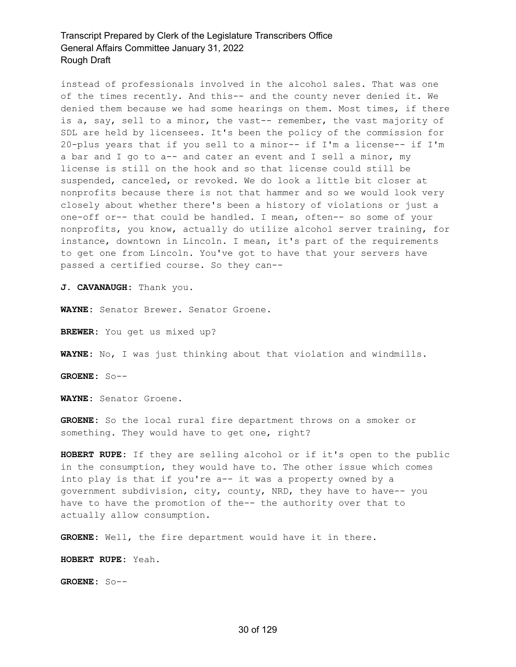instead of professionals involved in the alcohol sales. That was one of the times recently. And this-- and the county never denied it. We denied them because we had some hearings on them. Most times, if there is a, say, sell to a minor, the vast-- remember, the vast majority of SDL are held by licensees. It's been the policy of the commission for 20-plus years that if you sell to a minor-- if I'm a license-- if I'm a bar and I go to a-- and cater an event and I sell a minor, my license is still on the hook and so that license could still be suspended, canceled, or revoked. We do look a little bit closer at nonprofits because there is not that hammer and so we would look very closely about whether there's been a history of violations or just a one-off or-- that could be handled. I mean, often-- so some of your nonprofits, you know, actually do utilize alcohol server training, for instance, downtown in Lincoln. I mean, it's part of the requirements to get one from Lincoln. You've got to have that your servers have passed a certified course. So they can--

**J. CAVANAUGH:** Thank you.

**WAYNE:** Senator Brewer. Senator Groene.

**BREWER:** You get us mixed up?

**WAYNE:** No, I was just thinking about that violation and windmills.

**GROENE:** So--

**WAYNE:** Senator Groene.

**GROENE:** So the local rural fire department throws on a smoker or something. They would have to get one, right?

**HOBERT RUPE:** If they are selling alcohol or if it's open to the public in the consumption, they would have to. The other issue which comes into play is that if you're a-- it was a property owned by a government subdivision, city, county, NRD, they have to have-- you have to have the promotion of the-- the authority over that to actually allow consumption.

**GROENE:** Well, the fire department would have it in there.

**HOBERT RUPE:** Yeah.

**GROENE:** So--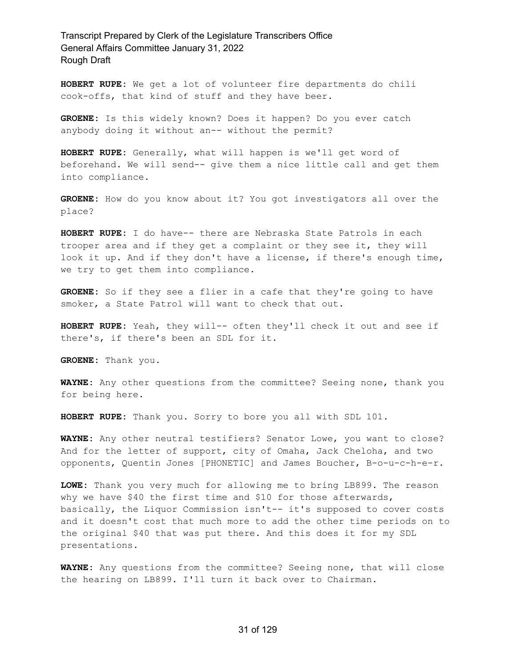**HOBERT RUPE:** We get a lot of volunteer fire departments do chili cook-offs, that kind of stuff and they have beer.

**GROENE:** Is this widely known? Does it happen? Do you ever catch anybody doing it without an-- without the permit?

**HOBERT RUPE:** Generally, what will happen is we'll get word of beforehand. We will send-- give them a nice little call and get them into compliance.

**GROENE:** How do you know about it? You got investigators all over the place?

**HOBERT RUPE:** I do have-- there are Nebraska State Patrols in each trooper area and if they get a complaint or they see it, they will look it up. And if they don't have a license, if there's enough time, we try to get them into compliance.

**GROENE:** So if they see a flier in a cafe that they're going to have smoker, a State Patrol will want to check that out.

**HOBERT RUPE:** Yeah, they will-- often they'll check it out and see if there's, if there's been an SDL for it.

**GROENE:** Thank you.

**WAYNE:** Any other questions from the committee? Seeing none, thank you for being here.

**HOBERT RUPE:** Thank you. Sorry to bore you all with SDL 101.

**WAYNE:** Any other neutral testifiers? Senator Lowe, you want to close? And for the letter of support, city of Omaha, Jack Cheloha, and two opponents, Quentin Jones [PHONETIC] and James Boucher, B-o-u-c-h-e-r.

**LOWE:** Thank you very much for allowing me to bring LB899. The reason why we have \$40 the first time and \$10 for those afterwards, basically, the Liquor Commission isn't-- it's supposed to cover costs and it doesn't cost that much more to add the other time periods on to the original \$40 that was put there. And this does it for my SDL presentations.

**WAYNE:** Any questions from the committee? Seeing none, that will close the hearing on LB899. I'll turn it back over to Chairman.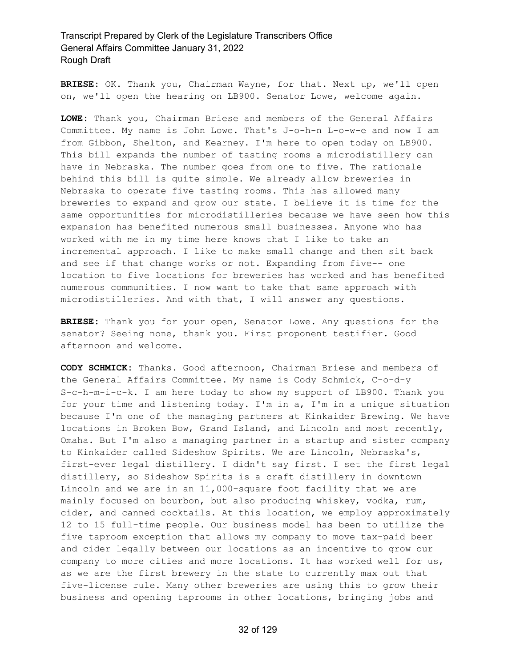**BRIESE:** OK. Thank you, Chairman Wayne, for that. Next up, we'll open on, we'll open the hearing on LB900. Senator Lowe, welcome again.

**LOWE:** Thank you, Chairman Briese and members of the General Affairs Committee. My name is John Lowe. That's J-o-h-n L-o-w-e and now I am from Gibbon, Shelton, and Kearney. I'm here to open today on LB900. This bill expands the number of tasting rooms a microdistillery can have in Nebraska. The number goes from one to five. The rationale behind this bill is quite simple. We already allow breweries in Nebraska to operate five tasting rooms. This has allowed many breweries to expand and grow our state. I believe it is time for the same opportunities for microdistilleries because we have seen how this expansion has benefited numerous small businesses. Anyone who has worked with me in my time here knows that I like to take an incremental approach. I like to make small change and then sit back and see if that change works or not. Expanding from five-- one location to five locations for breweries has worked and has benefited numerous communities. I now want to take that same approach with microdistilleries. And with that, I will answer any questions.

**BRIESE:** Thank you for your open, Senator Lowe. Any questions for the senator? Seeing none, thank you. First proponent testifier. Good afternoon and welcome.

**CODY SCHMICK:** Thanks. Good afternoon, Chairman Briese and members of the General Affairs Committee. My name is Cody Schmick, C-o-d-y S-c-h-m-i-c-k. I am here today to show my support of LB900. Thank you for your time and listening today. I'm in a, I'm in a unique situation because I'm one of the managing partners at Kinkaider Brewing. We have locations in Broken Bow, Grand Island, and Lincoln and most recently, Omaha. But I'm also a managing partner in a startup and sister company to Kinkaider called Sideshow Spirits. We are Lincoln, Nebraska's, first-ever legal distillery. I didn't say first. I set the first legal distillery, so Sideshow Spirits is a craft distillery in downtown Lincoln and we are in an 11,000-square foot facility that we are mainly focused on bourbon, but also producing whiskey, vodka, rum, cider, and canned cocktails. At this location, we employ approximately 12 to 15 full-time people. Our business model has been to utilize the five taproom exception that allows my company to move tax-paid beer and cider legally between our locations as an incentive to grow our company to more cities and more locations. It has worked well for us, as we are the first brewery in the state to currently max out that five-license rule. Many other breweries are using this to grow their business and opening taprooms in other locations, bringing jobs and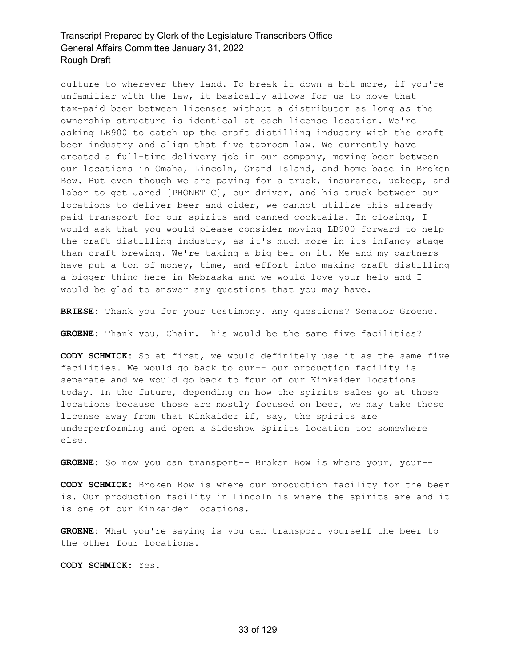culture to wherever they land. To break it down a bit more, if you're unfamiliar with the law, it basically allows for us to move that tax-paid beer between licenses without a distributor as long as the ownership structure is identical at each license location. We're asking LB900 to catch up the craft distilling industry with the craft beer industry and align that five taproom law. We currently have created a full-time delivery job in our company, moving beer between our locations in Omaha, Lincoln, Grand Island, and home base in Broken Bow. But even though we are paying for a truck, insurance, upkeep, and labor to get Jared [PHONETIC], our driver, and his truck between our locations to deliver beer and cider, we cannot utilize this already paid transport for our spirits and canned cocktails. In closing, I would ask that you would please consider moving LB900 forward to help the craft distilling industry, as it's much more in its infancy stage than craft brewing. We're taking a big bet on it. Me and my partners have put a ton of money, time, and effort into making craft distilling a bigger thing here in Nebraska and we would love your help and I would be glad to answer any questions that you may have.

**BRIESE:** Thank you for your testimony. Any questions? Senator Groene.

**GROENE:** Thank you, Chair. This would be the same five facilities?

**CODY SCHMICK:** So at first, we would definitely use it as the same five facilities. We would go back to our-- our production facility is separate and we would go back to four of our Kinkaider locations today. In the future, depending on how the spirits sales go at those locations because those are mostly focused on beer, we may take those license away from that Kinkaider if, say, the spirits are underperforming and open a Sideshow Spirits location too somewhere else.

GROENE: So now you can transport-- Broken Bow is where your, your--

**CODY SCHMICK:** Broken Bow is where our production facility for the beer is. Our production facility in Lincoln is where the spirits are and it is one of our Kinkaider locations.

**GROENE:** What you're saying is you can transport yourself the beer to the other four locations.

**CODY SCHMICK:** Yes.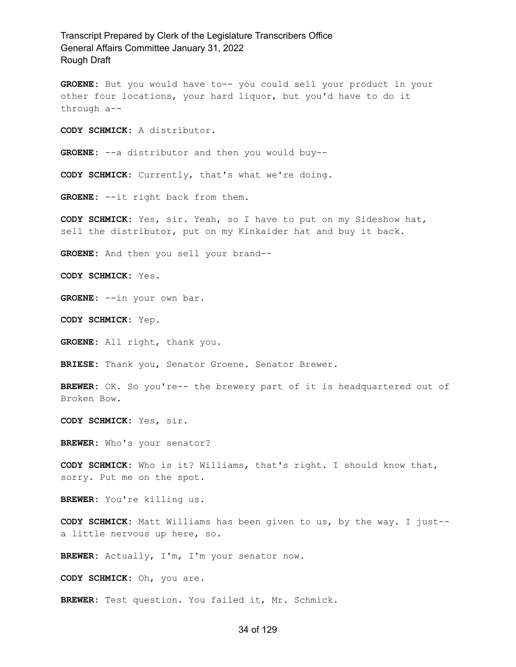**GROENE:** But you would have to-- you could sell your product in your other four locations, your hard liquor, but you'd have to do it through a--

**CODY SCHMICK:** A distributor.

**GROENE:** --a distributor and then you would buy--

**CODY SCHMICK:** Currently, that's what we're doing.

**GROENE:** --it right back from them.

**CODY SCHMICK:** Yes, sir. Yeah, so I have to put on my Sideshow hat, sell the distributor, put on my Kinkaider hat and buy it back.

**GROENE:** And then you sell your brand--

**CODY SCHMICK:** Yes.

**GROENE:** --in your own bar.

**CODY SCHMICK:** Yep.

**GROENE:** All right, thank you.

**BRIESE:** Thank you, Senator Groene. Senator Brewer.

**BREWER:** OK. So you're-- the brewery part of it is headquartered out of Broken Bow.

**CODY SCHMICK:** Yes, sir.

**BREWER:** Who's your senator?

**CODY SCHMICK:** Who is it? Williams, that's right. I should know that, sorry. Put me on the spot.

**BREWER:** You're killing us.

**CODY SCHMICK:** Matt Williams has been given to us, by the way. I just- a little nervous up here, so.

**BREWER:** Actually, I'm, I'm your senator now.

**CODY SCHMICK:** Oh, you are.

**BREWER:** Test question. You failed it, Mr. Schmick.

#### 34 of 129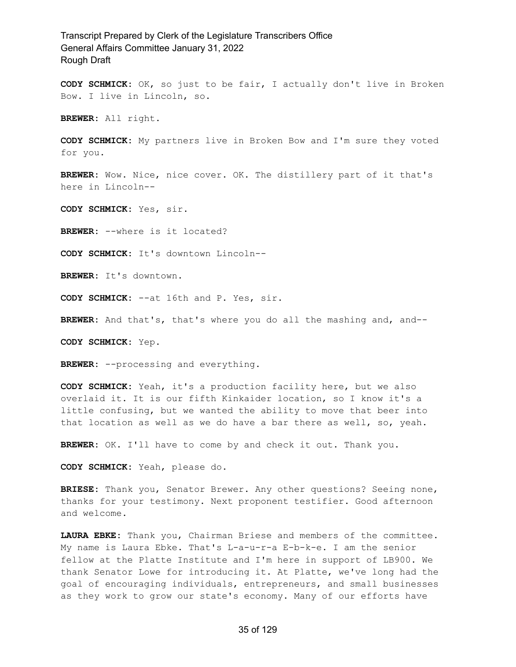**CODY SCHMICK:** OK, so just to be fair, I actually don't live in Broken Bow. I live in Lincoln, so.

**BREWER:** All right.

**CODY SCHMICK:** My partners live in Broken Bow and I'm sure they voted for you.

**BREWER:** Wow. Nice, nice cover. OK. The distillery part of it that's here in Lincoln--

**CODY SCHMICK:** Yes, sir.

**BREWER:** --where is it located?

**CODY SCHMICK:** It's downtown Lincoln--

**BREWER:** It's downtown.

**CODY SCHMICK:** --at 16th and P. Yes, sir.

**BREWER:** And that's, that's where you do all the mashing and, and--

**CODY SCHMICK:** Yep.

**BREWER:** --processing and everything.

**CODY SCHMICK:** Yeah, it's a production facility here, but we also overlaid it. It is our fifth Kinkaider location, so I know it's a little confusing, but we wanted the ability to move that beer into that location as well as we do have a bar there as well, so, yeah.

**BREWER:** OK. I'll have to come by and check it out. Thank you.

**CODY SCHMICK:** Yeah, please do.

**BRIESE:** Thank you, Senator Brewer. Any other questions? Seeing none, thanks for your testimony. Next proponent testifier. Good afternoon and welcome.

**LAURA EBKE:** Thank you, Chairman Briese and members of the committee. My name is Laura Ebke. That's L-a-u-r-a E-b-k-e. I am the senior fellow at the Platte Institute and I'm here in support of LB900. We thank Senator Lowe for introducing it. At Platte, we've long had the goal of encouraging individuals, entrepreneurs, and small businesses as they work to grow our state's economy. Many of our efforts have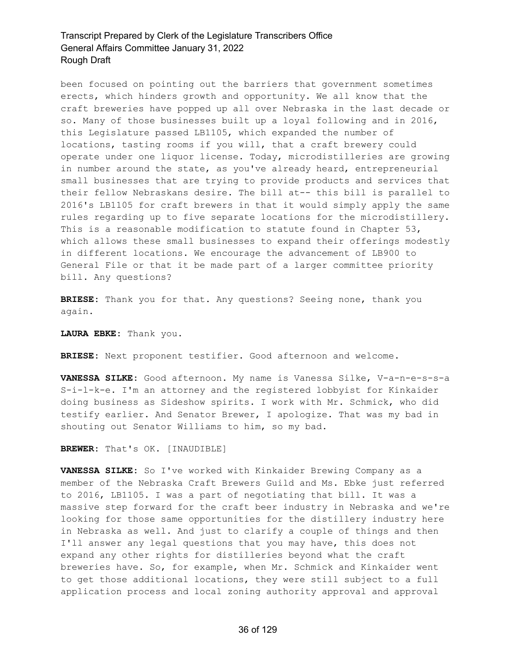been focused on pointing out the barriers that government sometimes erects, which hinders growth and opportunity. We all know that the craft breweries have popped up all over Nebraska in the last decade or so. Many of those businesses built up a loyal following and in 2016, this Legislature passed LB1105, which expanded the number of locations, tasting rooms if you will, that a craft brewery could operate under one liquor license. Today, microdistilleries are growing in number around the state, as you've already heard, entrepreneurial small businesses that are trying to provide products and services that their fellow Nebraskans desire. The bill at-- this bill is parallel to 2016's LB1105 for craft brewers in that it would simply apply the same rules regarding up to five separate locations for the microdistillery. This is a reasonable modification to statute found in Chapter 53, which allows these small businesses to expand their offerings modestly in different locations. We encourage the advancement of LB900 to General File or that it be made part of a larger committee priority bill. Any questions?

**BRIESE:** Thank you for that. Any questions? Seeing none, thank you again.

**LAURA EBKE:** Thank you.

**BRIESE:** Next proponent testifier. Good afternoon and welcome.

**VANESSA SILKE:** Good afternoon. My name is Vanessa Silke, V-a-n-e-s-s-a S-i-l-k-e. I'm an attorney and the registered lobbyist for Kinkaider doing business as Sideshow spirits. I work with Mr. Schmick, who did testify earlier. And Senator Brewer, I apologize. That was my bad in shouting out Senator Williams to him, so my bad.

**BREWER:** That's OK. [INAUDIBLE]

**VANESSA SILKE:** So I've worked with Kinkaider Brewing Company as a member of the Nebraska Craft Brewers Guild and Ms. Ebke just referred to 2016, LB1105. I was a part of negotiating that bill. It was a massive step forward for the craft beer industry in Nebraska and we're looking for those same opportunities for the distillery industry here in Nebraska as well. And just to clarify a couple of things and then I'll answer any legal questions that you may have, this does not expand any other rights for distilleries beyond what the craft breweries have. So, for example, when Mr. Schmick and Kinkaider went to get those additional locations, they were still subject to a full application process and local zoning authority approval and approval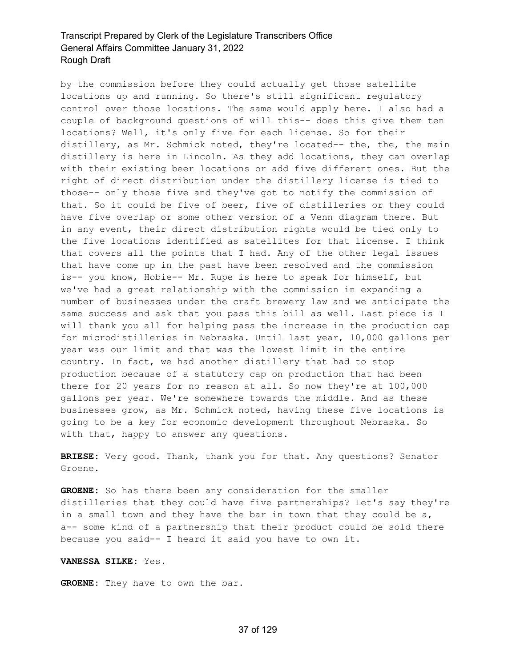by the commission before they could actually get those satellite locations up and running. So there's still significant regulatory control over those locations. The same would apply here. I also had a couple of background questions of will this-- does this give them ten locations? Well, it's only five for each license. So for their distillery, as Mr. Schmick noted, they're located-- the, the, the main distillery is here in Lincoln. As they add locations, they can overlap with their existing beer locations or add five different ones. But the right of direct distribution under the distillery license is tied to those-- only those five and they've got to notify the commission of that. So it could be five of beer, five of distilleries or they could have five overlap or some other version of a Venn diagram there. But in any event, their direct distribution rights would be tied only to the five locations identified as satellites for that license. I think that covers all the points that I had. Any of the other legal issues that have come up in the past have been resolved and the commission is-- you know, Hobie-- Mr. Rupe is here to speak for himself, but we've had a great relationship with the commission in expanding a number of businesses under the craft brewery law and we anticipate the same success and ask that you pass this bill as well. Last piece is I will thank you all for helping pass the increase in the production cap for microdistilleries in Nebraska. Until last year, 10,000 gallons per year was our limit and that was the lowest limit in the entire country. In fact, we had another distillery that had to stop production because of a statutory cap on production that had been there for 20 years for no reason at all. So now they're at 100,000 gallons per year. We're somewhere towards the middle. And as these businesses grow, as Mr. Schmick noted, having these five locations is going to be a key for economic development throughout Nebraska. So with that, happy to answer any questions.

**BRIESE:** Very good. Thank, thank you for that. Any questions? Senator Groene.

**GROENE:** So has there been any consideration for the smaller distilleries that they could have five partnerships? Let's say they're in a small town and they have the bar in town that they could be  $a_{\ell}$ a-- some kind of a partnership that their product could be sold there because you said-- I heard it said you have to own it.

**VANESSA SILKE:** Yes.

**GROENE:** They have to own the bar.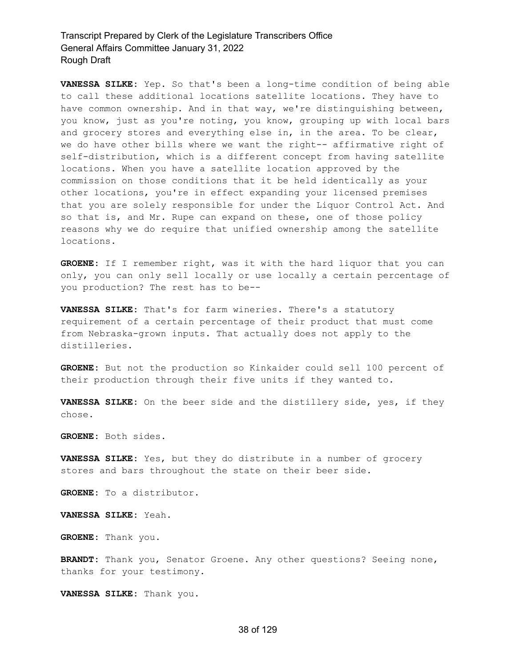**VANESSA SILKE:** Yep. So that's been a long-time condition of being able to call these additional locations satellite locations. They have to have common ownership. And in that way, we're distinguishing between, you know, just as you're noting, you know, grouping up with local bars and grocery stores and everything else in, in the area. To be clear, we do have other bills where we want the right-- affirmative right of self-distribution, which is a different concept from having satellite locations. When you have a satellite location approved by the commission on those conditions that it be held identically as your other locations, you're in effect expanding your licensed premises that you are solely responsible for under the Liquor Control Act. And so that is, and Mr. Rupe can expand on these, one of those policy reasons why we do require that unified ownership among the satellite locations.

**GROENE:** If I remember right, was it with the hard liquor that you can only, you can only sell locally or use locally a certain percentage of you production? The rest has to be--

**VANESSA SILKE:** That's for farm wineries. There's a statutory requirement of a certain percentage of their product that must come from Nebraska-grown inputs. That actually does not apply to the distilleries.

**GROENE:** But not the production so Kinkaider could sell 100 percent of their production through their five units if they wanted to.

**VANESSA SILKE:** On the beer side and the distillery side, yes, if they chose.

**GROENE:** Both sides.

**VANESSA SILKE:** Yes, but they do distribute in a number of grocery stores and bars throughout the state on their beer side.

**GROENE:** To a distributor.

**VANESSA SILKE:** Yeah.

**GROENE:** Thank you.

**BRANDT:** Thank you, Senator Groene. Any other questions? Seeing none, thanks for your testimony.

**VANESSA SILKE:** Thank you.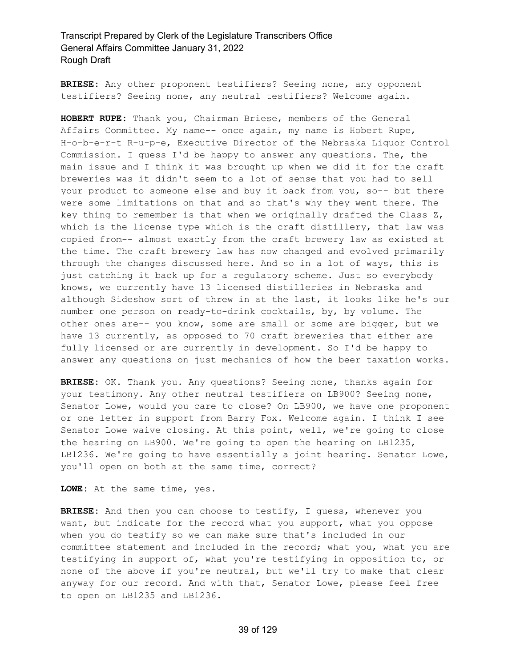**BRIESE:** Any other proponent testifiers? Seeing none, any opponent testifiers? Seeing none, any neutral testifiers? Welcome again.

**HOBERT RUPE:** Thank you, Chairman Briese, members of the General Affairs Committee. My name-- once again, my name is Hobert Rupe, H-o-b-e-r-t R-u-p-e, Executive Director of the Nebraska Liquor Control Commission. I guess I'd be happy to answer any questions. The, the main issue and I think it was brought up when we did it for the craft breweries was it didn't seem to a lot of sense that you had to sell your product to someone else and buy it back from you, so-- but there were some limitations on that and so that's why they went there. The key thing to remember is that when we originally drafted the Class Z, which is the license type which is the craft distillery, that law was copied from-- almost exactly from the craft brewery law as existed at the time. The craft brewery law has now changed and evolved primarily through the changes discussed here. And so in a lot of ways, this is just catching it back up for a regulatory scheme. Just so everybody knows, we currently have 13 licensed distilleries in Nebraska and although Sideshow sort of threw in at the last, it looks like he's our number one person on ready-to-drink cocktails, by, by volume. The other ones are-- you know, some are small or some are bigger, but we have 13 currently, as opposed to 70 craft breweries that either are fully licensed or are currently in development. So I'd be happy to answer any questions on just mechanics of how the beer taxation works.

**BRIESE:** OK. Thank you. Any questions? Seeing none, thanks again for your testimony. Any other neutral testifiers on LB900? Seeing none, Senator Lowe, would you care to close? On LB900, we have one proponent or one letter in support from Barry Fox. Welcome again. I think I see Senator Lowe waive closing. At this point, well, we're going to close the hearing on LB900. We're going to open the hearing on LB1235, LB1236. We're going to have essentially a joint hearing. Senator Lowe, you'll open on both at the same time, correct?

**LOWE:** At the same time, yes.

**BRIESE:** And then you can choose to testify, I guess, whenever you want, but indicate for the record what you support, what you oppose when you do testify so we can make sure that's included in our committee statement and included in the record; what you, what you are testifying in support of, what you're testifying in opposition to, or none of the above if you're neutral, but we'll try to make that clear anyway for our record. And with that, Senator Lowe, please feel free to open on LB1235 and LB1236.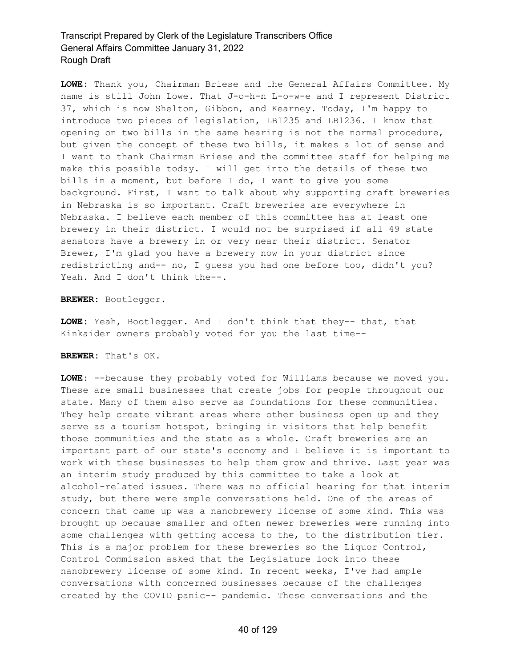**LOWE:** Thank you, Chairman Briese and the General Affairs Committee. My name is still John Lowe. That J-o-h-n L-o-w-e and I represent District 37, which is now Shelton, Gibbon, and Kearney. Today, I'm happy to introduce two pieces of legislation, LB1235 and LB1236. I know that opening on two bills in the same hearing is not the normal procedure, but given the concept of these two bills, it makes a lot of sense and I want to thank Chairman Briese and the committee staff for helping me make this possible today. I will get into the details of these two bills in a moment, but before I do, I want to give you some background. First, I want to talk about why supporting craft breweries in Nebraska is so important. Craft breweries are everywhere in Nebraska. I believe each member of this committee has at least one brewery in their district. I would not be surprised if all 49 state senators have a brewery in or very near their district. Senator Brewer, I'm glad you have a brewery now in your district since redistricting and-- no, I guess you had one before too, didn't you? Yeah. And I don't think the --.

**BREWER:** Bootlegger.

**LOWE:** Yeah, Bootlegger. And I don't think that they-- that, that Kinkaider owners probably voted for you the last time--

**BREWER:** That's OK.

**LOWE:** --because they probably voted for Williams because we moved you. These are small businesses that create jobs for people throughout our state. Many of them also serve as foundations for these communities. They help create vibrant areas where other business open up and they serve as a tourism hotspot, bringing in visitors that help benefit those communities and the state as a whole. Craft breweries are an important part of our state's economy and I believe it is important to work with these businesses to help them grow and thrive. Last year was an interim study produced by this committee to take a look at alcohol-related issues. There was no official hearing for that interim study, but there were ample conversations held. One of the areas of concern that came up was a nanobrewery license of some kind. This was brought up because smaller and often newer breweries were running into some challenges with getting access to the, to the distribution tier. This is a major problem for these breweries so the Liquor Control, Control Commission asked that the Legislature look into these nanobrewery license of some kind. In recent weeks, I've had ample conversations with concerned businesses because of the challenges created by the COVID panic-- pandemic. These conversations and the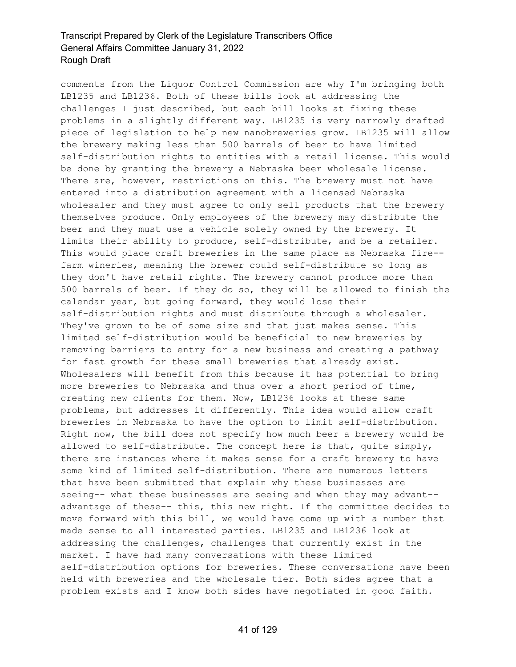comments from the Liquor Control Commission are why I'm bringing both LB1235 and LB1236. Both of these bills look at addressing the challenges I just described, but each bill looks at fixing these problems in a slightly different way. LB1235 is very narrowly drafted piece of legislation to help new nanobreweries grow. LB1235 will allow the brewery making less than 500 barrels of beer to have limited self-distribution rights to entities with a retail license. This would be done by granting the brewery a Nebraska beer wholesale license. There are, however, restrictions on this. The brewery must not have entered into a distribution agreement with a licensed Nebraska wholesaler and they must agree to only sell products that the brewery themselves produce. Only employees of the brewery may distribute the beer and they must use a vehicle solely owned by the brewery. It limits their ability to produce, self-distribute, and be a retailer. This would place craft breweries in the same place as Nebraska fire- farm wineries, meaning the brewer could self-distribute so long as they don't have retail rights. The brewery cannot produce more than 500 barrels of beer. If they do so, they will be allowed to finish the calendar year, but going forward, they would lose their self-distribution rights and must distribute through a wholesaler. They've grown to be of some size and that just makes sense. This limited self-distribution would be beneficial to new breweries by removing barriers to entry for a new business and creating a pathway for fast growth for these small breweries that already exist. Wholesalers will benefit from this because it has potential to bring more breweries to Nebraska and thus over a short period of time, creating new clients for them. Now, LB1236 looks at these same problems, but addresses it differently. This idea would allow craft breweries in Nebraska to have the option to limit self-distribution. Right now, the bill does not specify how much beer a brewery would be allowed to self-distribute. The concept here is that, quite simply, there are instances where it makes sense for a craft brewery to have some kind of limited self-distribution. There are numerous letters that have been submitted that explain why these businesses are seeing-- what these businesses are seeing and when they may advant- advantage of these-- this, this new right. If the committee decides to move forward with this bill, we would have come up with a number that made sense to all interested parties. LB1235 and LB1236 look at addressing the challenges, challenges that currently exist in the market. I have had many conversations with these limited self-distribution options for breweries. These conversations have been held with breweries and the wholesale tier. Both sides agree that a problem exists and I know both sides have negotiated in good faith.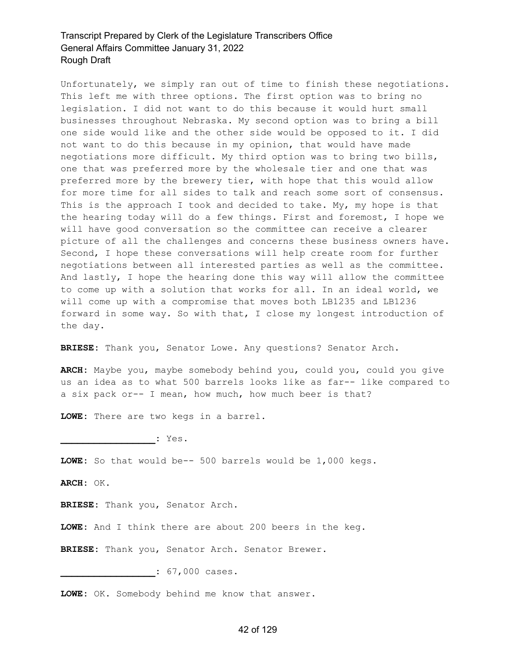Unfortunately, we simply ran out of time to finish these negotiations. This left me with three options. The first option was to bring no legislation. I did not want to do this because it would hurt small businesses throughout Nebraska. My second option was to bring a bill one side would like and the other side would be opposed to it. I did not want to do this because in my opinion, that would have made negotiations more difficult. My third option was to bring two bills, one that was preferred more by the wholesale tier and one that was preferred more by the brewery tier, with hope that this would allow for more time for all sides to talk and reach some sort of consensus. This is the approach I took and decided to take. My, my hope is that the hearing today will do a few things. First and foremost, I hope we will have good conversation so the committee can receive a clearer picture of all the challenges and concerns these business owners have. Second, I hope these conversations will help create room for further negotiations between all interested parties as well as the committee. And lastly, I hope the hearing done this way will allow the committee to come up with a solution that works for all. In an ideal world, we will come up with a compromise that moves both LB1235 and LB1236 forward in some way. So with that, I close my longest introduction of the day.

**BRIESE:** Thank you, Senator Lowe. Any questions? Senator Arch.

**ARCH:** Maybe you, maybe somebody behind you, could you, could you give us an idea as to what 500 barrels looks like as far-- like compared to a six pack or-- I mean, how much, how much beer is that?

**LOWE:** There are two kegs in a barrel.

**\_\_\_\_\_\_\_\_\_\_\_\_\_\_\_\_\_:** Yes.

**LOWE:** So that would be-- 500 barrels would be 1,000 kegs.

**ARCH:** OK.

**BRIESE:** Thank you, Senator Arch.

**LOWE:** And I think there are about 200 beers in the keg.

**BRIESE:** Thank you, Senator Arch. Senator Brewer.

**\_\_\_\_\_\_\_\_\_\_\_\_\_\_\_\_\_:** 67,000 cases.

**LOWE:** OK. Somebody behind me know that answer.

#### 42 of 129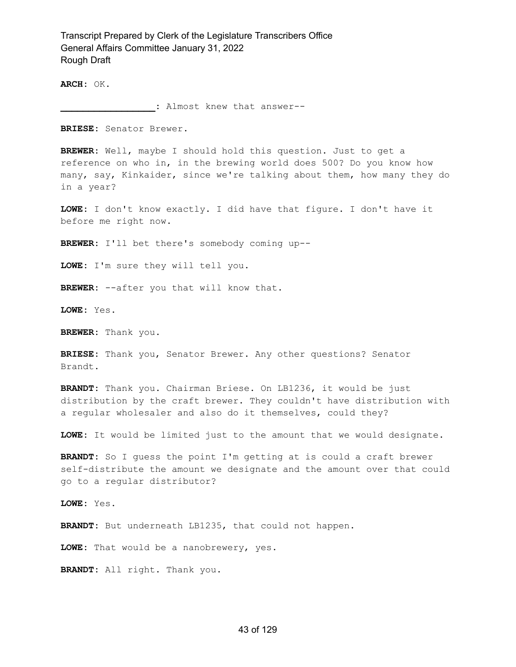**ARCH:** OK.

**\_\_\_\_\_\_\_\_\_\_\_\_\_\_\_\_\_:** Almost knew that answer--

**BRIESE:** Senator Brewer.

**BREWER:** Well, maybe I should hold this question. Just to get a reference on who in, in the brewing world does 500? Do you know how many, say, Kinkaider, since we're talking about them, how many they do in a year?

**LOWE:** I don't know exactly. I did have that figure. I don't have it before me right now.

**BREWER:** I'll bet there's somebody coming up--

**LOWE:** I'm sure they will tell you.

**BREWER:** --after you that will know that.

**LOWE:** Yes.

**BREWER:** Thank you.

**BRIESE:** Thank you, Senator Brewer. Any other questions? Senator Brandt.

**BRANDT:** Thank you. Chairman Briese. On LB1236, it would be just distribution by the craft brewer. They couldn't have distribution with a regular wholesaler and also do it themselves, could they?

**LOWE:** It would be limited just to the amount that we would designate.

**BRANDT:** So I guess the point I'm getting at is could a craft brewer self-distribute the amount we designate and the amount over that could go to a regular distributor?

**LOWE:** Yes.

**BRANDT:** But underneath LB1235, that could not happen.

**LOWE:** That would be a nanobrewery, yes.

**BRANDT:** All right. Thank you.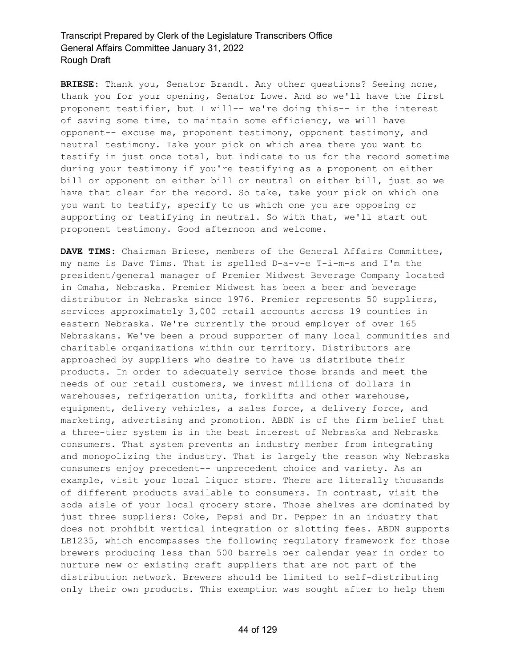**BRIESE:** Thank you, Senator Brandt. Any other questions? Seeing none, thank you for your opening, Senator Lowe. And so we'll have the first proponent testifier, but I will-- we're doing this-- in the interest of saving some time, to maintain some efficiency, we will have opponent-- excuse me, proponent testimony, opponent testimony, and neutral testimony. Take your pick on which area there you want to testify in just once total, but indicate to us for the record sometime during your testimony if you're testifying as a proponent on either bill or opponent on either bill or neutral on either bill, just so we have that clear for the record. So take, take your pick on which one you want to testify, specify to us which one you are opposing or supporting or testifying in neutral. So with that, we'll start out proponent testimony. Good afternoon and welcome.

**DAVE TIMS:** Chairman Briese, members of the General Affairs Committee, my name is Dave Tims. That is spelled D-a-v-e T-i-m-s and I'm the president/general manager of Premier Midwest Beverage Company located in Omaha, Nebraska. Premier Midwest has been a beer and beverage distributor in Nebraska since 1976. Premier represents 50 suppliers, services approximately 3,000 retail accounts across 19 counties in eastern Nebraska. We're currently the proud employer of over 165 Nebraskans. We've been a proud supporter of many local communities and charitable organizations within our territory. Distributors are approached by suppliers who desire to have us distribute their products. In order to adequately service those brands and meet the needs of our retail customers, we invest millions of dollars in warehouses, refrigeration units, forklifts and other warehouse, equipment, delivery vehicles, a sales force, a delivery force, and marketing, advertising and promotion. ABDN is of the firm belief that a three-tier system is in the best interest of Nebraska and Nebraska consumers. That system prevents an industry member from integrating and monopolizing the industry. That is largely the reason why Nebraska consumers enjoy precedent-- unprecedent choice and variety. As an example, visit your local liquor store. There are literally thousands of different products available to consumers. In contrast, visit the soda aisle of your local grocery store. Those shelves are dominated by just three suppliers: Coke, Pepsi and Dr. Pepper in an industry that does not prohibit vertical integration or slotting fees. ABDN supports LB1235, which encompasses the following regulatory framework for those brewers producing less than 500 barrels per calendar year in order to nurture new or existing craft suppliers that are not part of the distribution network. Brewers should be limited to self-distributing only their own products. This exemption was sought after to help them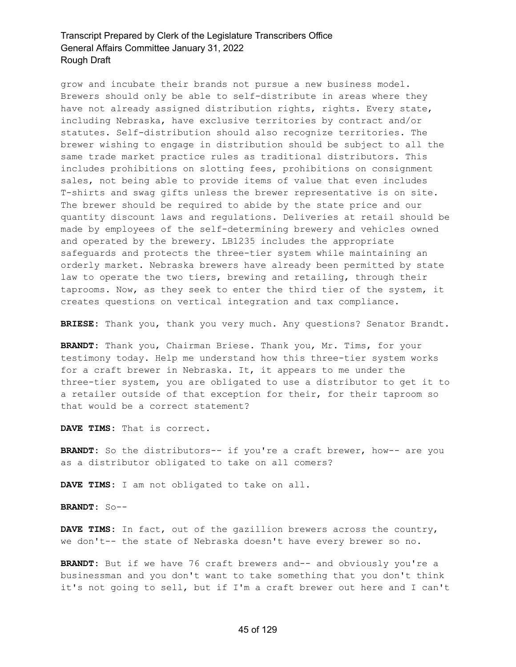grow and incubate their brands not pursue a new business model. Brewers should only be able to self-distribute in areas where they have not already assigned distribution rights, rights. Every state, including Nebraska, have exclusive territories by contract and/or statutes. Self-distribution should also recognize territories. The brewer wishing to engage in distribution should be subject to all the same trade market practice rules as traditional distributors. This includes prohibitions on slotting fees, prohibitions on consignment sales, not being able to provide items of value that even includes T-shirts and swag gifts unless the brewer representative is on site. The brewer should be required to abide by the state price and our quantity discount laws and regulations. Deliveries at retail should be made by employees of the self-determining brewery and vehicles owned and operated by the brewery. LB1235 includes the appropriate safeguards and protects the three-tier system while maintaining an orderly market. Nebraska brewers have already been permitted by state law to operate the two tiers, brewing and retailing, through their taprooms. Now, as they seek to enter the third tier of the system, it creates questions on vertical integration and tax compliance.

**BRIESE:** Thank you, thank you very much. Any questions? Senator Brandt.

**BRANDT:** Thank you, Chairman Briese. Thank you, Mr. Tims, for your testimony today. Help me understand how this three-tier system works for a craft brewer in Nebraska. It, it appears to me under the three-tier system, you are obligated to use a distributor to get it to a retailer outside of that exception for their, for their taproom so that would be a correct statement?

**DAVE TIMS:** That is correct.

**BRANDT:** So the distributors-- if you're a craft brewer, how-- are you as a distributor obligated to take on all comers?

**DAVE TIMS:** I am not obligated to take on all.

**BRANDT:** So--

**DAVE TIMS:** In fact, out of the gazillion brewers across the country, we don't-- the state of Nebraska doesn't have every brewer so no.

**BRANDT:** But if we have 76 craft brewers and-- and obviously you're a businessman and you don't want to take something that you don't think it's not going to sell, but if I'm a craft brewer out here and I can't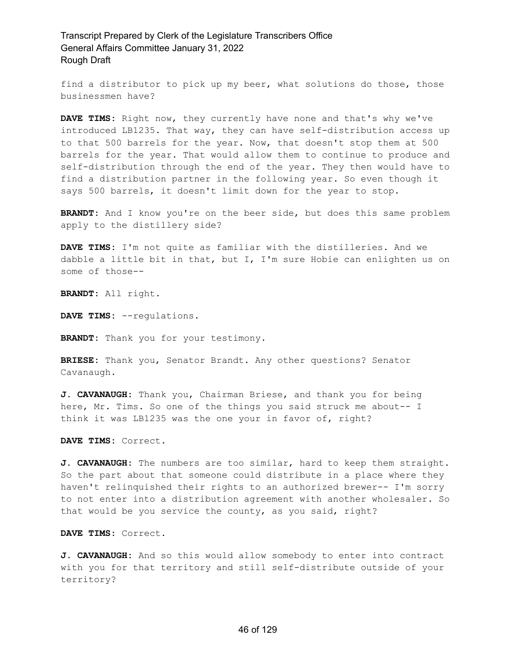find a distributor to pick up my beer, what solutions do those, those businessmen have?

**DAVE TIMS:** Right now, they currently have none and that's why we've introduced LB1235. That way, they can have self-distribution access up to that 500 barrels for the year. Now, that doesn't stop them at 500 barrels for the year. That would allow them to continue to produce and self-distribution through the end of the year. They then would have to find a distribution partner in the following year. So even though it says 500 barrels, it doesn't limit down for the year to stop.

**BRANDT:** And I know you're on the beer side, but does this same problem apply to the distillery side?

**DAVE TIMS:** I'm not quite as familiar with the distilleries. And we dabble a little bit in that, but I, I'm sure Hobie can enlighten us on some of those--

**BRANDT:** All right.

**DAVE TIMS:** --regulations.

**BRANDT:** Thank you for your testimony.

**BRIESE:** Thank you, Senator Brandt. Any other questions? Senator Cavanaugh.

**J. CAVANAUGH:** Thank you, Chairman Briese, and thank you for being here, Mr. Tims. So one of the things you said struck me about-- I think it was LB1235 was the one your in favor of, right?

**DAVE TIMS:** Correct.

**J. CAVANAUGH:** The numbers are too similar, hard to keep them straight. So the part about that someone could distribute in a place where they haven't relinquished their rights to an authorized brewer-- I'm sorry to not enter into a distribution agreement with another wholesaler. So that would be you service the county, as you said, right?

**DAVE TIMS:** Correct.

**J. CAVANAUGH:** And so this would allow somebody to enter into contract with you for that territory and still self-distribute outside of your territory?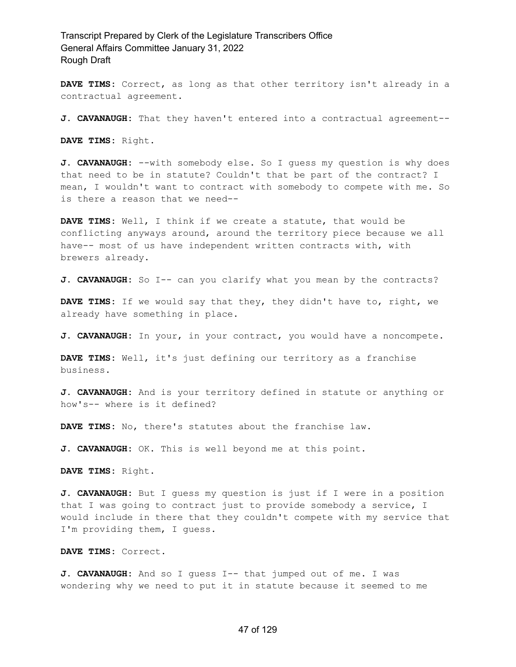**DAVE TIMS:** Correct, as long as that other territory isn't already in a contractual agreement.

**J. CAVANAUGH:** That they haven't entered into a contractual agreement--

**DAVE TIMS:** Right.

**J. CAVANAUGH:** --with somebody else. So I guess my question is why does that need to be in statute? Couldn't that be part of the contract? I mean, I wouldn't want to contract with somebody to compete with me. So is there a reason that we need--

**DAVE TIMS:** Well, I think if we create a statute, that would be conflicting anyways around, around the territory piece because we all have-- most of us have independent written contracts with, with brewers already.

J. **CAVANAUGH:** So I-- can you clarify what you mean by the contracts?

**DAVE TIMS:** If we would say that they, they didn't have to, right, we already have something in place.

**J. CAVANAUGH:** In your, in your contract, you would have a noncompete.

**DAVE TIMS:** Well, it's just defining our territory as a franchise business.

**J. CAVANAUGH:** And is your territory defined in statute or anything or how's-- where is it defined?

**DAVE TIMS:** No, there's statutes about the franchise law.

**J. CAVANAUGH:** OK. This is well beyond me at this point.

**DAVE TIMS:** Right.

**J. CAVANAUGH:** But I guess my question is just if I were in a position that I was going to contract just to provide somebody a service, I would include in there that they couldn't compete with my service that I'm providing them, I guess.

**DAVE TIMS:** Correct.

**J. CAVANAUGH:** And so I guess I-- that jumped out of me. I was wondering why we need to put it in statute because it seemed to me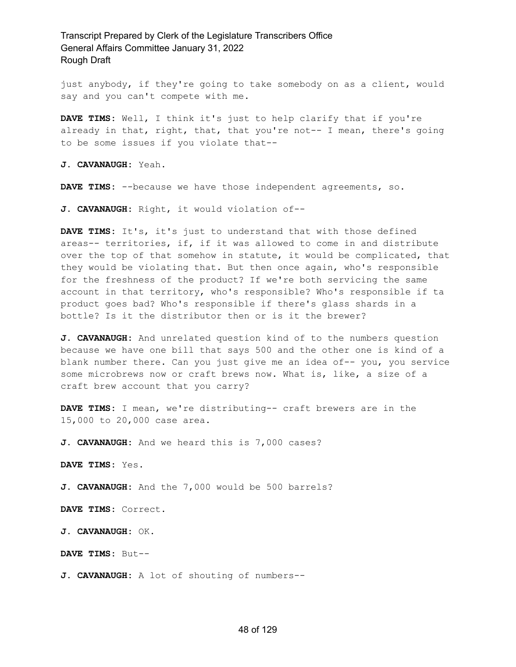just anybody, if they're going to take somebody on as a client, would say and you can't compete with me.

**DAVE TIMS:** Well, I think it's just to help clarify that if you're already in that, right, that, that you're not-- I mean, there's going to be some issues if you violate that--

**J. CAVANAUGH:** Yeah.

**DAVE TIMS:** --because we have those independent agreements, so.

**J. CAVANAUGH:** Right, it would violation of--

**DAVE TIMS:** It's, it's just to understand that with those defined areas-- territories, if, if it was allowed to come in and distribute over the top of that somehow in statute, it would be complicated, that they would be violating that. But then once again, who's responsible for the freshness of the product? If we're both servicing the same account in that territory, who's responsible? Who's responsible if ta product goes bad? Who's responsible if there's glass shards in a bottle? Is it the distributor then or is it the brewer?

**J. CAVANAUGH:** And unrelated question kind of to the numbers question because we have one bill that says 500 and the other one is kind of a blank number there. Can you just give me an idea of-- you, you service some microbrews now or craft brews now. What is, like, a size of a craft brew account that you carry?

**DAVE TIMS:** I mean, we're distributing-- craft brewers are in the 15,000 to 20,000 case area.

**J. CAVANAUGH:** And we heard this is 7,000 cases?

**DAVE TIMS:** Yes.

**J. CAVANAUGH:** And the 7,000 would be 500 barrels?

**DAVE TIMS:** Correct.

**J. CAVANAUGH:** OK.

**DAVE TIMS:** But--

**J. CAVANAUGH:** A lot of shouting of numbers--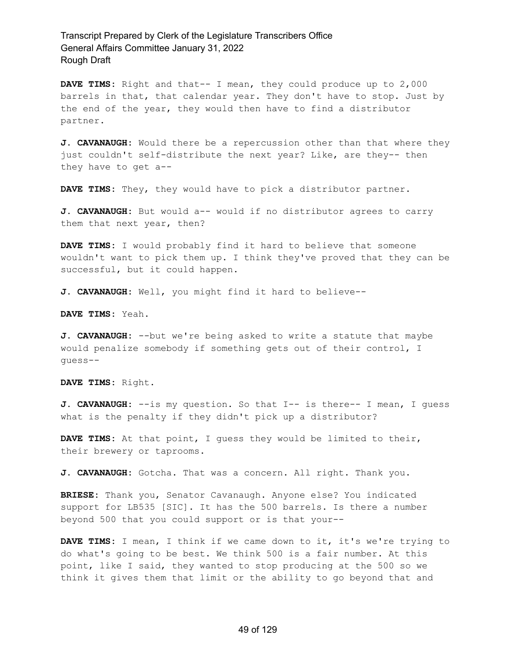**DAVE TIMS:** Right and that-- I mean, they could produce up to 2,000 barrels in that, that calendar year. They don't have to stop. Just by the end of the year, they would then have to find a distributor partner.

**J. CAVANAUGH:** Would there be a repercussion other than that where they just couldn't self-distribute the next year? Like, are they-- then they have to get a--

**DAVE TIMS:** They, they would have to pick a distributor partner.

**J. CAVANAUGH:** But would a-- would if no distributor agrees to carry them that next year, then?

**DAVE TIMS:** I would probably find it hard to believe that someone wouldn't want to pick them up. I think they've proved that they can be successful, but it could happen.

**J. CAVANAUGH:** Well, you might find it hard to believe--

**DAVE TIMS:** Yeah.

**J. CAVANAUGH:** --but we're being asked to write a statute that maybe would penalize somebody if something gets out of their control, I guess--

**DAVE TIMS:** Right.

**J. CAVANAUGH:** --is my question. So that I-- is there-- I mean, I guess what is the penalty if they didn't pick up a distributor?

**DAVE TIMS:** At that point, I guess they would be limited to their, their brewery or taprooms.

**J. CAVANAUGH:** Gotcha. That was a concern. All right. Thank you.

**BRIESE:** Thank you, Senator Cavanaugh. Anyone else? You indicated support for LB535 [SIC]. It has the 500 barrels. Is there a number beyond 500 that you could support or is that your--

**DAVE TIMS:** I mean, I think if we came down to it, it's we're trying to do what's going to be best. We think 500 is a fair number. At this point, like I said, they wanted to stop producing at the 500 so we think it gives them that limit or the ability to go beyond that and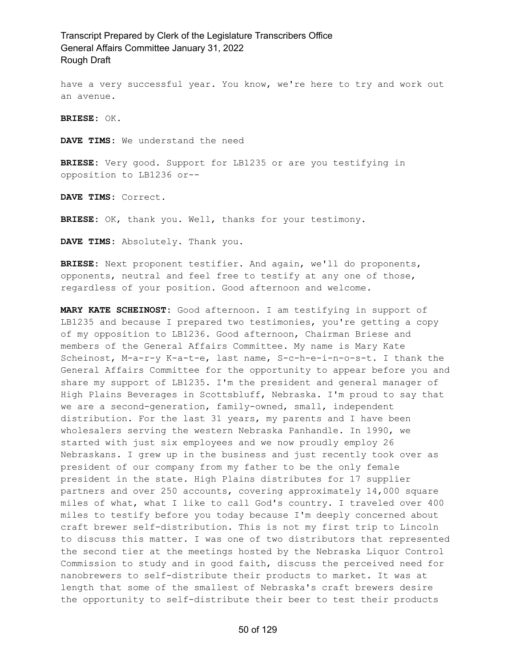have a very successful year. You know, we're here to try and work out an avenue.

**BRIESE:** OK.

**DAVE TIMS:** We understand the need

**BRIESE:** Very good. Support for LB1235 or are you testifying in opposition to LB1236 or--

**DAVE TIMS:** Correct.

**BRIESE:** OK, thank you. Well, thanks for your testimony.

**DAVE TIMS:** Absolutely. Thank you.

**BRIESE:** Next proponent testifier. And again, we'll do proponents, opponents, neutral and feel free to testify at any one of those, regardless of your position. Good afternoon and welcome.

**MARY KATE SCHEINOST:** Good afternoon. I am testifying in support of LB1235 and because I prepared two testimonies, you're getting a copy of my opposition to LB1236. Good afternoon, Chairman Briese and members of the General Affairs Committee. My name is Mary Kate Scheinost, M-a-r-y K-a-t-e, last name, S-c-h-e-i-n-o-s-t. I thank the General Affairs Committee for the opportunity to appear before you and share my support of LB1235. I'm the president and general manager of High Plains Beverages in Scottsbluff, Nebraska. I'm proud to say that we are a second-generation, family-owned, small, independent distribution. For the last 31 years, my parents and I have been wholesalers serving the western Nebraska Panhandle. In 1990, we started with just six employees and we now proudly employ 26 Nebraskans. I grew up in the business and just recently took over as president of our company from my father to be the only female president in the state. High Plains distributes for 17 supplier partners and over 250 accounts, covering approximately 14,000 square miles of what, what I like to call God's country. I traveled over 400 miles to testify before you today because I'm deeply concerned about craft brewer self-distribution. This is not my first trip to Lincoln to discuss this matter. I was one of two distributors that represented the second tier at the meetings hosted by the Nebraska Liquor Control Commission to study and in good faith, discuss the perceived need for nanobrewers to self-distribute their products to market. It was at length that some of the smallest of Nebraska's craft brewers desire the opportunity to self-distribute their beer to test their products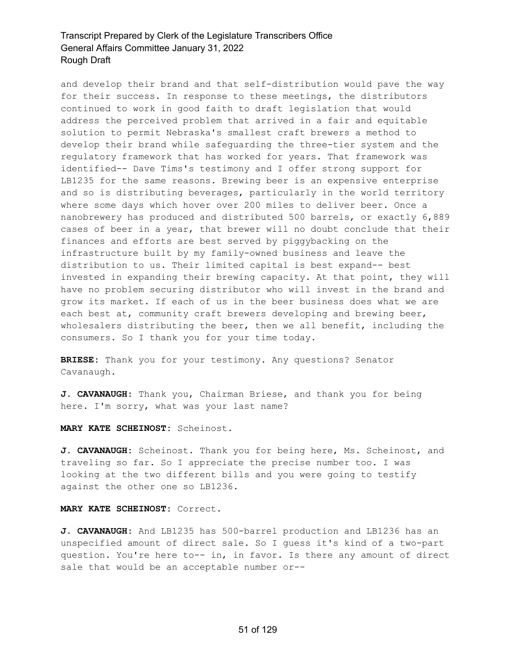and develop their brand and that self-distribution would pave the way for their success. In response to these meetings, the distributors continued to work in good faith to draft legislation that would address the perceived problem that arrived in a fair and equitable solution to permit Nebraska's smallest craft brewers a method to develop their brand while safeguarding the three-tier system and the regulatory framework that has worked for years. That framework was identified-- Dave Tims's testimony and I offer strong support for LB1235 for the same reasons. Brewing beer is an expensive enterprise and so is distributing beverages, particularly in the world territory where some days which hover over 200 miles to deliver beer. Once a nanobrewery has produced and distributed 500 barrels, or exactly 6,889 cases of beer in a year, that brewer will no doubt conclude that their finances and efforts are best served by piggybacking on the infrastructure built by my family-owned business and leave the distribution to us. Their limited capital is best expand-- best invested in expanding their brewing capacity. At that point, they will have no problem securing distributor who will invest in the brand and grow its market. If each of us in the beer business does what we are each best at, community craft brewers developing and brewing beer, wholesalers distributing the beer, then we all benefit, including the consumers. So I thank you for your time today.

**BRIESE:** Thank you for your testimony. Any questions? Senator Cavanaugh.

**J. CAVANAUGH:** Thank you, Chairman Briese, and thank you for being here. I'm sorry, what was your last name?

**MARY KATE SCHEINOST:** Scheinost.

**J. CAVANAUGH:** Scheinost. Thank you for being here, Ms. Scheinost, and traveling so far. So I appreciate the precise number too. I was looking at the two different bills and you were going to testify against the other one so LB1236.

#### **MARY KATE SCHEINOST:** Correct.

**J. CAVANAUGH:** And LB1235 has 500-barrel production and LB1236 has an unspecified amount of direct sale. So I guess it's kind of a two-part question. You're here to-- in, in favor. Is there any amount of direct sale that would be an acceptable number or--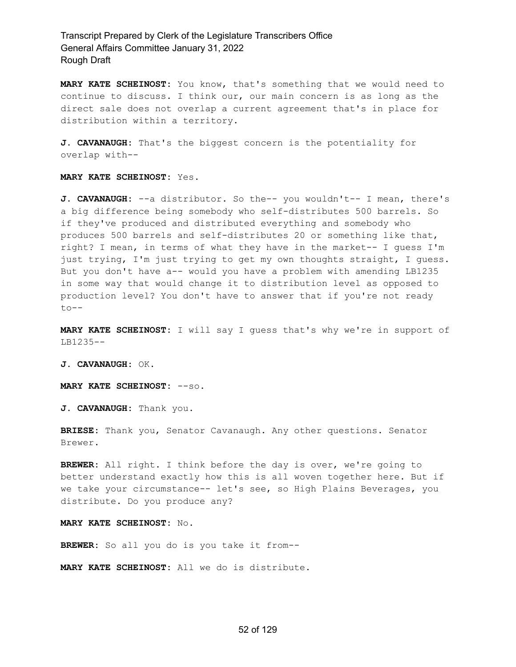**MARY KATE SCHEINOST:** You know, that's something that we would need to continue to discuss. I think our, our main concern is as long as the direct sale does not overlap a current agreement that's in place for distribution within a territory.

**J. CAVANAUGH:** That's the biggest concern is the potentiality for overlap with--

**MARY KATE SCHEINOST:** Yes.

J. CAVANAUGH: --a distributor. So the-- you wouldn't-- I mean, there's a big difference being somebody who self-distributes 500 barrels. So if they've produced and distributed everything and somebody who produces 500 barrels and self-distributes 20 or something like that, right? I mean, in terms of what they have in the market-- I guess I'm just trying, I'm just trying to get my own thoughts straight, I guess. But you don't have a-- would you have a problem with amending LB1235 in some way that would change it to distribution level as opposed to production level? You don't have to answer that if you're not ready  $to --$ 

**MARY KATE SCHEINOST:** I will say I guess that's why we're in support of LB1235--

**J. CAVANAUGH:** OK.

**MARY KATE SCHEINOST:** --so.

**J. CAVANAUGH:** Thank you.

**BRIESE:** Thank you, Senator Cavanaugh. Any other questions. Senator Brewer.

**BREWER:** All right. I think before the day is over, we're going to better understand exactly how this is all woven together here. But if we take your circumstance-- let's see, so High Plains Beverages, you distribute. Do you produce any?

**MARY KATE SCHEINOST:** No.

**BREWER:** So all you do is you take it from--

**MARY KATE SCHEINOST:** All we do is distribute.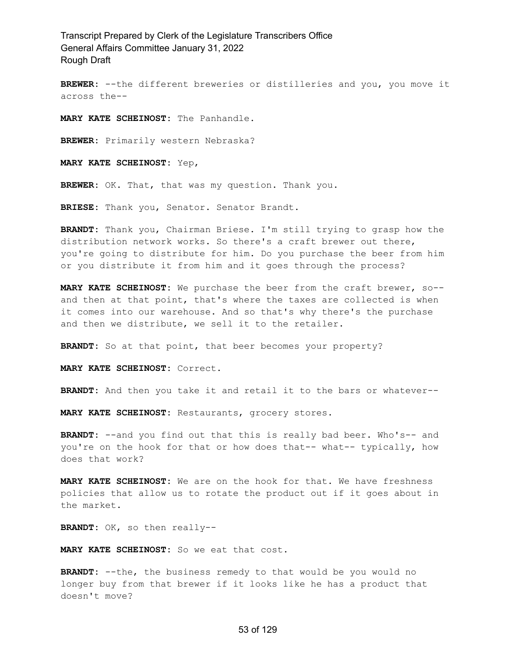**BREWER:** --the different breweries or distilleries and you, you move it across the--

**MARY KATE SCHEINOST:** The Panhandle.

**BREWER:** Primarily western Nebraska?

**MARY KATE SCHEINOST:** Yep,

**BREWER:** OK. That, that was my question. Thank you.

**BRIESE:** Thank you, Senator. Senator Brandt.

**BRANDT:** Thank you, Chairman Briese. I'm still trying to grasp how the distribution network works. So there's a craft brewer out there, you're going to distribute for him. Do you purchase the beer from him or you distribute it from him and it goes through the process?

**MARY KATE SCHEINOST:** We purchase the beer from the craft brewer, so- and then at that point, that's where the taxes are collected is when it comes into our warehouse. And so that's why there's the purchase and then we distribute, we sell it to the retailer.

**BRANDT:** So at that point, that beer becomes your property?

**MARY KATE SCHEINOST:** Correct.

**BRANDT:** And then you take it and retail it to the bars or whatever--

**MARY KATE SCHEINOST:** Restaurants, grocery stores.

**BRANDT:** --and you find out that this is really bad beer. Who's-- and you're on the hook for that or how does that-- what-- typically, how does that work?

**MARY KATE SCHEINOST:** We are on the hook for that. We have freshness policies that allow us to rotate the product out if it goes about in the market.

**BRANDT:** OK, so then really--

**MARY KATE SCHEINOST:** So we eat that cost.

**BRANDT:** --the, the business remedy to that would be you would no longer buy from that brewer if it looks like he has a product that doesn't move?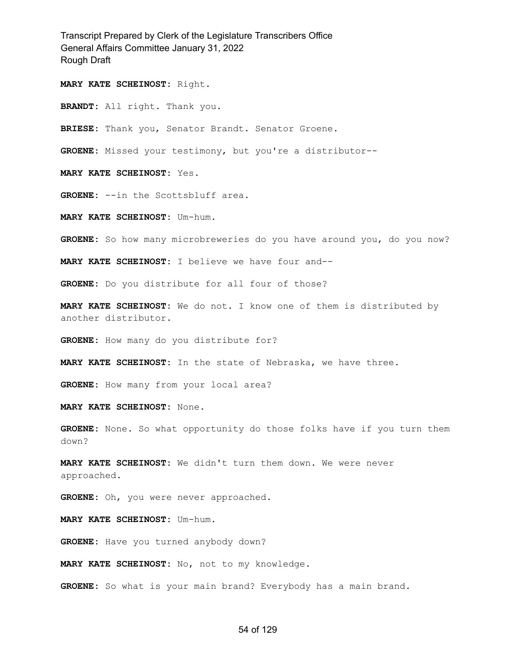**MARY KATE SCHEINOST:** Right.

**BRANDT:** All right. Thank you.

**BRIESE:** Thank you, Senator Brandt. Senator Groene.

**GROENE:** Missed your testimony, but you're a distributor--

**MARY KATE SCHEINOST:** Yes.

**GROENE:** --in the Scottsbluff area.

**MARY KATE SCHEINOST:** Um-hum.

**GROENE:** So how many microbreweries do you have around you, do you now?

**MARY KATE SCHEINOST:** I believe we have four and--

**GROENE:** Do you distribute for all four of those?

**MARY KATE SCHEINOST:** We do not. I know one of them is distributed by another distributor.

**GROENE:** How many do you distribute for?

**MARY KATE SCHEINOST:** In the state of Nebraska, we have three.

**GROENE:** How many from your local area?

**MARY KATE SCHEINOST:** None.

**GROENE:** None. So what opportunity do those folks have if you turn them down?

**MARY KATE SCHEINOST:** We didn't turn them down. We were never approached.

**GROENE:** Oh, you were never approached.

**MARY KATE SCHEINOST:** Um-hum.

**GROENE:** Have you turned anybody down?

**MARY KATE SCHEINOST:** No, not to my knowledge.

**GROENE:** So what is your main brand? Everybody has a main brand.

### 54 of 129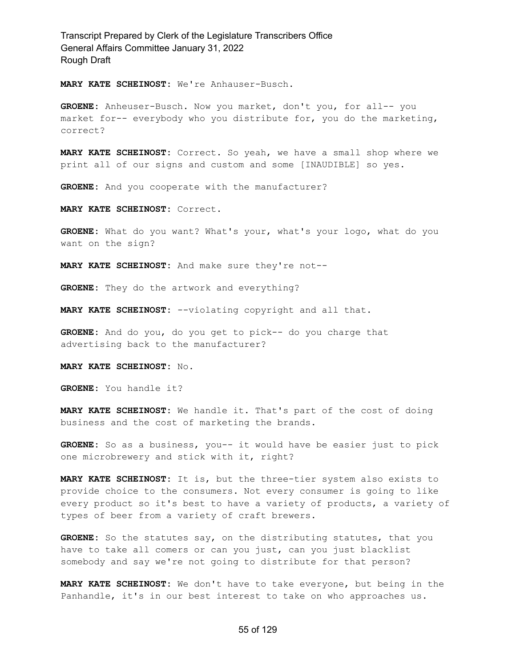**MARY KATE SCHEINOST:** We're Anhauser-Busch.

**GROENE:** Anheuser-Busch. Now you market, don't you, for all-- you market for-- everybody who you distribute for, you do the marketing, correct?

**MARY KATE SCHEINOST:** Correct. So yeah, we have a small shop where we print all of our signs and custom and some [INAUDIBLE] so yes.

**GROENE:** And you cooperate with the manufacturer?

**MARY KATE SCHEINOST:** Correct.

**GROENE:** What do you want? What's your, what's your logo, what do you want on the sign?

**MARY KATE SCHEINOST:** And make sure they're not--

**GROENE:** They do the artwork and everything?

**MARY KATE SCHEINOST:** --violating copyright and all that.

**GROENE:** And do you, do you get to pick-- do you charge that advertising back to the manufacturer?

**MARY KATE SCHEINOST:** No.

**GROENE:** You handle it?

**MARY KATE SCHEINOST:** We handle it. That's part of the cost of doing business and the cost of marketing the brands.

**GROENE:** So as a business, you-- it would have be easier just to pick one microbrewery and stick with it, right?

**MARY KATE SCHEINOST:** It is, but the three-tier system also exists to provide choice to the consumers. Not every consumer is going to like every product so it's best to have a variety of products, a variety of types of beer from a variety of craft brewers.

**GROENE:** So the statutes say, on the distributing statutes, that you have to take all comers or can you just, can you just blacklist somebody and say we're not going to distribute for that person?

**MARY KATE SCHEINOST:** We don't have to take everyone, but being in the Panhandle, it's in our best interest to take on who approaches us.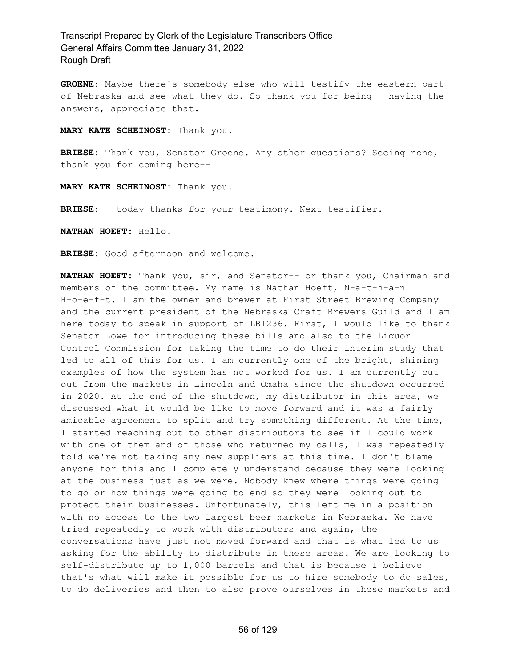**GROENE:** Maybe there's somebody else who will testify the eastern part of Nebraska and see what they do. So thank you for being-- having the answers, appreciate that.

**MARY KATE SCHEINOST:** Thank you.

**BRIESE:** Thank you, Senator Groene. Any other questions? Seeing none, thank you for coming here--

**MARY KATE SCHEINOST:** Thank you.

**BRIESE:** --today thanks for your testimony. Next testifier.

**NATHAN HOEFT:** Hello.

**BRIESE:** Good afternoon and welcome.

**NATHAN HOEFT:** Thank you, sir, and Senator-- or thank you, Chairman and members of the committee. My name is Nathan Hoeft, N-a-t-h-a-n H-o-e-f-t. I am the owner and brewer at First Street Brewing Company and the current president of the Nebraska Craft Brewers Guild and I am here today to speak in support of LB1236. First, I would like to thank Senator Lowe for introducing these bills and also to the Liquor Control Commission for taking the time to do their interim study that led to all of this for us. I am currently one of the bright, shining examples of how the system has not worked for us. I am currently cut out from the markets in Lincoln and Omaha since the shutdown occurred in 2020. At the end of the shutdown, my distributor in this area, we discussed what it would be like to move forward and it was a fairly amicable agreement to split and try something different. At the time, I started reaching out to other distributors to see if I could work with one of them and of those who returned my calls, I was repeatedly told we're not taking any new suppliers at this time. I don't blame anyone for this and I completely understand because they were looking at the business just as we were. Nobody knew where things were going to go or how things were going to end so they were looking out to protect their businesses. Unfortunately, this left me in a position with no access to the two largest beer markets in Nebraska. We have tried repeatedly to work with distributors and again, the conversations have just not moved forward and that is what led to us asking for the ability to distribute in these areas. We are looking to self-distribute up to 1,000 barrels and that is because I believe that's what will make it possible for us to hire somebody to do sales, to do deliveries and then to also prove ourselves in these markets and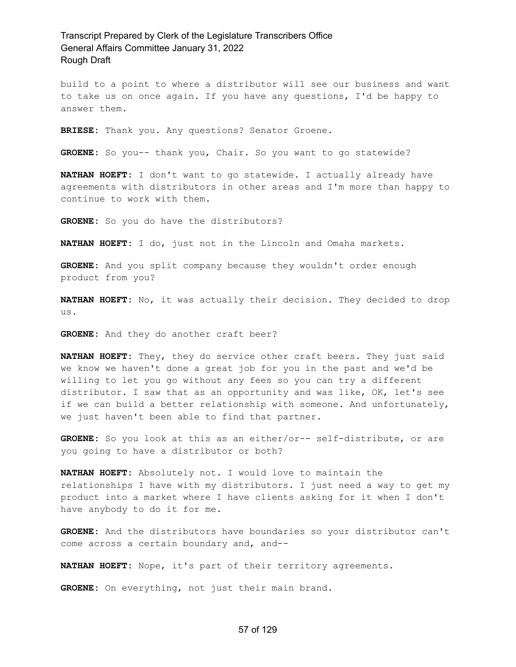build to a point to where a distributor will see our business and want to take us on once again. If you have any questions, I'd be happy to answer them.

**BRIESE:** Thank you. Any questions? Senator Groene.

**GROENE:** So you-- thank you, Chair. So you want to go statewide?

**NATHAN HOEFT:** I don't want to go statewide. I actually already have agreements with distributors in other areas and I'm more than happy to continue to work with them.

**GROENE:** So you do have the distributors?

**NATHAN HOEFT:** I do, just not in the Lincoln and Omaha markets.

**GROENE:** And you split company because they wouldn't order enough product from you?

**NATHAN HOEFT:** No, it was actually their decision. They decided to drop us.

**GROENE:** And they do another craft beer?

**NATHAN HOEFT:** They, they do service other craft beers. They just said we know we haven't done a great job for you in the past and we'd be willing to let you go without any fees so you can try a different distributor. I saw that as an opportunity and was like, OK, let's see if we can build a better relationship with someone. And unfortunately, we just haven't been able to find that partner.

**GROENE:** So you look at this as an either/or-- self-distribute, or are you going to have a distributor or both?

**NATHAN HOEFT:** Absolutely not. I would love to maintain the relationships I have with my distributors. I just need a way to get my product into a market where I have clients asking for it when I don't have anybody to do it for me.

**GROENE:** And the distributors have boundaries so your distributor can't come across a certain boundary and, and--

**NATHAN HOEFT:** Nope, it's part of their territory agreements.

**GROENE:** On everything, not just their main brand.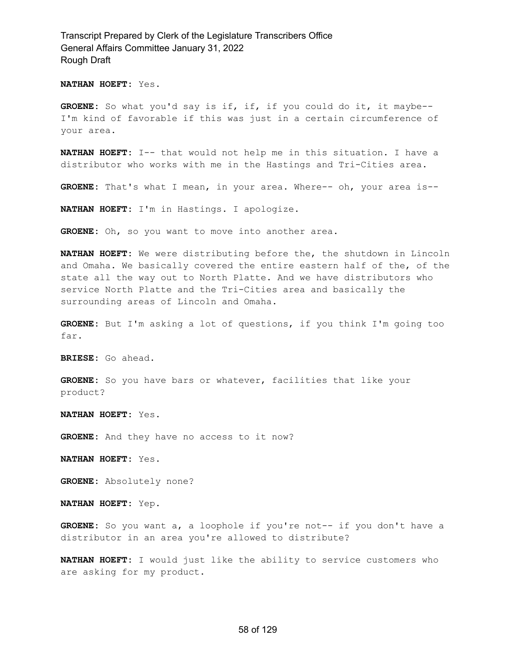**NATHAN HOEFT:** Yes.

**GROENE:** So what you'd say is if, if, if you could do it, it maybe-- I'm kind of favorable if this was just in a certain circumference of your area.

**NATHAN HOEFT:** I-- that would not help me in this situation. I have a distributor who works with me in the Hastings and Tri-Cities area.

**GROENE:** That's what I mean, in your area. Where-- oh, your area is--

**NATHAN HOEFT:** I'm in Hastings. I apologize.

**GROENE:** Oh, so you want to move into another area.

**NATHAN HOEFT:** We were distributing before the, the shutdown in Lincoln and Omaha. We basically covered the entire eastern half of the, of the state all the way out to North Platte. And we have distributors who service North Platte and the Tri-Cities area and basically the surrounding areas of Lincoln and Omaha.

**GROENE:** But I'm asking a lot of questions, if you think I'm going too far.

**BRIESE:** Go ahead.

**GROENE:** So you have bars or whatever, facilities that like your product?

**NATHAN HOEFT:** Yes.

**GROENE:** And they have no access to it now?

**NATHAN HOEFT:** Yes.

**GROENE:** Absolutely none?

**NATHAN HOEFT:** Yep.

**GROENE:** So you want a, a loophole if you're not-- if you don't have a distributor in an area you're allowed to distribute?

**NATHAN HOEFT:** I would just like the ability to service customers who are asking for my product.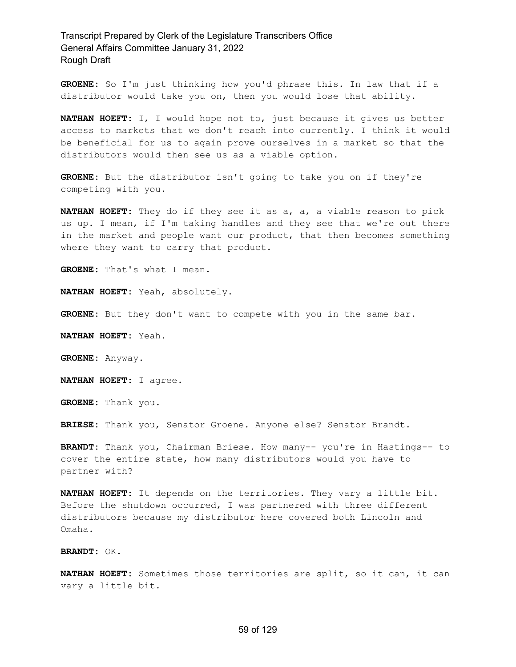**GROENE:** So I'm just thinking how you'd phrase this. In law that if a distributor would take you on, then you would lose that ability.

**NATHAN HOEFT:** I, I would hope not to, just because it gives us better access to markets that we don't reach into currently. I think it would be beneficial for us to again prove ourselves in a market so that the distributors would then see us as a viable option.

**GROENE:** But the distributor isn't going to take you on if they're competing with you.

**NATHAN HOEFT:** They do if they see it as a, a, a viable reason to pick us up. I mean, if I'm taking handles and they see that we're out there in the market and people want our product, that then becomes something where they want to carry that product.

**GROENE:** That's what I mean.

**NATHAN HOEFT:** Yeah, absolutely.

**GROENE:** But they don't want to compete with you in the same bar.

**NATHAN HOEFT:** Yeah.

**GROENE:** Anyway.

**NATHAN HOEFT:** I agree.

**GROENE:** Thank you.

**BRIESE:** Thank you, Senator Groene. Anyone else? Senator Brandt.

**BRANDT:** Thank you, Chairman Briese. How many-- you're in Hastings-- to cover the entire state, how many distributors would you have to partner with?

**NATHAN HOEFT:** It depends on the territories. They vary a little bit. Before the shutdown occurred, I was partnered with three different distributors because my distributor here covered both Lincoln and Omaha.

**BRANDT:** OK.

**NATHAN HOEFT:** Sometimes those territories are split, so it can, it can vary a little bit.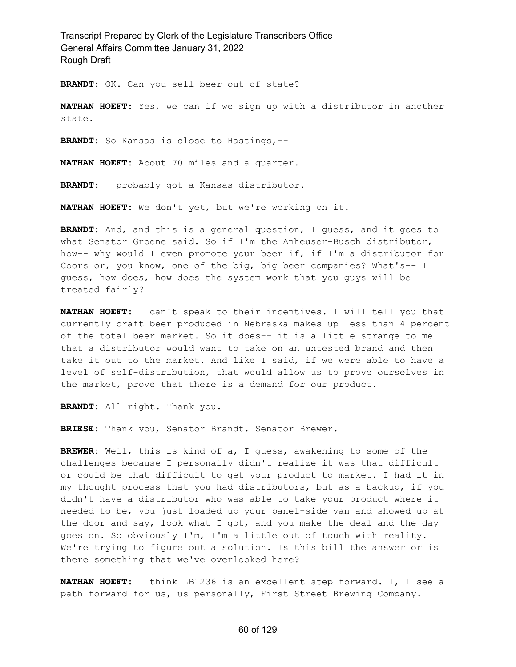**BRANDT:** OK. Can you sell beer out of state?

**NATHAN HOEFT:** Yes, we can if we sign up with a distributor in another state.

**BRANDT:** So Kansas is close to Hastings,--

**NATHAN HOEFT:** About 70 miles and a quarter.

**BRANDT:** --probably got a Kansas distributor.

**NATHAN HOEFT:** We don't yet, but we're working on it.

**BRANDT:** And, and this is a general question, I guess, and it goes to what Senator Groene said. So if I'm the Anheuser-Busch distributor, how-- why would I even promote your beer if, if I'm a distributor for Coors or, you know, one of the big, big beer companies? What's-- I guess, how does, how does the system work that you guys will be treated fairly?

**NATHAN HOEFT:** I can't speak to their incentives. I will tell you that currently craft beer produced in Nebraska makes up less than 4 percent of the total beer market. So it does-- it is a little strange to me that a distributor would want to take on an untested brand and then take it out to the market. And like I said, if we were able to have a level of self-distribution, that would allow us to prove ourselves in the market, prove that there is a demand for our product.

**BRANDT:** All right. Thank you.

**BRIESE:** Thank you, Senator Brandt. Senator Brewer.

**BREWER:** Well, this is kind of a, I guess, awakening to some of the challenges because I personally didn't realize it was that difficult or could be that difficult to get your product to market. I had it in my thought process that you had distributors, but as a backup, if you didn't have a distributor who was able to take your product where it needed to be, you just loaded up your panel-side van and showed up at the door and say, look what I got, and you make the deal and the day goes on. So obviously I'm, I'm a little out of touch with reality. We're trying to figure out a solution. Is this bill the answer or is there something that we've overlooked here?

**NATHAN HOEFT:** I think LB1236 is an excellent step forward. I, I see a path forward for us, us personally, First Street Brewing Company.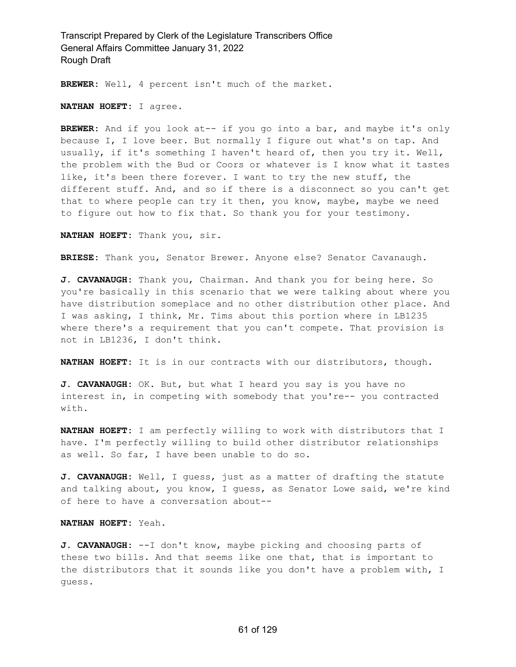**BREWER:** Well, 4 percent isn't much of the market.

**NATHAN HOEFT:** I agree.

**BREWER:** And if you look at-- if you go into a bar, and maybe it's only because I, I love beer. But normally I figure out what's on tap. And usually, if it's something I haven't heard of, then you try it. Well, the problem with the Bud or Coors or whatever is I know what it tastes like, it's been there forever. I want to try the new stuff, the different stuff. And, and so if there is a disconnect so you can't get that to where people can try it then, you know, maybe, maybe we need to figure out how to fix that. So thank you for your testimony.

**NATHAN HOEFT:** Thank you, sir.

**BRIESE:** Thank you, Senator Brewer. Anyone else? Senator Cavanaugh.

**J. CAVANAUGH:** Thank you, Chairman. And thank you for being here. So you're basically in this scenario that we were talking about where you have distribution someplace and no other distribution other place. And I was asking, I think, Mr. Tims about this portion where in LB1235 where there's a requirement that you can't compete. That provision is not in LB1236, I don't think.

**NATHAN HOEFT:** It is in our contracts with our distributors, though.

**J. CAVANAUGH:** OK. But, but what I heard you say is you have no interest in, in competing with somebody that you're-- you contracted with.

**NATHAN HOEFT:** I am perfectly willing to work with distributors that I have. I'm perfectly willing to build other distributor relationships as well. So far, I have been unable to do so.

**J. CAVANAUGH:** Well, I guess, just as a matter of drafting the statute and talking about, you know, I guess, as Senator Lowe said, we're kind of here to have a conversation about--

**NATHAN HOEFT:** Yeah.

**J. CAVANAUGH:** --I don't know, maybe picking and choosing parts of these two bills. And that seems like one that, that is important to the distributors that it sounds like you don't have a problem with, I guess.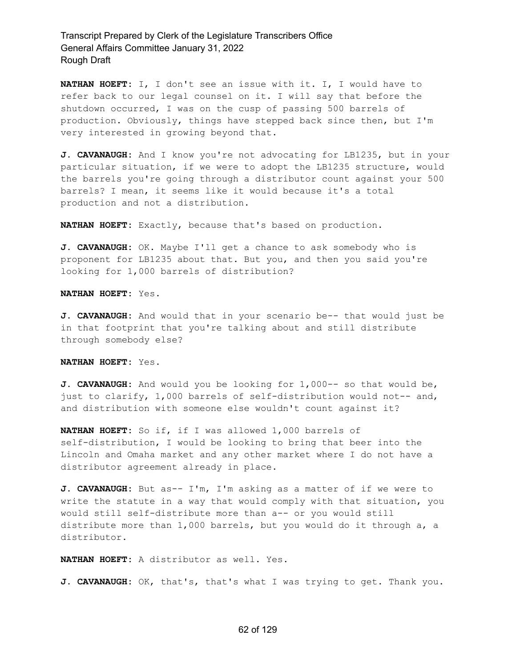**NATHAN HOEFT:** I, I don't see an issue with it. I, I would have to refer back to our legal counsel on it. I will say that before the shutdown occurred, I was on the cusp of passing 500 barrels of production. Obviously, things have stepped back since then, but I'm very interested in growing beyond that.

**J. CAVANAUGH:** And I know you're not advocating for LB1235, but in your particular situation, if we were to adopt the LB1235 structure, would the barrels you're going through a distributor count against your 500 barrels? I mean, it seems like it would because it's a total production and not a distribution.

**NATHAN HOEFT:** Exactly, because that's based on production.

**J. CAVANAUGH:** OK. Maybe I'll get a chance to ask somebody who is proponent for LB1235 about that. But you, and then you said you're looking for 1,000 barrels of distribution?

**NATHAN HOEFT:** Yes.

**J. CAVANAUGH:** And would that in your scenario be-- that would just be in that footprint that you're talking about and still distribute through somebody else?

**NATHAN HOEFT:** Yes.

**J. CAVANAUGH:** And would you be looking for 1,000-- so that would be, just to clarify, 1,000 barrels of self-distribution would not-- and, and distribution with someone else wouldn't count against it?

**NATHAN HOEFT:** So if, if I was allowed 1,000 barrels of self-distribution, I would be looking to bring that beer into the Lincoln and Omaha market and any other market where I do not have a distributor agreement already in place.

**J. CAVANAUGH:** But as-- I'm, I'm asking as a matter of if we were to write the statute in a way that would comply with that situation, you would still self-distribute more than a-- or you would still distribute more than 1,000 barrels, but you would do it through a, a distributor.

**NATHAN HOEFT:** A distributor as well. Yes.

**J. CAVANAUGH:** OK, that's, that's what I was trying to get. Thank you.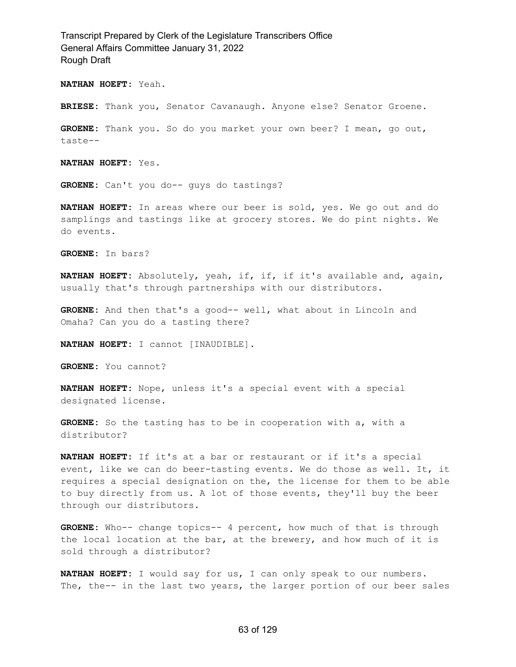**NATHAN HOEFT:** Yeah.

**BRIESE:** Thank you, Senator Cavanaugh. Anyone else? Senator Groene.

**GROENE:** Thank you. So do you market your own beer? I mean, go out, taste--

**NATHAN HOEFT:** Yes.

**GROENE:** Can't you do-- guys do tastings?

**NATHAN HOEFT:** In areas where our beer is sold, yes. We go out and do samplings and tastings like at grocery stores. We do pint nights. We do events.

**GROENE:** In bars?

**NATHAN HOEFT:** Absolutely, yeah, if, if, if it's available and, again, usually that's through partnerships with our distributors.

**GROENE:** And then that's a good-- well, what about in Lincoln and Omaha? Can you do a tasting there?

**NATHAN HOEFT:** I cannot [INAUDIBLE].

**GROENE:** You cannot?

**NATHAN HOEFT:** Nope, unless it's a special event with a special designated license.

**GROENE:** So the tasting has to be in cooperation with a, with a distributor?

**NATHAN HOEFT:** If it's at a bar or restaurant or if it's a special event, like we can do beer-tasting events. We do those as well. It, it requires a special designation on the, the license for them to be able to buy directly from us. A lot of those events, they'll buy the beer through our distributors.

**GROENE:** Who-- change topics-- 4 percent, how much of that is through the local location at the bar, at the brewery, and how much of it is sold through a distributor?

**NATHAN HOEFT:** I would say for us, I can only speak to our numbers. The, the-- in the last two years, the larger portion of our beer sales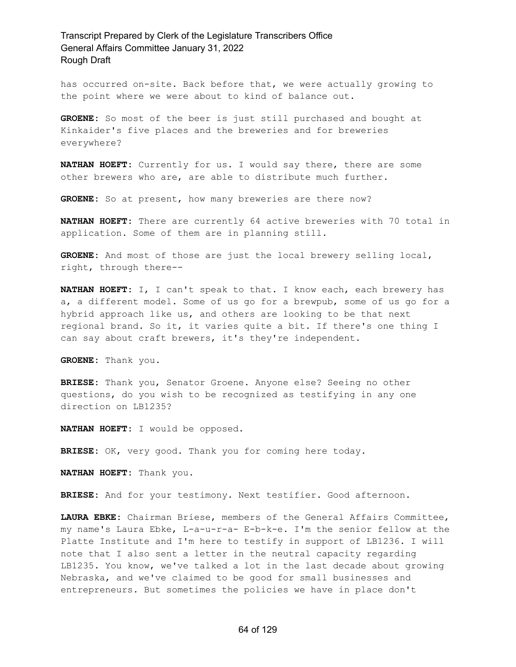has occurred on-site. Back before that, we were actually growing to the point where we were about to kind of balance out.

**GROENE:** So most of the beer is just still purchased and bought at Kinkaider's five places and the breweries and for breweries everywhere?

**NATHAN HOEFT:** Currently for us. I would say there, there are some other brewers who are, are able to distribute much further.

GROENE: So at present, how many breweries are there now?

**NATHAN HOEFT:** There are currently 64 active breweries with 70 total in application. Some of them are in planning still.

**GROENE:** And most of those are just the local brewery selling local, right, through there--

**NATHAN HOEFT:** I, I can't speak to that. I know each, each brewery has a, a different model. Some of us go for a brewpub, some of us go for a hybrid approach like us, and others are looking to be that next regional brand. So it, it varies quite a bit. If there's one thing I can say about craft brewers, it's they're independent.

**GROENE:** Thank you.

**BRIESE:** Thank you, Senator Groene. Anyone else? Seeing no other questions, do you wish to be recognized as testifying in any one direction on LB1235?

**NATHAN HOEFT:** I would be opposed.

**BRIESE:** OK, very good. Thank you for coming here today.

**NATHAN HOEFT:** Thank you.

**BRIESE:** And for your testimony. Next testifier. Good afternoon.

**LAURA EBKE:** Chairman Briese, members of the General Affairs Committee, my name's Laura Ebke, L-a-u-r-a- E-b-k-e. I'm the senior fellow at the Platte Institute and I'm here to testify in support of LB1236. I will note that I also sent a letter in the neutral capacity regarding LB1235. You know, we've talked a lot in the last decade about growing Nebraska, and we've claimed to be good for small businesses and entrepreneurs. But sometimes the policies we have in place don't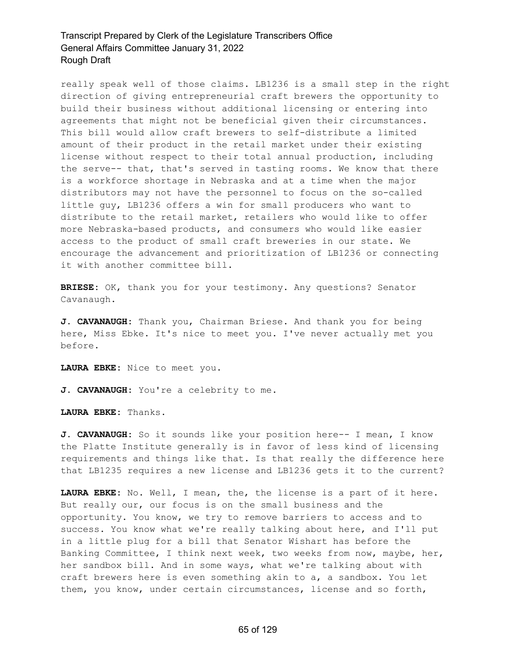really speak well of those claims. LB1236 is a small step in the right direction of giving entrepreneurial craft brewers the opportunity to build their business without additional licensing or entering into agreements that might not be beneficial given their circumstances. This bill would allow craft brewers to self-distribute a limited amount of their product in the retail market under their existing license without respect to their total annual production, including the serve-- that, that's served in tasting rooms. We know that there is a workforce shortage in Nebraska and at a time when the major distributors may not have the personnel to focus on the so-called little guy, LB1236 offers a win for small producers who want to distribute to the retail market, retailers who would like to offer more Nebraska-based products, and consumers who would like easier access to the product of small craft breweries in our state. We encourage the advancement and prioritization of LB1236 or connecting it with another committee bill.

**BRIESE:** OK, thank you for your testimony. Any questions? Senator Cavanaugh.

**J. CAVANAUGH:** Thank you, Chairman Briese. And thank you for being here, Miss Ebke. It's nice to meet you. I've never actually met you before.

**LAURA EBKE:** Nice to meet you.

**J. CAVANAUGH:** You're a celebrity to me.

**LAURA EBKE:** Thanks.

**J. CAVANAUGH:** So it sounds like your position here-- I mean, I know the Platte Institute generally is in favor of less kind of licensing requirements and things like that. Is that really the difference here that LB1235 requires a new license and LB1236 gets it to the current?

**LAURA EBKE:** No. Well, I mean, the, the license is a part of it here. But really our, our focus is on the small business and the opportunity. You know, we try to remove barriers to access and to success. You know what we're really talking about here, and I'll put in a little plug for a bill that Senator Wishart has before the Banking Committee, I think next week, two weeks from now, maybe, her, her sandbox bill. And in some ways, what we're talking about with craft brewers here is even something akin to a, a sandbox. You let them, you know, under certain circumstances, license and so forth,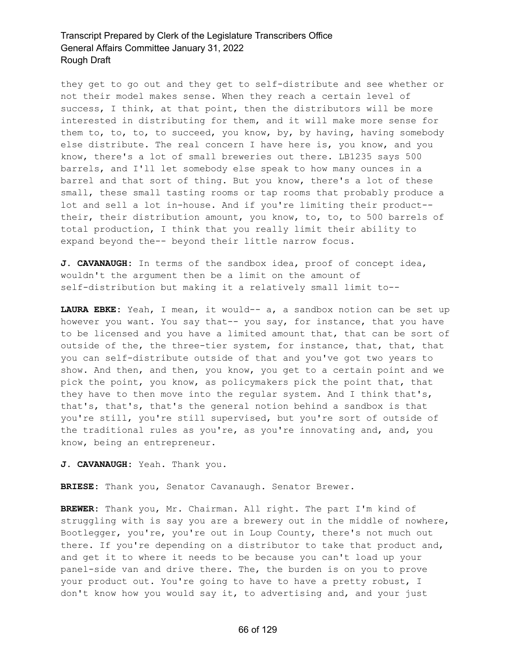they get to go out and they get to self-distribute and see whether or not their model makes sense. When they reach a certain level of success, I think, at that point, then the distributors will be more interested in distributing for them, and it will make more sense for them to, to, to, to succeed, you know, by, by having, having somebody else distribute. The real concern I have here is, you know, and you know, there's a lot of small breweries out there. LB1235 says 500 barrels, and I'll let somebody else speak to how many ounces in a barrel and that sort of thing. But you know, there's a lot of these small, these small tasting rooms or tap rooms that probably produce a lot and sell a lot in-house. And if you're limiting their product- their, their distribution amount, you know, to, to, to 500 barrels of total production, I think that you really limit their ability to expand beyond the-- beyond their little narrow focus.

**J. CAVANAUGH:** In terms of the sandbox idea, proof of concept idea, wouldn't the argument then be a limit on the amount of self-distribution but making it a relatively small limit to--

**LAURA EBKE:** Yeah, I mean, it would-- a, a sandbox notion can be set up however you want. You say that-- you say, for instance, that you have to be licensed and you have a limited amount that, that can be sort of outside of the, the three-tier system, for instance, that, that, that you can self-distribute outside of that and you've got two years to show. And then, and then, you know, you get to a certain point and we pick the point, you know, as policymakers pick the point that, that they have to then move into the regular system. And I think that's, that's, that's, that's the general notion behind a sandbox is that you're still, you're still supervised, but you're sort of outside of the traditional rules as you're, as you're innovating and, and, you know, being an entrepreneur.

**J. CAVANAUGH:** Yeah. Thank you.

**BRIESE:** Thank you, Senator Cavanaugh. Senator Brewer.

**BREWER:** Thank you, Mr. Chairman. All right. The part I'm kind of struggling with is say you are a brewery out in the middle of nowhere, Bootlegger, you're, you're out in Loup County, there's not much out there. If you're depending on a distributor to take that product and, and get it to where it needs to be because you can't load up your panel-side van and drive there. The, the burden is on you to prove your product out. You're going to have to have a pretty robust, I don't know how you would say it, to advertising and, and your just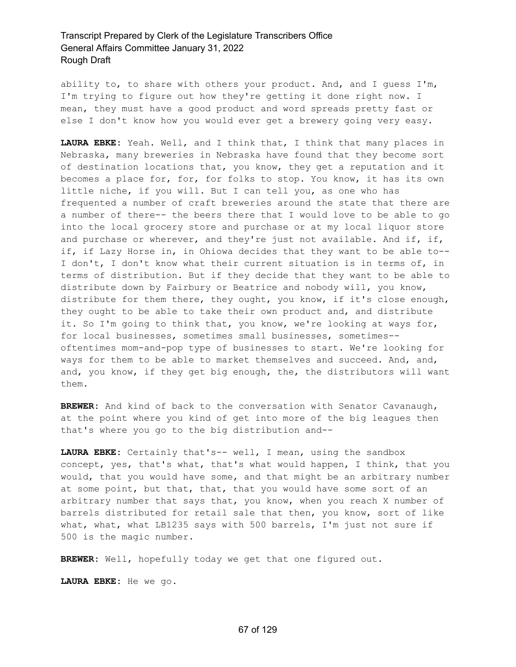ability to, to share with others your product. And, and I guess I'm, I'm trying to figure out how they're getting it done right now. I mean, they must have a good product and word spreads pretty fast or else I don't know how you would ever get a brewery going very easy.

**LAURA EBKE:** Yeah. Well, and I think that, I think that many places in Nebraska, many breweries in Nebraska have found that they become sort of destination locations that, you know, they get a reputation and it becomes a place for, for, for folks to stop. You know, it has its own little niche, if you will. But I can tell you, as one who has frequented a number of craft breweries around the state that there are a number of there-- the beers there that I would love to be able to go into the local grocery store and purchase or at my local liquor store and purchase or wherever, and they're just not available. And if, if, if, if Lazy Horse in, in Ohiowa decides that they want to be able to-- I don't, I don't know what their current situation is in terms of, in terms of distribution. But if they decide that they want to be able to distribute down by Fairbury or Beatrice and nobody will, you know, distribute for them there, they ought, you know, if it's close enough, they ought to be able to take their own product and, and distribute it. So I'm going to think that, you know, we're looking at ways for, for local businesses, sometimes small businesses, sometimes- oftentimes mom-and-pop type of businesses to start. We're looking for ways for them to be able to market themselves and succeed. And, and, and, you know, if they get big enough, the, the distributors will want them.

**BREWER:** And kind of back to the conversation with Senator Cavanaugh, at the point where you kind of get into more of the big leagues then that's where you go to the big distribution and--

**LAURA EBKE:** Certainly that's-- well, I mean, using the sandbox concept, yes, that's what, that's what would happen, I think, that you would, that you would have some, and that might be an arbitrary number at some point, but that, that, that you would have some sort of an arbitrary number that says that, you know, when you reach X number of barrels distributed for retail sale that then, you know, sort of like what, what, what LB1235 says with 500 barrels, I'm just not sure if 500 is the magic number.

**BREWER:** Well, hopefully today we get that one figured out.

**LAURA EBKE:** He we go.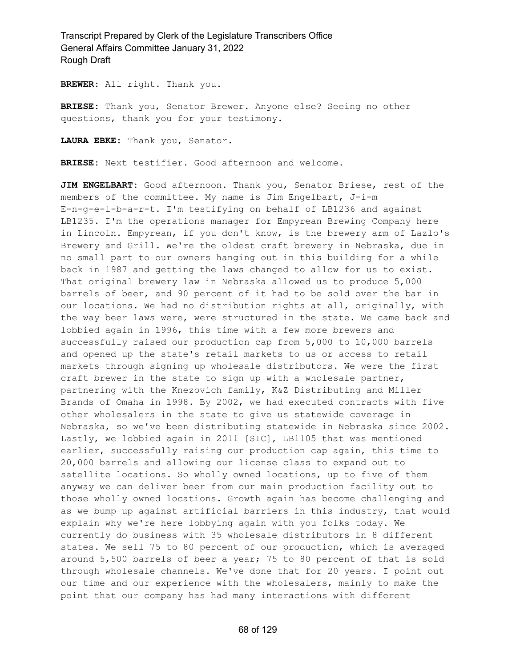**BREWER:** All right. Thank you.

**BRIESE:** Thank you, Senator Brewer. Anyone else? Seeing no other questions, thank you for your testimony.

**LAURA EBKE:** Thank you, Senator.

**BRIESE:** Next testifier. Good afternoon and welcome.

**JIM ENGELBART:** Good afternoon. Thank you, Senator Briese, rest of the members of the committee. My name is Jim Engelbart, J-i-m E-n-g-e-l-b-a-r-t. I'm testifying on behalf of LB1236 and against LB1235. I'm the operations manager for Empyrean Brewing Company here in Lincoln. Empyrean, if you don't know, is the brewery arm of Lazlo's Brewery and Grill. We're the oldest craft brewery in Nebraska, due in no small part to our owners hanging out in this building for a while back in 1987 and getting the laws changed to allow for us to exist. That original brewery law in Nebraska allowed us to produce 5,000 barrels of beer, and 90 percent of it had to be sold over the bar in our locations. We had no distribution rights at all, originally, with the way beer laws were, were structured in the state. We came back and lobbied again in 1996, this time with a few more brewers and successfully raised our production cap from 5,000 to 10,000 barrels and opened up the state's retail markets to us or access to retail markets through signing up wholesale distributors. We were the first craft brewer in the state to sign up with a wholesale partner, partnering with the Knezovich family, K&Z Distributing and Miller Brands of Omaha in 1998. By 2002, we had executed contracts with five other wholesalers in the state to give us statewide coverage in Nebraska, so we've been distributing statewide in Nebraska since 2002. Lastly, we lobbied again in 2011 [SIC], LB1105 that was mentioned earlier, successfully raising our production cap again, this time to 20,000 barrels and allowing our license class to expand out to satellite locations. So wholly owned locations, up to five of them anyway we can deliver beer from our main production facility out to those wholly owned locations. Growth again has become challenging and as we bump up against artificial barriers in this industry, that would explain why we're here lobbying again with you folks today. We currently do business with 35 wholesale distributors in 8 different states. We sell 75 to 80 percent of our production, which is averaged around 5,500 barrels of beer a year; 75 to 80 percent of that is sold through wholesale channels. We've done that for 20 years. I point out our time and our experience with the wholesalers, mainly to make the point that our company has had many interactions with different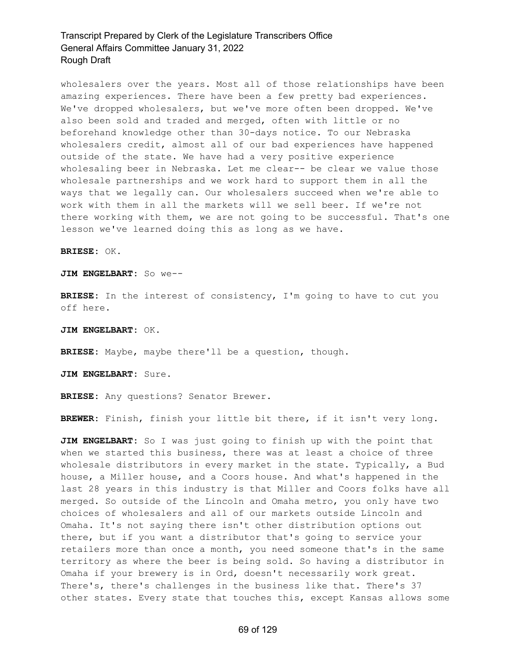wholesalers over the years. Most all of those relationships have been amazing experiences. There have been a few pretty bad experiences. We've dropped wholesalers, but we've more often been dropped. We've also been sold and traded and merged, often with little or no beforehand knowledge other than 30-days notice. To our Nebraska wholesalers credit, almost all of our bad experiences have happened outside of the state. We have had a very positive experience wholesaling beer in Nebraska. Let me clear-- be clear we value those wholesale partnerships and we work hard to support them in all the ways that we legally can. Our wholesalers succeed when we're able to work with them in all the markets will we sell beer. If we're not there working with them, we are not going to be successful. That's one lesson we've learned doing this as long as we have.

**BRIESE:** OK.

**JIM ENGELBART:** So we--

**BRIESE:** In the interest of consistency, I'm going to have to cut you off here.

**JIM ENGELBART:** OK.

**BRIESE:** Maybe, maybe there'll be a question, though.

**JIM ENGELBART:** Sure.

**BRIESE:** Any questions? Senator Brewer.

**BREWER:** Finish, finish your little bit there, if it isn't very long.

**JIM ENGELBART:** So I was just going to finish up with the point that when we started this business, there was at least a choice of three wholesale distributors in every market in the state. Typically, a Bud house, a Miller house, and a Coors house. And what's happened in the last 28 years in this industry is that Miller and Coors folks have all merged. So outside of the Lincoln and Omaha metro, you only have two choices of wholesalers and all of our markets outside Lincoln and Omaha. It's not saying there isn't other distribution options out there, but if you want a distributor that's going to service your retailers more than once a month, you need someone that's in the same territory as where the beer is being sold. So having a distributor in Omaha if your brewery is in Ord, doesn't necessarily work great. There's, there's challenges in the business like that. There's 37 other states. Every state that touches this, except Kansas allows some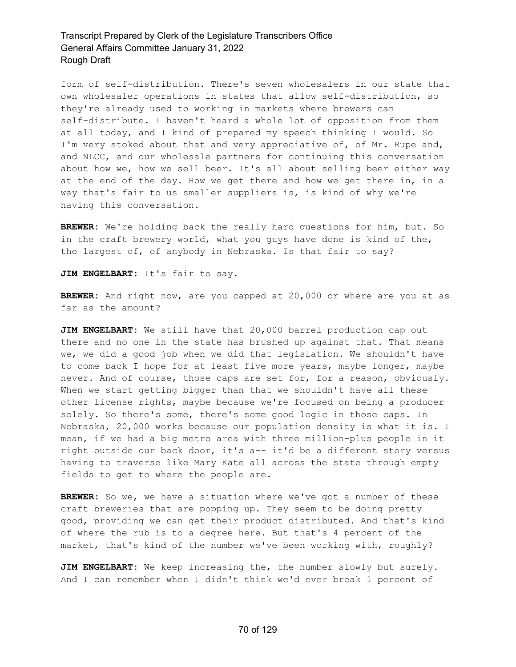form of self-distribution. There's seven wholesalers in our state that own wholesaler operations in states that allow self-distribution, so they're already used to working in markets where brewers can self-distribute. I haven't heard a whole lot of opposition from them at all today, and I kind of prepared my speech thinking I would. So I'm very stoked about that and very appreciative of, of Mr. Rupe and, and NLCC, and our wholesale partners for continuing this conversation about how we, how we sell beer. It's all about selling beer either way at the end of the day. How we get there and how we get there in, in a way that's fair to us smaller suppliers is, is kind of why we're having this conversation.

**BREWER:** We're holding back the really hard questions for him, but. So in the craft brewery world, what you guys have done is kind of the, the largest of, of anybody in Nebraska. Is that fair to say?

**JIM ENGELBART:** It's fair to say.

**BREWER:** And right now, are you capped at 20,000 or where are you at as far as the amount?

**JIM ENGELBART:** We still have that 20,000 barrel production cap out there and no one in the state has brushed up against that. That means we, we did a good job when we did that legislation. We shouldn't have to come back I hope for at least five more years, maybe longer, maybe never. And of course, those caps are set for, for a reason, obviously. When we start getting bigger than that we shouldn't have all these other license rights, maybe because we're focused on being a producer solely. So there's some, there's some good logic in those caps. In Nebraska, 20,000 works because our population density is what it is. I mean, if we had a big metro area with three million-plus people in it right outside our back door, it's a-- it'd be a different story versus having to traverse like Mary Kate all across the state through empty fields to get to where the people are.

**BREWER:** So we, we have a situation where we've got a number of these craft breweries that are popping up. They seem to be doing pretty good, providing we can get their product distributed. And that's kind of where the rub is to a degree here. But that's 4 percent of the market, that's kind of the number we've been working with, roughly?

**JIM ENGELBART:** We keep increasing the, the number slowly but surely. And I can remember when I didn't think we'd ever break 1 percent of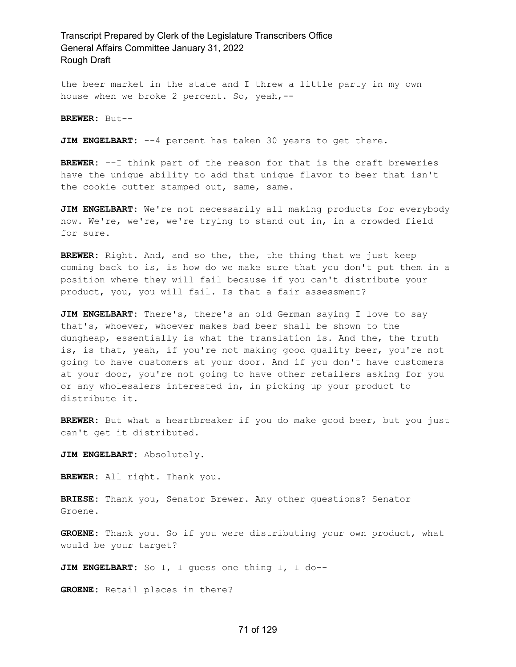the beer market in the state and I threw a little party in my own house when we broke 2 percent. So, yeah, --

**BREWER:** But--

**JIM ENGELBART:** --4 percent has taken 30 years to get there.

**BREWER:** --I think part of the reason for that is the craft breweries have the unique ability to add that unique flavor to beer that isn't the cookie cutter stamped out, same, same.

**JIM ENGELBART:** We're not necessarily all making products for everybody now. We're, we're, we're trying to stand out in, in a crowded field for sure.

**BREWER:** Right. And, and so the, the, the thing that we just keep coming back to is, is how do we make sure that you don't put them in a position where they will fail because if you can't distribute your product, you, you will fail. Is that a fair assessment?

**JIM ENGELBART:** There's, there's an old German saying I love to say that's, whoever, whoever makes bad beer shall be shown to the dungheap, essentially is what the translation is. And the, the truth is, is that, yeah, if you're not making good quality beer, you're not going to have customers at your door. And if you don't have customers at your door, you're not going to have other retailers asking for you or any wholesalers interested in, in picking up your product to distribute it.

**BREWER:** But what a heartbreaker if you do make good beer, but you just can't get it distributed.

**JIM ENGELBART:** Absolutely.

**BREWER:** All right. Thank you.

**BRIESE:** Thank you, Senator Brewer. Any other questions? Senator Groene.

**GROENE:** Thank you. So if you were distributing your own product, what would be your target?

JIM ENGELBART: So I, I guess one thing I, I do--

**GROENE:** Retail places in there?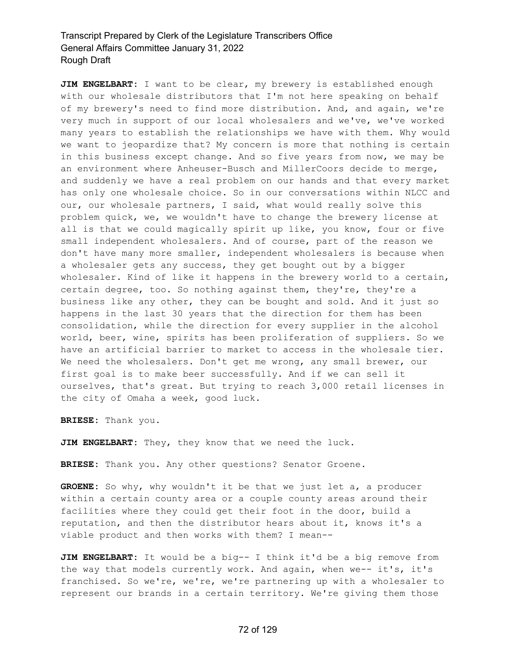**JIM ENGELBART:** I want to be clear, my brewery is established enough with our wholesale distributors that I'm not here speaking on behalf of my brewery's need to find more distribution. And, and again, we're very much in support of our local wholesalers and we've, we've worked many years to establish the relationships we have with them. Why would we want to jeopardize that? My concern is more that nothing is certain in this business except change. And so five years from now, we may be an environment where Anheuser-Busch and MillerCoors decide to merge, and suddenly we have a real problem on our hands and that every market has only one wholesale choice. So in our conversations within NLCC and our, our wholesale partners, I said, what would really solve this problem quick, we, we wouldn't have to change the brewery license at all is that we could magically spirit up like, you know, four or five small independent wholesalers. And of course, part of the reason we don't have many more smaller, independent wholesalers is because when a wholesaler gets any success, they get bought out by a bigger wholesaler. Kind of like it happens in the brewery world to a certain, certain degree, too. So nothing against them, they're, they're a business like any other, they can be bought and sold. And it just so happens in the last 30 years that the direction for them has been consolidation, while the direction for every supplier in the alcohol world, beer, wine, spirits has been proliferation of suppliers. So we have an artificial barrier to market to access in the wholesale tier. We need the wholesalers. Don't get me wrong, any small brewer, our first goal is to make beer successfully. And if we can sell it ourselves, that's great. But trying to reach 3,000 retail licenses in the city of Omaha a week, good luck.

**BRIESE:** Thank you.

**JIM ENGELBART:** They, they know that we need the luck.

**BRIESE:** Thank you. Any other questions? Senator Groene.

**GROENE:** So why, why wouldn't it be that we just let a, a producer within a certain county area or a couple county areas around their facilities where they could get their foot in the door, build a reputation, and then the distributor hears about it, knows it's a viable product and then works with them? I mean--

**JIM ENGELBART:** It would be a big-- I think it'd be a big remove from the way that models currently work. And again, when we-- it's, it's franchised. So we're, we're, we're partnering up with a wholesaler to represent our brands in a certain territory. We're giving them those

### 72 of 129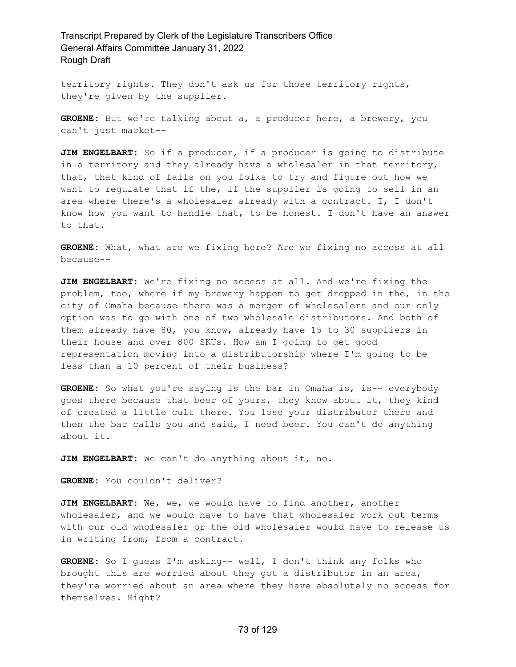territory rights. They don't ask us for those territory rights, they're given by the supplier.

**GROENE:** But we're talking about a, a producer here, a brewery, you can't just market--

**JIM ENGELBART:** So if a producer, if a producer is going to distribute in a territory and they already have a wholesaler in that territory, that, that kind of falls on you folks to try and figure out how we want to regulate that if the, if the supplier is going to sell in an area where there's a wholesaler already with a contract. I, I don't know how you want to handle that, to be honest. I don't have an answer to that.

**GROENE:** What, what are we fixing here? Are we fixing no access at all because--

**JIM ENGELBART:** We're fixing no access at all. And we're fixing the problem, too, where if my brewery happen to get dropped in the, in the city of Omaha because there was a merger of wholesalers and our only option was to go with one of two wholesale distributors. And both of them already have 80, you know, already have 15 to 30 suppliers in their house and over 800 SKUs. How am I going to get good representation moving into a distributorship where I'm going to be less than a 10 percent of their business?

**GROENE:** So what you're saying is the bar in Omaha is, is-- everybody goes there because that beer of yours, they know about it, they kind of created a little cult there. You lose your distributor there and then the bar calls you and said, I need beer. You can't do anything about it.

**JIM ENGELBART:** We can't do anything about it, no.

**GROENE:** You couldn't deliver?

**JIM ENGELBART:** We, we, we would have to find another, another wholesaler, and we would have to have that wholesaler work out terms with our old wholesaler or the old wholesaler would have to release us in writing from, from a contract.

**GROENE:** So I guess I'm asking-- well, I don't think any folks who brought this are worried about they got a distributor in an area, they're worried about an area where they have absolutely no access for themselves. Right?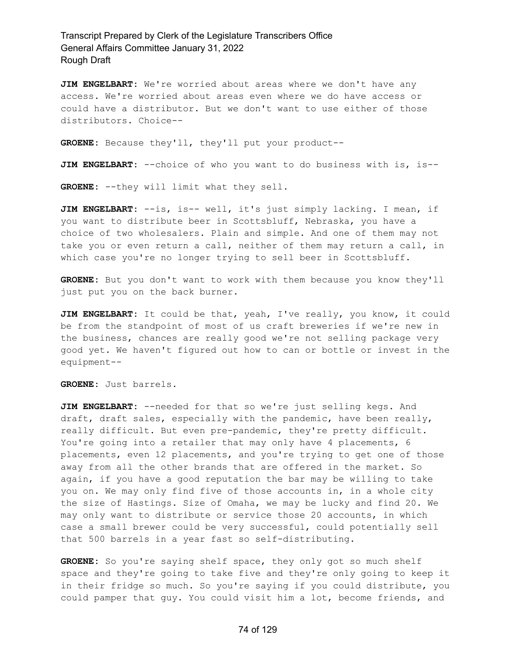**JIM ENGELBART:** We're worried about areas where we don't have any access. We're worried about areas even where we do have access or could have a distributor. But we don't want to use either of those distributors. Choice--

**GROENE:** Because they'll, they'll put your product--

**JIM ENGELBART:** --choice of who you want to do business with is, is--

**GROENE:** --they will limit what they sell.

**JIM ENGELBART:** --is, is-- well, it's just simply lacking. I mean, if you want to distribute beer in Scottsbluff, Nebraska, you have a choice of two wholesalers. Plain and simple. And one of them may not take you or even return a call, neither of them may return a call, in which case you're no longer trying to sell beer in Scottsbluff.

**GROENE:** But you don't want to work with them because you know they'll just put you on the back burner.

**JIM ENGELBART:** It could be that, yeah, I've really, you know, it could be from the standpoint of most of us craft breweries if we're new in the business, chances are really good we're not selling package very good yet. We haven't figured out how to can or bottle or invest in the equipment--

**GROENE:** Just barrels.

**JIM ENGELBART:** --needed for that so we're just selling kegs. And draft, draft sales, especially with the pandemic, have been really, really difficult. But even pre-pandemic, they're pretty difficult. You're going into a retailer that may only have 4 placements, 6 placements, even 12 placements, and you're trying to get one of those away from all the other brands that are offered in the market. So again, if you have a good reputation the bar may be willing to take you on. We may only find five of those accounts in, in a whole city the size of Hastings. Size of Omaha, we may be lucky and find 20. We may only want to distribute or service those 20 accounts, in which case a small brewer could be very successful, could potentially sell that 500 barrels in a year fast so self-distributing.

**GROENE:** So you're saying shelf space, they only got so much shelf space and they're going to take five and they're only going to keep it in their fridge so much. So you're saying if you could distribute, you could pamper that guy. You could visit him a lot, become friends, and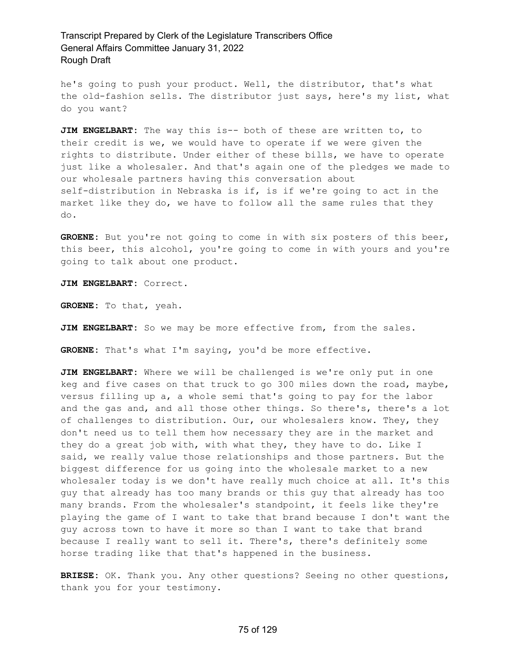he's going to push your product. Well, the distributor, that's what the old-fashion sells. The distributor just says, here's my list, what do you want?

**JIM ENGELBART:** The way this is-- both of these are written to, to their credit is we, we would have to operate if we were given the rights to distribute. Under either of these bills, we have to operate just like a wholesaler. And that's again one of the pledges we made to our wholesale partners having this conversation about self-distribution in Nebraska is if, is if we're going to act in the market like they do, we have to follow all the same rules that they do.

**GROENE:** But you're not going to come in with six posters of this beer, this beer, this alcohol, you're going to come in with yours and you're going to talk about one product.

**JIM ENGELBART:** Correct.

**GROENE:** To that, yeah.

**JIM ENGELBART:** So we may be more effective from, from the sales.

**GROENE:** That's what I'm saying, you'd be more effective.

**JIM ENGELBART:** Where we will be challenged is we're only put in one keg and five cases on that truck to go 300 miles down the road, maybe, versus filling up a, a whole semi that's going to pay for the labor and the gas and, and all those other things. So there's, there's a lot of challenges to distribution. Our, our wholesalers know. They, they don't need us to tell them how necessary they are in the market and they do a great job with, with what they, they have to do. Like I said, we really value those relationships and those partners. But the biggest difference for us going into the wholesale market to a new wholesaler today is we don't have really much choice at all. It's this guy that already has too many brands or this guy that already has too many brands. From the wholesaler's standpoint, it feels like they're playing the game of I want to take that brand because I don't want the guy across town to have it more so than I want to take that brand because I really want to sell it. There's, there's definitely some horse trading like that that's happened in the business.

**BRIESE:** OK. Thank you. Any other questions? Seeing no other questions, thank you for your testimony.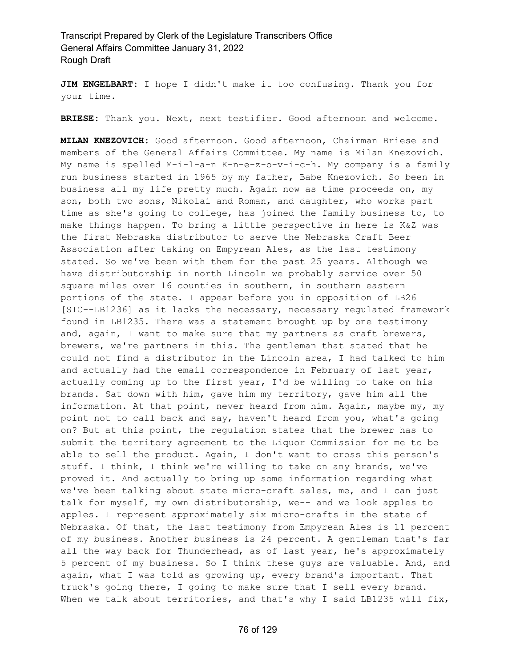**JIM ENGELBART:** I hope I didn't make it too confusing. Thank you for your time.

**BRIESE:** Thank you. Next, next testifier. Good afternoon and welcome.

**MILAN KNEZOVICH:** Good afternoon. Good afternoon, Chairman Briese and members of the General Affairs Committee. My name is Milan Knezovich. My name is spelled M-i-l-a-n K-n-e-z-o-v-i-c-h. My company is a family run business started in 1965 by my father, Babe Knezovich. So been in business all my life pretty much. Again now as time proceeds on, my son, both two sons, Nikolai and Roman, and daughter, who works part time as she's going to college, has joined the family business to, to make things happen. To bring a little perspective in here is K&Z was the first Nebraska distributor to serve the Nebraska Craft Beer Association after taking on Empyrean Ales, as the last testimony stated. So we've been with them for the past 25 years. Although we have distributorship in north Lincoln we probably service over 50 square miles over 16 counties in southern, in southern eastern portions of the state. I appear before you in opposition of LB26 [SIC--LB1236] as it lacks the necessary, necessary regulated framework found in LB1235. There was a statement brought up by one testimony and, again, I want to make sure that my partners as craft brewers, brewers, we're partners in this. The gentleman that stated that he could not find a distributor in the Lincoln area, I had talked to him and actually had the email correspondence in February of last year, actually coming up to the first year, I'd be willing to take on his brands. Sat down with him, gave him my territory, gave him all the information. At that point, never heard from him. Again, maybe my, my point not to call back and say, haven't heard from you, what's going on? But at this point, the regulation states that the brewer has to submit the territory agreement to the Liquor Commission for me to be able to sell the product. Again, I don't want to cross this person's stuff. I think, I think we're willing to take on any brands, we've proved it. And actually to bring up some information regarding what we've been talking about state micro-craft sales, me, and I can just talk for myself, my own distributorship, we-- and we look apples to apples. I represent approximately six micro-crafts in the state of Nebraska. Of that, the last testimony from Empyrean Ales is 11 percent of my business. Another business is 24 percent. A gentleman that's far all the way back for Thunderhead, as of last year, he's approximately 5 percent of my business. So I think these guys are valuable. And, and again, what I was told as growing up, every brand's important. That truck's going there, I going to make sure that I sell every brand. When we talk about territories, and that's why I said LB1235 will fix,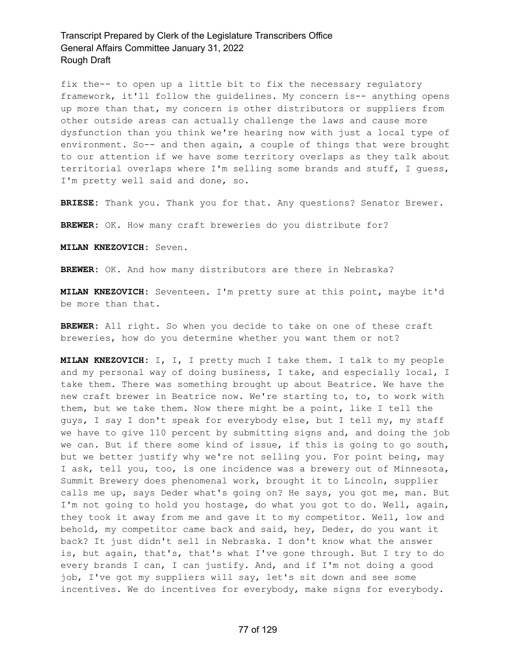fix the-- to open up a little bit to fix the necessary regulatory framework, it'll follow the guidelines. My concern is-- anything opens up more than that, my concern is other distributors or suppliers from other outside areas can actually challenge the laws and cause more dysfunction than you think we're hearing now with just a local type of environment. So-- and then again, a couple of things that were brought to our attention if we have some territory overlaps as they talk about territorial overlaps where I'm selling some brands and stuff, I guess, I'm pretty well said and done, so.

**BRIESE:** Thank you. Thank you for that. Any questions? Senator Brewer.

**BREWER:** OK. How many craft breweries do you distribute for?

**MILAN KNEZOVICH:** Seven.

**BREWER:** OK. And how many distributors are there in Nebraska?

**MILAN KNEZOVICH:** Seventeen. I'm pretty sure at this point, maybe it'd be more than that.

**BREWER:** All right. So when you decide to take on one of these craft breweries, how do you determine whether you want them or not?

**MILAN KNEZOVICH:** I, I, I pretty much I take them. I talk to my people and my personal way of doing business, I take, and especially local, I take them. There was something brought up about Beatrice. We have the new craft brewer in Beatrice now. We're starting to, to, to work with them, but we take them. Now there might be a point, like I tell the guys, I say I don't speak for everybody else, but I tell my, my staff we have to give 110 percent by submitting signs and, and doing the job we can. But if there some kind of issue, if this is going to go south, but we better justify why we're not selling you. For point being, may I ask, tell you, too, is one incidence was a brewery out of Minnesota, Summit Brewery does phenomenal work, brought it to Lincoln, supplier calls me up, says Deder what's going on? He says, you got me, man. But I'm not going to hold you hostage, do what you got to do. Well, again, they took it away from me and gave it to my competitor. Well, low and behold, my competitor came back and said, hey, Deder, do you want it back? It just didn't sell in Nebraska. I don't know what the answer is, but again, that's, that's what I've gone through. But I try to do every brands I can, I can justify. And, and if I'm not doing a good job, I've got my suppliers will say, let's sit down and see some incentives. We do incentives for everybody, make signs for everybody.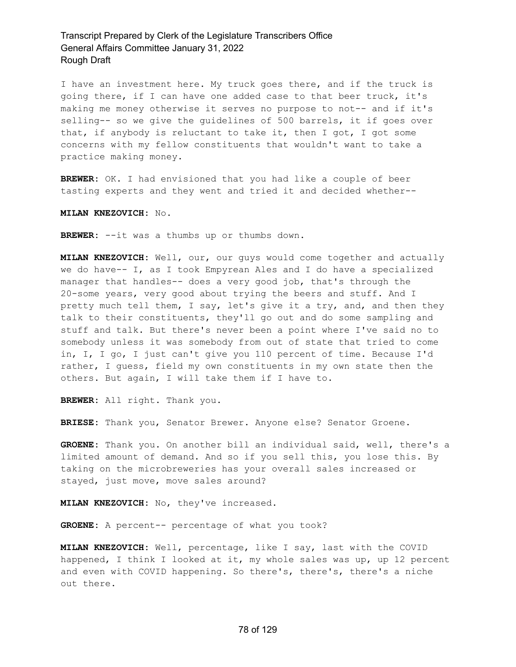I have an investment here. My truck goes there, and if the truck is going there, if I can have one added case to that beer truck, it's making me money otherwise it serves no purpose to not-- and if it's selling-- so we give the guidelines of 500 barrels, it if goes over that, if anybody is reluctant to take it, then I got, I got some concerns with my fellow constituents that wouldn't want to take a practice making money.

**BREWER:** OK. I had envisioned that you had like a couple of beer tasting experts and they went and tried it and decided whether--

**MILAN KNEZOVICH:** No.

**BREWER:** --it was a thumbs up or thumbs down.

**MILAN KNEZOVICH:** Well, our, our guys would come together and actually we do have-- I, as I took Empyrean Ales and I do have a specialized manager that handles-- does a very good job, that's through the 20-some years, very good about trying the beers and stuff. And I pretty much tell them, I say, let's give it a try, and, and then they talk to their constituents, they'll go out and do some sampling and stuff and talk. But there's never been a point where I've said no to somebody unless it was somebody from out of state that tried to come in, I, I go, I just can't give you 110 percent of time. Because I'd rather, I guess, field my own constituents in my own state then the others. But again, I will take them if I have to.

**BREWER:** All right. Thank you.

**BRIESE:** Thank you, Senator Brewer. Anyone else? Senator Groene.

**GROENE:** Thank you. On another bill an individual said, well, there's a limited amount of demand. And so if you sell this, you lose this. By taking on the microbreweries has your overall sales increased or stayed, just move, move sales around?

**MILAN KNEZOVICH:** No, they've increased.

**GROENE:** A percent-- percentage of what you took?

**MILAN KNEZOVICH:** Well, percentage, like I say, last with the COVID happened, I think I looked at it, my whole sales was up, up 12 percent and even with COVID happening. So there's, there's, there's a niche out there.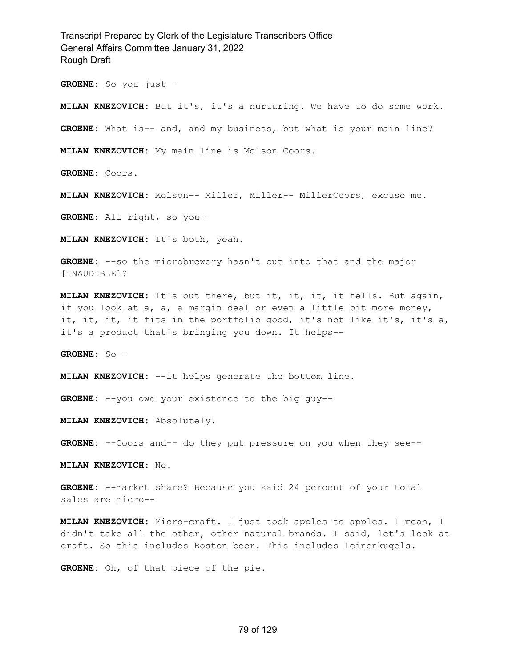**GROENE:** So you just--

**MILAN KNEZOVICH:** But it's, it's a nurturing. We have to do some work. **GROENE:** What is-- and, and my business, but what is your main line? **MILAN KNEZOVICH:** My main line is Molson Coors. **GROENE:** Coors. **MILAN KNEZOVICH:** Molson-- Miller, Miller-- MillerCoors, excuse me. **GROENE:** All right, so you-- **MILAN KNEZOVICH:** It's both, yeah. **GROENE:** --so the microbrewery hasn't cut into that and the major [INAUDIBLE]? **MILAN KNEZOVICH:** It's out there, but it, it, it, it fells. But again, if you look at a, a, a margin deal or even a little bit more money, it, it, it, it fits in the portfolio good, it's not like it's, it's a, it's a product that's bringing you down. It helps-- **GROENE:** So-- **MILAN KNEZOVICH:** --it helps generate the bottom line. **GROENE:** --you owe your existence to the big guy-- **MILAN KNEZOVICH:** Absolutely. **GROENE:** --Coors and-- do they put pressure on you when they see-- **MILAN KNEZOVICH:** No. **GROENE:** --market share? Because you said 24 percent of your total

sales are micro--

**MILAN KNEZOVICH:** Micro-craft. I just took apples to apples. I mean, I didn't take all the other, other natural brands. I said, let's look at craft. So this includes Boston beer. This includes Leinenkugels.

**GROENE:** Oh, of that piece of the pie.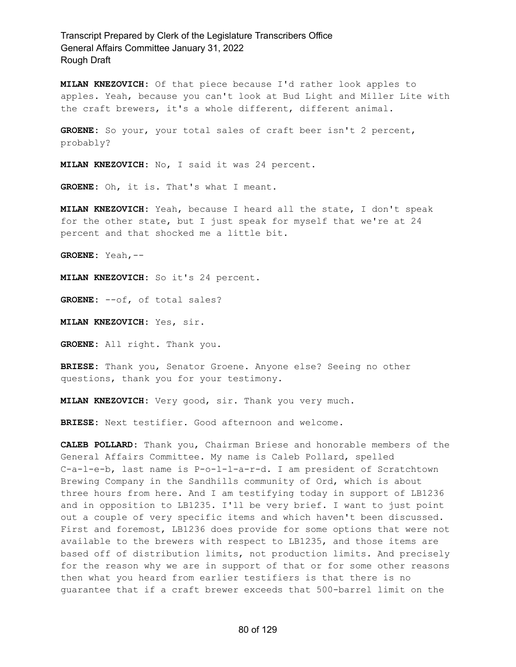**MILAN KNEZOVICH:** Of that piece because I'd rather look apples to apples. Yeah, because you can't look at Bud Light and Miller Lite with the craft brewers, it's a whole different, different animal.

**GROENE:** So your, your total sales of craft beer isn't 2 percent, probably?

**MILAN KNEZOVICH:** No, I said it was 24 percent.

**GROENE:** Oh, it is. That's what I meant.

**MILAN KNEZOVICH:** Yeah, because I heard all the state, I don't speak for the other state, but I just speak for myself that we're at 24 percent and that shocked me a little bit.

**GROENE:** Yeah,--

**MILAN KNEZOVICH:** So it's 24 percent.

**GROENE:** --of, of total sales?

**MILAN KNEZOVICH:** Yes, sir.

**GROENE:** All right. Thank you.

**BRIESE:** Thank you, Senator Groene. Anyone else? Seeing no other questions, thank you for your testimony.

**MILAN KNEZOVICH:** Very good, sir. Thank you very much.

**BRIESE:** Next testifier. Good afternoon and welcome.

**CALEB POLLARD:** Thank you, Chairman Briese and honorable members of the General Affairs Committee. My name is Caleb Pollard, spelled C-a-l-e-b, last name is P-o-l-l-a-r-d. I am president of Scratchtown Brewing Company in the Sandhills community of Ord, which is about three hours from here. And I am testifying today in support of LB1236 and in opposition to LB1235. I'll be very brief. I want to just point out a couple of very specific items and which haven't been discussed. First and foremost, LB1236 does provide for some options that were not available to the brewers with respect to LB1235, and those items are based off of distribution limits, not production limits. And precisely for the reason why we are in support of that or for some other reasons then what you heard from earlier testifiers is that there is no guarantee that if a craft brewer exceeds that 500-barrel limit on the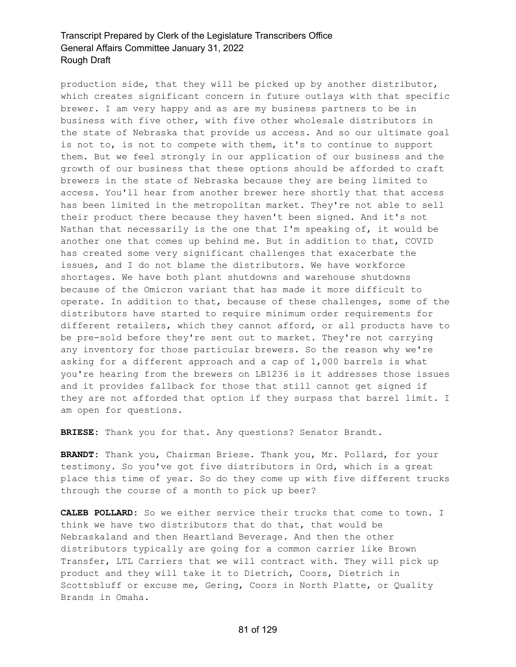production side, that they will be picked up by another distributor, which creates significant concern in future outlays with that specific brewer. I am very happy and as are my business partners to be in business with five other, with five other wholesale distributors in the state of Nebraska that provide us access. And so our ultimate goal is not to, is not to compete with them, it's to continue to support them. But we feel strongly in our application of our business and the growth of our business that these options should be afforded to craft brewers in the state of Nebraska because they are being limited to access. You'll hear from another brewer here shortly that that access has been limited in the metropolitan market. They're not able to sell their product there because they haven't been signed. And it's not Nathan that necessarily is the one that I'm speaking of, it would be another one that comes up behind me. But in addition to that, COVID has created some very significant challenges that exacerbate the issues, and I do not blame the distributors. We have workforce shortages. We have both plant shutdowns and warehouse shutdowns because of the Omicron variant that has made it more difficult to operate. In addition to that, because of these challenges, some of the distributors have started to require minimum order requirements for different retailers, which they cannot afford, or all products have to be pre-sold before they're sent out to market. They're not carrying any inventory for those particular brewers. So the reason why we're asking for a different approach and a cap of 1,000 barrels is what you're hearing from the brewers on LB1236 is it addresses those issues and it provides fallback for those that still cannot get signed if they are not afforded that option if they surpass that barrel limit. I am open for questions.

**BRIESE:** Thank you for that. Any questions? Senator Brandt.

**BRANDT:** Thank you, Chairman Briese. Thank you, Mr. Pollard, for your testimony. So you've got five distributors in Ord, which is a great place this time of year. So do they come up with five different trucks through the course of a month to pick up beer?

**CALEB POLLARD:** So we either service their trucks that come to town. I think we have two distributors that do that, that would be Nebraskaland and then Heartland Beverage. And then the other distributors typically are going for a common carrier like Brown Transfer, LTL Carriers that we will contract with. They will pick up product and they will take it to Dietrich, Coors, Dietrich in Scottsbluff or excuse me, Gering, Coors in North Platte, or Quality Brands in Omaha.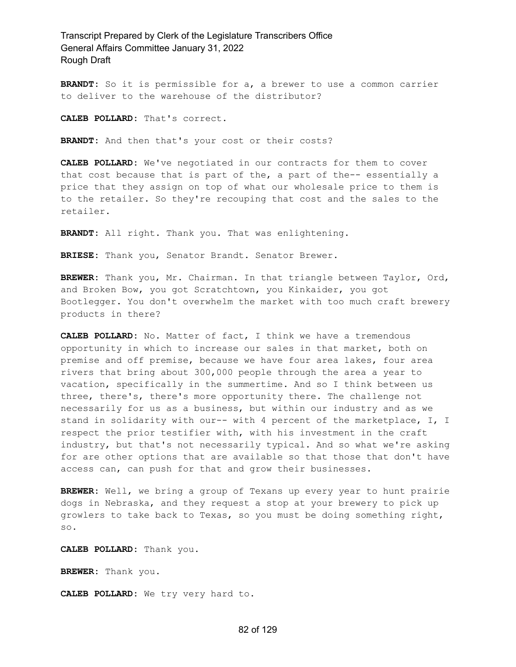**BRANDT:** So it is permissible for a, a brewer to use a common carrier to deliver to the warehouse of the distributor?

**CALEB POLLARD:** That's correct.

**BRANDT:** And then that's your cost or their costs?

**CALEB POLLARD:** We've negotiated in our contracts for them to cover that cost because that is part of the, a part of the-- essentially a price that they assign on top of what our wholesale price to them is to the retailer. So they're recouping that cost and the sales to the retailer.

**BRANDT:** All right. Thank you. That was enlightening.

**BRIESE:** Thank you, Senator Brandt. Senator Brewer.

**BREWER:** Thank you, Mr. Chairman. In that triangle between Taylor, Ord, and Broken Bow, you got Scratchtown, you Kinkaider, you got Bootlegger. You don't overwhelm the market with too much craft brewery products in there?

**CALEB POLLARD:** No. Matter of fact, I think we have a tremendous opportunity in which to increase our sales in that market, both on premise and off premise, because we have four area lakes, four area rivers that bring about 300,000 people through the area a year to vacation, specifically in the summertime. And so I think between us three, there's, there's more opportunity there. The challenge not necessarily for us as a business, but within our industry and as we stand in solidarity with our-- with 4 percent of the marketplace, I, I respect the prior testifier with, with his investment in the craft industry, but that's not necessarily typical. And so what we're asking for are other options that are available so that those that don't have access can, can push for that and grow their businesses.

**BREWER:** Well, we bring a group of Texans up every year to hunt prairie dogs in Nebraska, and they request a stop at your brewery to pick up growlers to take back to Texas, so you must be doing something right, so.

**CALEB POLLARD:** Thank you.

**BREWER:** Thank you.

**CALEB POLLARD:** We try very hard to.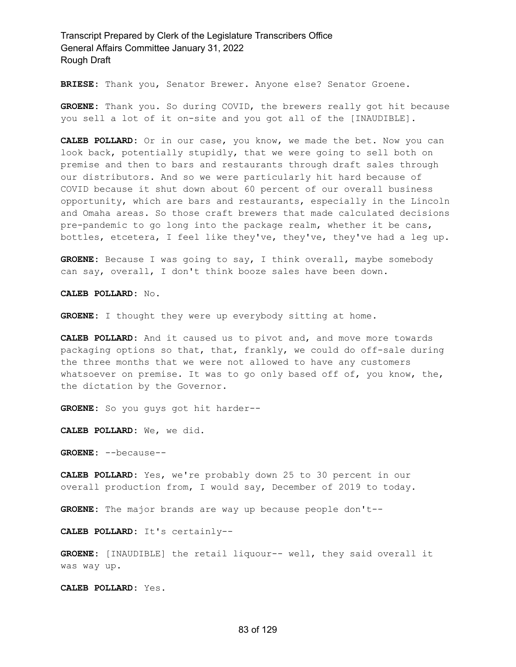**BRIESE:** Thank you, Senator Brewer. Anyone else? Senator Groene.

**GROENE:** Thank you. So during COVID, the brewers really got hit because you sell a lot of it on-site and you got all of the [INAUDIBLE].

**CALEB POLLARD:** Or in our case, you know, we made the bet. Now you can look back, potentially stupidly, that we were going to sell both on premise and then to bars and restaurants through draft sales through our distributors. And so we were particularly hit hard because of COVID because it shut down about 60 percent of our overall business opportunity, which are bars and restaurants, especially in the Lincoln and Omaha areas. So those craft brewers that made calculated decisions pre-pandemic to go long into the package realm, whether it be cans, bottles, etcetera, I feel like they've, they've, they've had a leg up.

**GROENE:** Because I was going to say, I think overall, maybe somebody can say, overall, I don't think booze sales have been down.

**CALEB POLLARD:** No.

**GROENE:** I thought they were up everybody sitting at home.

**CALEB POLLARD:** And it caused us to pivot and, and move more towards packaging options so that, that, frankly, we could do off-sale during the three months that we were not allowed to have any customers whatsoever on premise. It was to go only based off of, you know, the, the dictation by the Governor.

**GROENE:** So you guys got hit harder--

**CALEB POLLARD:** We, we did.

**GROENE:** --because--

**CALEB POLLARD:** Yes, we're probably down 25 to 30 percent in our overall production from, I would say, December of 2019 to today.

**GROENE:** The major brands are way up because people don't--

**CALEB POLLARD:** It's certainly--

**GROENE:** [INAUDIBLE] the retail liquour-- well, they said overall it was way up.

**CALEB POLLARD:** Yes.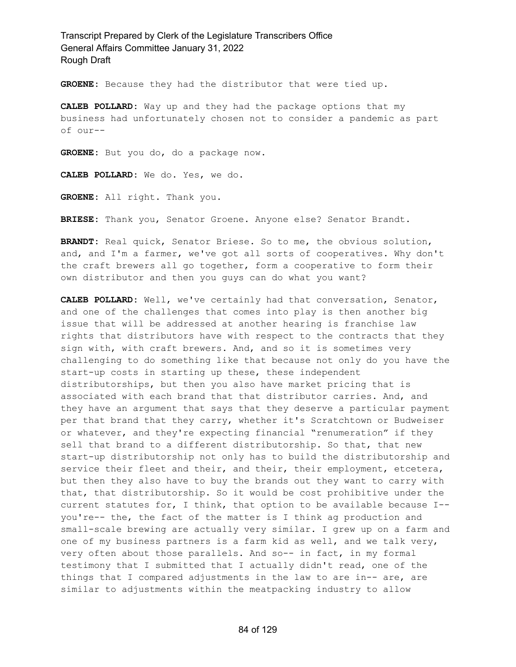**GROENE:** Because they had the distributor that were tied up.

**CALEB POLLARD:** Way up and they had the package options that my business had unfortunately chosen not to consider a pandemic as part of our--

**GROENE:** But you do, do a package now.

**CALEB POLLARD:** We do. Yes, we do.

**GROENE:** All right. Thank you.

**BRIESE:** Thank you, Senator Groene. Anyone else? Senator Brandt.

**BRANDT:** Real quick, Senator Briese. So to me, the obvious solution, and, and I'm a farmer, we've got all sorts of cooperatives. Why don't the craft brewers all go together, form a cooperative to form their own distributor and then you guys can do what you want?

**CALEB POLLARD:** Well, we've certainly had that conversation, Senator, and one of the challenges that comes into play is then another big issue that will be addressed at another hearing is franchise law rights that distributors have with respect to the contracts that they sign with, with craft brewers. And, and so it is sometimes very challenging to do something like that because not only do you have the start-up costs in starting up these, these independent distributorships, but then you also have market pricing that is associated with each brand that that distributor carries. And, and they have an argument that says that they deserve a particular payment per that brand that they carry, whether it's Scratchtown or Budweiser or whatever, and they're expecting financial "renumeration" if they sell that brand to a different distributorship. So that, that new start-up distributorship not only has to build the distributorship and service their fleet and their, and their, their employment, etcetera, but then they also have to buy the brands out they want to carry with that, that distributorship. So it would be cost prohibitive under the current statutes for, I think, that option to be available because I- you're-- the, the fact of the matter is I think ag production and small-scale brewing are actually very similar. I grew up on a farm and one of my business partners is a farm kid as well, and we talk very, very often about those parallels. And so-- in fact, in my formal testimony that I submitted that I actually didn't read, one of the things that I compared adjustments in the law to are in-- are, are similar to adjustments within the meatpacking industry to allow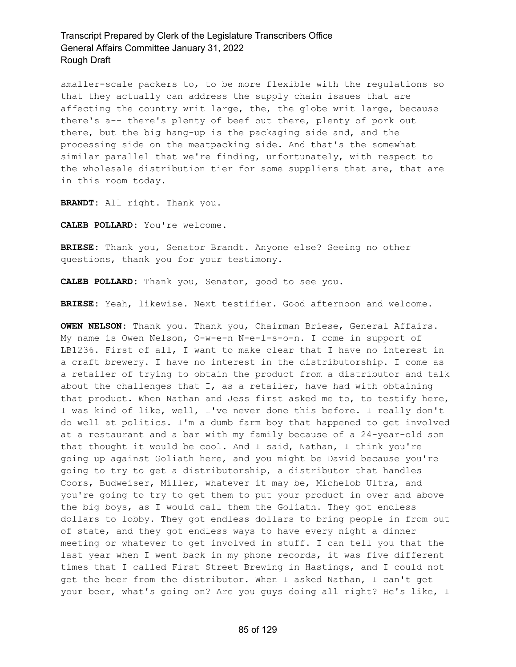smaller-scale packers to, to be more flexible with the regulations so that they actually can address the supply chain issues that are affecting the country writ large, the, the globe writ large, because there's a-- there's plenty of beef out there, plenty of pork out there, but the big hang-up is the packaging side and, and the processing side on the meatpacking side. And that's the somewhat similar parallel that we're finding, unfortunately, with respect to the wholesale distribution tier for some suppliers that are, that are in this room today.

**BRANDT:** All right. Thank you.

**CALEB POLLARD:** You're welcome.

**BRIESE:** Thank you, Senator Brandt. Anyone else? Seeing no other questions, thank you for your testimony.

**CALEB POLLARD:** Thank you, Senator, good to see you.

**BRIESE:** Yeah, likewise. Next testifier. Good afternoon and welcome.

**OWEN NELSON:** Thank you. Thank you, Chairman Briese, General Affairs. My name is Owen Nelson, O-w-e-n N-e-l-s-o-n. I come in support of LB1236. First of all, I want to make clear that I have no interest in a craft brewery. I have no interest in the distributorship. I come as a retailer of trying to obtain the product from a distributor and talk about the challenges that I, as a retailer, have had with obtaining that product. When Nathan and Jess first asked me to, to testify here, I was kind of like, well, I've never done this before. I really don't do well at politics. I'm a dumb farm boy that happened to get involved at a restaurant and a bar with my family because of a 24-year-old son that thought it would be cool. And I said, Nathan, I think you're going up against Goliath here, and you might be David because you're going to try to get a distributorship, a distributor that handles Coors, Budweiser, Miller, whatever it may be, Michelob Ultra, and you're going to try to get them to put your product in over and above the big boys, as I would call them the Goliath. They got endless dollars to lobby. They got endless dollars to bring people in from out of state, and they got endless ways to have every night a dinner meeting or whatever to get involved in stuff. I can tell you that the last year when I went back in my phone records, it was five different times that I called First Street Brewing in Hastings, and I could not get the beer from the distributor. When I asked Nathan, I can't get your beer, what's going on? Are you guys doing all right? He's like, I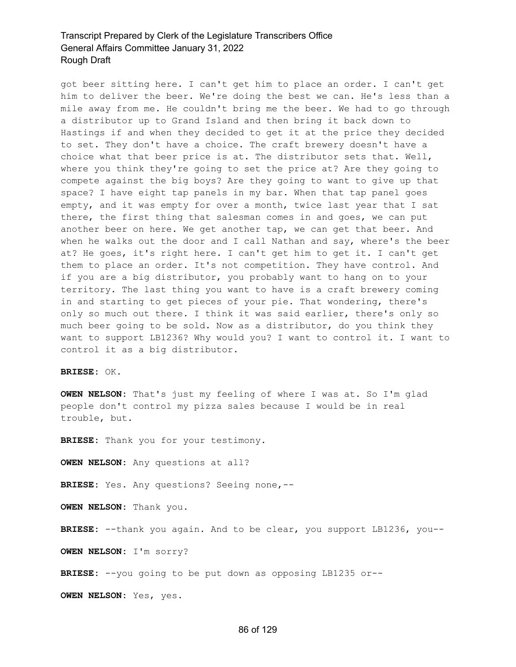got beer sitting here. I can't get him to place an order. I can't get him to deliver the beer. We're doing the best we can. He's less than a mile away from me. He couldn't bring me the beer. We had to go through a distributor up to Grand Island and then bring it back down to Hastings if and when they decided to get it at the price they decided to set. They don't have a choice. The craft brewery doesn't have a choice what that beer price is at. The distributor sets that. Well, where you think they're going to set the price at? Are they going to compete against the big boys? Are they going to want to give up that space? I have eight tap panels in my bar. When that tap panel goes empty, and it was empty for over a month, twice last year that I sat there, the first thing that salesman comes in and goes, we can put another beer on here. We get another tap, we can get that beer. And when he walks out the door and I call Nathan and say, where's the beer at? He goes, it's right here. I can't get him to get it. I can't get them to place an order. It's not competition. They have control. And if you are a big distributor, you probably want to hang on to your territory. The last thing you want to have is a craft brewery coming in and starting to get pieces of your pie. That wondering, there's only so much out there. I think it was said earlier, there's only so much beer going to be sold. Now as a distributor, do you think they want to support LB1236? Why would you? I want to control it. I want to control it as a big distributor.

**BRIESE:** OK.

**OWEN NELSON:** That's just my feeling of where I was at. So I'm glad people don't control my pizza sales because I would be in real trouble, but.

**BRIESE:** Thank you for your testimony.

**OWEN NELSON:** Any questions at all?

**BRIESE:** Yes. Any questions? Seeing none,--

**OWEN NELSON:** Thank you.

**BRIESE:** --thank you again. And to be clear, you support LB1236, you--

**OWEN NELSON:** I'm sorry?

**BRIESE:** --you going to be put down as opposing LB1235 or--

**OWEN NELSON:** Yes, yes.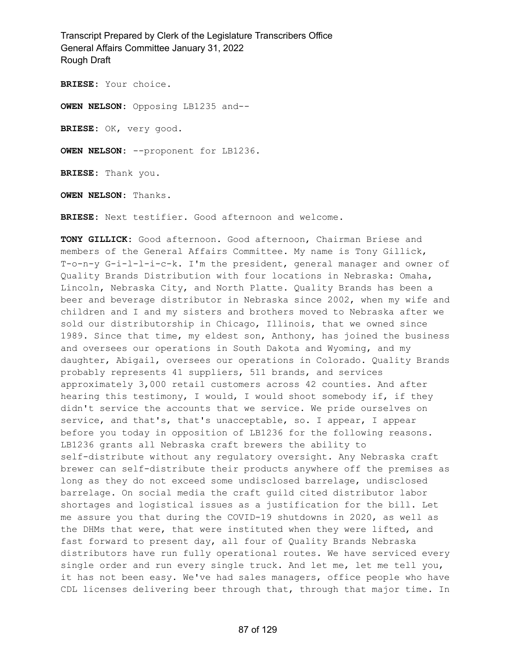**BRIESE:** Your choice. **OWEN NELSON:** Opposing LB1235 and-- **BRIESE:** OK, very good. **OWEN NELSON:** --proponent for LB1236. **BRIESE:** Thank you. **OWEN NELSON:** Thanks. **BRIESE:** Next testifier. Good afternoon and welcome.

**TONY GILLICK:** Good afternoon. Good afternoon, Chairman Briese and members of the General Affairs Committee. My name is Tony Gillick, T-o-n-y G-i-l-l-i-c-k. I'm the president, general manager and owner of Quality Brands Distribution with four locations in Nebraska: Omaha, Lincoln, Nebraska City, and North Platte. Quality Brands has been a beer and beverage distributor in Nebraska since 2002, when my wife and children and I and my sisters and brothers moved to Nebraska after we sold our distributorship in Chicago, Illinois, that we owned since 1989. Since that time, my eldest son, Anthony, has joined the business and oversees our operations in South Dakota and Wyoming, and my daughter, Abigail, oversees our operations in Colorado. Quality Brands probably represents 41 suppliers, 511 brands, and services approximately 3,000 retail customers across 42 counties. And after hearing this testimony, I would, I would shoot somebody if, if they didn't service the accounts that we service. We pride ourselves on service, and that's, that's unacceptable, so. I appear, I appear before you today in opposition of LB1236 for the following reasons. LB1236 grants all Nebraska craft brewers the ability to self-distribute without any regulatory oversight. Any Nebraska craft brewer can self-distribute their products anywhere off the premises as long as they do not exceed some undisclosed barrelage, undisclosed barrelage. On social media the craft guild cited distributor labor shortages and logistical issues as a justification for the bill. Let me assure you that during the COVID-19 shutdowns in 2020, as well as the DHMs that were, that were instituted when they were lifted, and fast forward to present day, all four of Quality Brands Nebraska distributors have run fully operational routes. We have serviced every single order and run every single truck. And let me, let me tell you, it has not been easy. We've had sales managers, office people who have CDL licenses delivering beer through that, through that major time. In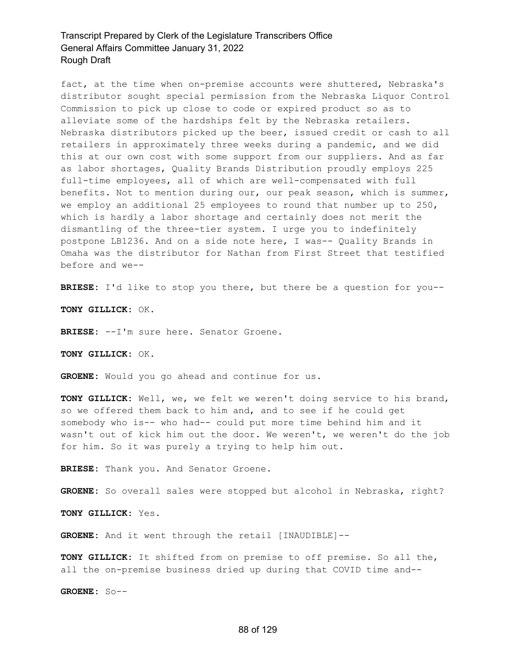fact, at the time when on-premise accounts were shuttered, Nebraska's distributor sought special permission from the Nebraska Liquor Control Commission to pick up close to code or expired product so as to alleviate some of the hardships felt by the Nebraska retailers. Nebraska distributors picked up the beer, issued credit or cash to all retailers in approximately three weeks during a pandemic, and we did this at our own cost with some support from our suppliers. And as far as labor shortages, Quality Brands Distribution proudly employs 225 full-time employees, all of which are well-compensated with full benefits. Not to mention during our, our peak season, which is summer, we employ an additional 25 employees to round that number up to 250, which is hardly a labor shortage and certainly does not merit the dismantling of the three-tier system. I urge you to indefinitely postpone LB1236. And on a side note here, I was-- Quality Brands in Omaha was the distributor for Nathan from First Street that testified before and we--

**BRIESE:** I'd like to stop you there, but there be a question for you--

**TONY GILLICK:** OK.

**BRIESE:** --I'm sure here. Senator Groene.

**TONY GILLICK:** OK.

**GROENE:** Would you go ahead and continue for us.

**TONY GILLICK:** Well, we, we felt we weren't doing service to his brand, so we offered them back to him and, and to see if he could get somebody who is-- who had-- could put more time behind him and it wasn't out of kick him out the door. We weren't, we weren't do the job for him. So it was purely a trying to help him out.

**BRIESE:** Thank you. And Senator Groene.

**GROENE:** So overall sales were stopped but alcohol in Nebraska, right?

**TONY GILLICK:** Yes.

**GROENE:** And it went through the retail [INAUDIBLE]--

**TONY GILLICK:** It shifted from on premise to off premise. So all the, all the on-premise business dried up during that COVID time and--

**GROENE:** So--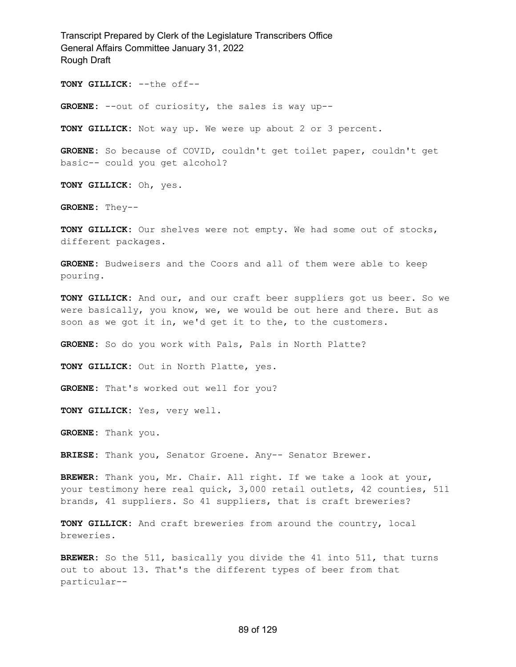**TONY GILLICK:** --the off--

**GROENE:** --out of curiosity, the sales is way up--

**TONY GILLICK:** Not way up. We were up about 2 or 3 percent.

**GROENE:** So because of COVID, couldn't get toilet paper, couldn't get basic-- could you get alcohol?

**TONY GILLICK:** Oh, yes.

**GROENE:** They--

**TONY GILLICK:** Our shelves were not empty. We had some out of stocks, different packages.

**GROENE:** Budweisers and the Coors and all of them were able to keep pouring.

**TONY GILLICK:** And our, and our craft beer suppliers got us beer. So we were basically, you know, we, we would be out here and there. But as soon as we got it in, we'd get it to the, to the customers.

**GROENE:** So do you work with Pals, Pals in North Platte?

**TONY GILLICK:** Out in North Platte, yes.

**GROENE:** That's worked out well for you?

**TONY GILLICK:** Yes, very well.

**GROENE:** Thank you.

**BRIESE:** Thank you, Senator Groene. Any-- Senator Brewer.

**BREWER:** Thank you, Mr. Chair. All right. If we take a look at your, your testimony here real quick, 3,000 retail outlets, 42 counties, 511 brands, 41 suppliers. So 41 suppliers, that is craft breweries?

**TONY GILLICK:** And craft breweries from around the country, local breweries.

**BREWER:** So the 511, basically you divide the 41 into 511, that turns out to about 13. That's the different types of beer from that particular--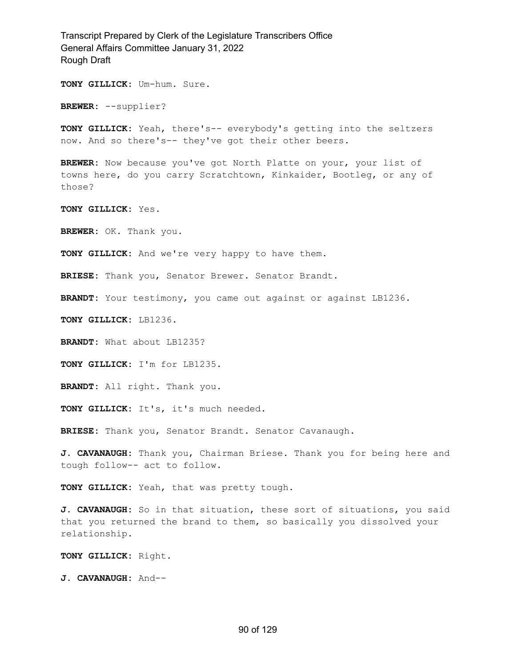**TONY GILLICK:** Um-hum. Sure.

**BREWER:** --supplier?

**TONY GILLICK:** Yeah, there's-- everybody's getting into the seltzers now. And so there's-- they've got their other beers.

**BREWER:** Now because you've got North Platte on your, your list of towns here, do you carry Scratchtown, Kinkaider, Bootleg, or any of those?

**TONY GILLICK:** Yes.

**BREWER:** OK. Thank you.

**TONY GILLICK:** And we're very happy to have them.

**BRIESE:** Thank you, Senator Brewer. Senator Brandt.

**BRANDT:** Your testimony, you came out against or against LB1236.

**TONY GILLICK:** LB1236.

**BRANDT:** What about LB1235?

**TONY GILLICK:** I'm for LB1235.

**BRANDT:** All right. Thank you.

**TONY GILLICK:** It's, it's much needed.

**BRIESE:** Thank you, Senator Brandt. Senator Cavanaugh.

**J. CAVANAUGH:** Thank you, Chairman Briese. Thank you for being here and tough follow-- act to follow.

**TONY GILLICK:** Yeah, that was pretty tough.

**J. CAVANAUGH:** So in that situation, these sort of situations, you said that you returned the brand to them, so basically you dissolved your relationship.

**TONY GILLICK:** Right.

**J. CAVANAUGH:** And--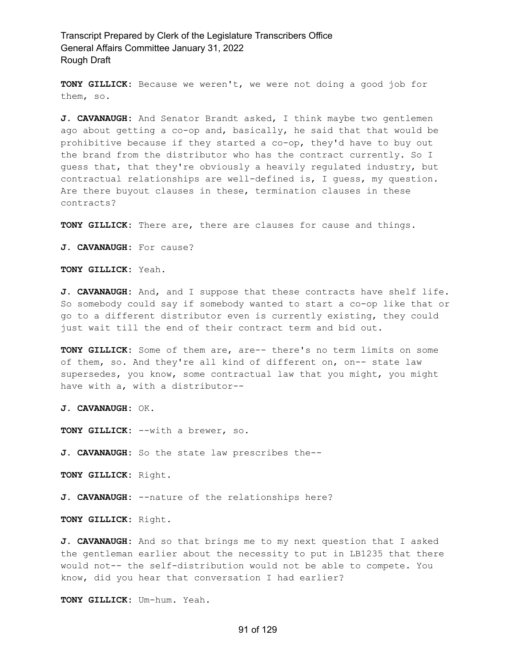**TONY GILLICK:** Because we weren't, we were not doing a good job for them, so.

**J. CAVANAUGH:** And Senator Brandt asked, I think maybe two gentlemen ago about getting a co-op and, basically, he said that that would be prohibitive because if they started a co-op, they'd have to buy out the brand from the distributor who has the contract currently. So I guess that, that they're obviously a heavily regulated industry, but contractual relationships are well-defined is, I guess, my question. Are there buyout clauses in these, termination clauses in these contracts?

**TONY GILLICK:** There are, there are clauses for cause and things.

**J. CAVANAUGH:** For cause?

**TONY GILLICK:** Yeah.

**J. CAVANAUGH:** And, and I suppose that these contracts have shelf life. So somebody could say if somebody wanted to start a co-op like that or go to a different distributor even is currently existing, they could just wait till the end of their contract term and bid out.

**TONY GILLICK:** Some of them are, are-- there's no term limits on some of them, so. And they're all kind of different on, on-- state law supersedes, you know, some contractual law that you might, you might have with a, with a distributor--

**J. CAVANAUGH:** OK.

**TONY GILLICK:** --with a brewer, so.

**J. CAVANAUGH:** So the state law prescribes the--

**TONY GILLICK:** Right.

**J. CAVANAUGH:** --nature of the relationships here?

**TONY GILLICK:** Right.

**J. CAVANAUGH:** And so that brings me to my next question that I asked the gentleman earlier about the necessity to put in LB1235 that there would not-- the self-distribution would not be able to compete. You know, did you hear that conversation I had earlier?

**TONY GILLICK:** Um-hum. Yeah.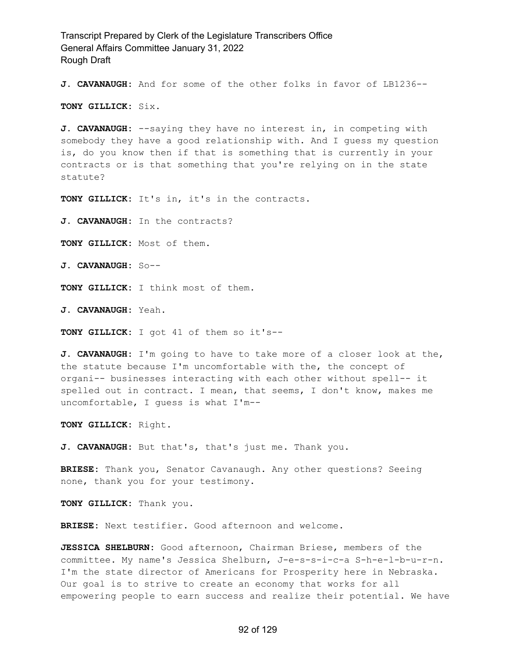**J. CAVANAUGH:** And for some of the other folks in favor of LB1236--

**TONY GILLICK:** Six.

**J. CAVANAUGH:** --saying they have no interest in, in competing with somebody they have a good relationship with. And I guess my question is, do you know then if that is something that is currently in your contracts or is that something that you're relying on in the state statute?

**TONY GILLICK:** It's in, it's in the contracts.

**J. CAVANAUGH:** In the contracts?

**TONY GILLICK:** Most of them.

**J. CAVANAUGH:** So--

**TONY GILLICK:** I think most of them.

**J. CAVANAUGH:** Yeah.

**TONY GILLICK:** I got 41 of them so it's--

**J. CAVANAUGH:** I'm going to have to take more of a closer look at the, the statute because I'm uncomfortable with the, the concept of organi-- businesses interacting with each other without spell-- it spelled out in contract. I mean, that seems, I don't know, makes me uncomfortable, I guess is what I'm--

**TONY GILLICK:** Right.

**J. CAVANAUGH:** But that's, that's just me. Thank you.

**BRIESE:** Thank you, Senator Cavanaugh. Any other questions? Seeing none, thank you for your testimony.

**TONY GILLICK:** Thank you.

**BRIESE:** Next testifier. Good afternoon and welcome.

**JESSICA SHELBURN:** Good afternoon, Chairman Briese, members of the committee. My name's Jessica Shelburn, J-e-s-s-i-c-a S-h-e-l-b-u-r-n. I'm the state director of Americans for Prosperity here in Nebraska. Our goal is to strive to create an economy that works for all empowering people to earn success and realize their potential. We have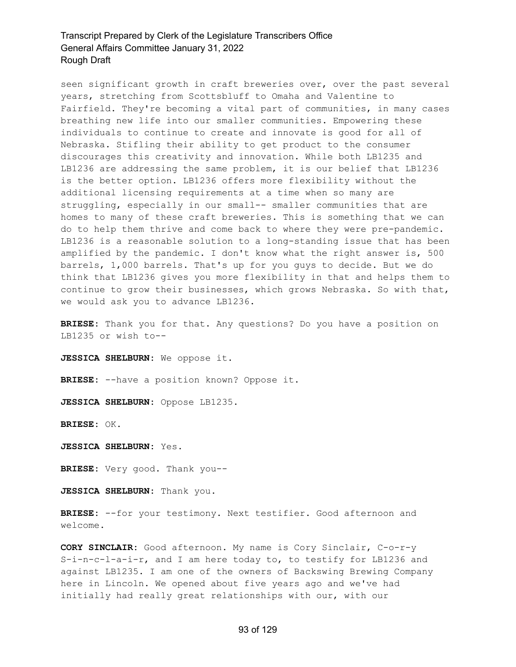seen significant growth in craft breweries over, over the past several years, stretching from Scottsbluff to Omaha and Valentine to Fairfield. They're becoming a vital part of communities, in many cases breathing new life into our smaller communities. Empowering these individuals to continue to create and innovate is good for all of Nebraska. Stifling their ability to get product to the consumer discourages this creativity and innovation. While both LB1235 and LB1236 are addressing the same problem, it is our belief that LB1236 is the better option. LB1236 offers more flexibility without the additional licensing requirements at a time when so many are struggling, especially in our small-- smaller communities that are homes to many of these craft breweries. This is something that we can do to help them thrive and come back to where they were pre-pandemic. LB1236 is a reasonable solution to a long-standing issue that has been amplified by the pandemic. I don't know what the right answer is, 500 barrels, 1,000 barrels. That's up for you guys to decide. But we do think that LB1236 gives you more flexibility in that and helps them to continue to grow their businesses, which grows Nebraska. So with that, we would ask you to advance LB1236.

**BRIESE:** Thank you for that. Any questions? Do you have a position on LB1235 or wish to--

**JESSICA SHELBURN:** We oppose it.

**BRIESE:** --have a position known? Oppose it.

**JESSICA SHELBURN:** Oppose LB1235.

**BRIESE:** OK.

**JESSICA SHELBURN:** Yes.

**BRIESE:** Very good. Thank you--

**JESSICA SHELBURN:** Thank you.

**BRIESE:** --for your testimony. Next testifier. Good afternoon and welcome.

**CORY SINCLAIR:** Good afternoon. My name is Cory Sinclair, C-o-r-y S-i-n-c-l-a-i-r, and I am here today to, to testify for LB1236 and against LB1235. I am one of the owners of Backswing Brewing Company here in Lincoln. We opened about five years ago and we've had initially had really great relationships with our, with our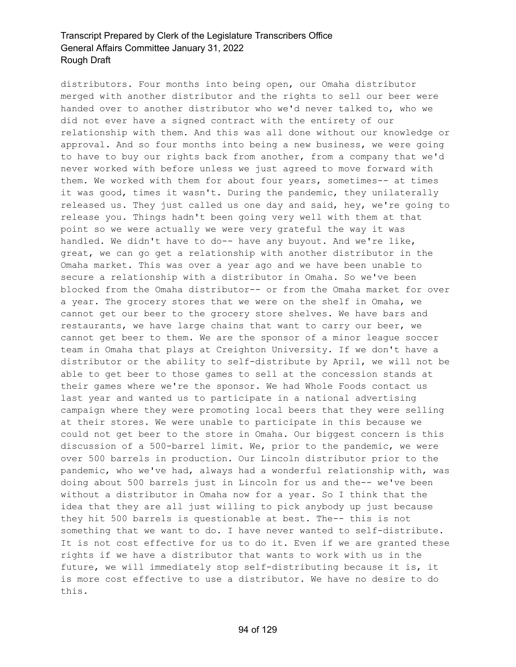distributors. Four months into being open, our Omaha distributor merged with another distributor and the rights to sell our beer were handed over to another distributor who we'd never talked to, who we did not ever have a signed contract with the entirety of our relationship with them. And this was all done without our knowledge or approval. And so four months into being a new business, we were going to have to buy our rights back from another, from a company that we'd never worked with before unless we just agreed to move forward with them. We worked with them for about four years, sometimes-- at times it was good, times it wasn't. During the pandemic, they unilaterally released us. They just called us one day and said, hey, we're going to release you. Things hadn't been going very well with them at that point so we were actually we were very grateful the way it was handled. We didn't have to do-- have any buyout. And we're like, great, we can go get a relationship with another distributor in the Omaha market. This was over a year ago and we have been unable to secure a relationship with a distributor in Omaha. So we've been blocked from the Omaha distributor-- or from the Omaha market for over a year. The grocery stores that we were on the shelf in Omaha, we cannot get our beer to the grocery store shelves. We have bars and restaurants, we have large chains that want to carry our beer, we cannot get beer to them. We are the sponsor of a minor league soccer team in Omaha that plays at Creighton University. If we don't have a distributor or the ability to self-distribute by April, we will not be able to get beer to those games to sell at the concession stands at their games where we're the sponsor. We had Whole Foods contact us last year and wanted us to participate in a national advertising campaign where they were promoting local beers that they were selling at their stores. We were unable to participate in this because we could not get beer to the store in Omaha. Our biggest concern is this discussion of a 500-barrel limit. We, prior to the pandemic, we were over 500 barrels in production. Our Lincoln distributor prior to the pandemic, who we've had, always had a wonderful relationship with, was doing about 500 barrels just in Lincoln for us and the-- we've been without a distributor in Omaha now for a year. So I think that the idea that they are all just willing to pick anybody up just because they hit 500 barrels is questionable at best. The-- this is not something that we want to do. I have never wanted to self-distribute. It is not cost effective for us to do it. Even if we are granted these rights if we have a distributor that wants to work with us in the future, we will immediately stop self-distributing because it is, it is more cost effective to use a distributor. We have no desire to do this.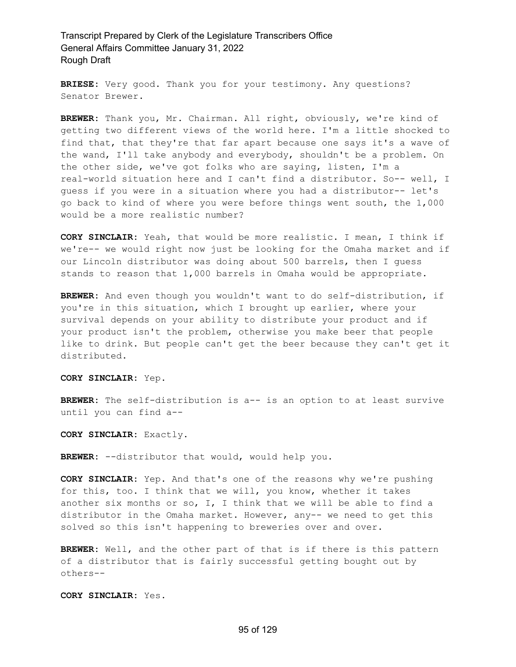**BRIESE:** Very good. Thank you for your testimony. Any questions? Senator Brewer.

**BREWER:** Thank you, Mr. Chairman. All right, obviously, we're kind of getting two different views of the world here. I'm a little shocked to find that, that they're that far apart because one says it's a wave of the wand, I'll take anybody and everybody, shouldn't be a problem. On the other side, we've got folks who are saying, listen, I'm a real-world situation here and I can't find a distributor. So-- well, I guess if you were in a situation where you had a distributor-- let's go back to kind of where you were before things went south, the 1,000 would be a more realistic number?

**CORY SINCLAIR:** Yeah, that would be more realistic. I mean, I think if we're-- we would right now just be looking for the Omaha market and if our Lincoln distributor was doing about 500 barrels, then I guess stands to reason that 1,000 barrels in Omaha would be appropriate.

**BREWER:** And even though you wouldn't want to do self-distribution, if you're in this situation, which I brought up earlier, where your survival depends on your ability to distribute your product and if your product isn't the problem, otherwise you make beer that people like to drink. But people can't get the beer because they can't get it distributed.

**CORY SINCLAIR:** Yep.

**BREWER:** The self-distribution is a-- is an option to at least survive until you can find a--

**CORY SINCLAIR:** Exactly.

**BREWER:** --distributor that would, would help you.

**CORY SINCLAIR:** Yep. And that's one of the reasons why we're pushing for this, too. I think that we will, you know, whether it takes another six months or so, I, I think that we will be able to find a distributor in the Omaha market. However, any-- we need to get this solved so this isn't happening to breweries over and over.

**BREWER:** Well, and the other part of that is if there is this pattern of a distributor that is fairly successful getting bought out by others--

**CORY SINCLAIR:** Yes.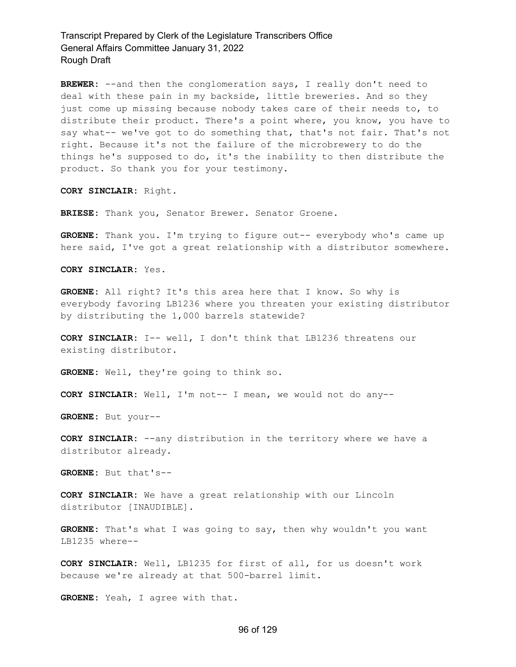**BREWER:** --and then the conglomeration says, I really don't need to deal with these pain in my backside, little breweries. And so they just come up missing because nobody takes care of their needs to, to distribute their product. There's a point where, you know, you have to say what-- we've got to do something that, that's not fair. That's not right. Because it's not the failure of the microbrewery to do the things he's supposed to do, it's the inability to then distribute the product. So thank you for your testimony.

**CORY SINCLAIR:** Right.

**BRIESE:** Thank you, Senator Brewer. Senator Groene.

**GROENE:** Thank you. I'm trying to figure out-- everybody who's came up here said, I've got a great relationship with a distributor somewhere.

**CORY SINCLAIR:** Yes.

**GROENE:** All right? It's this area here that I know. So why is everybody favoring LB1236 where you threaten your existing distributor by distributing the 1,000 barrels statewide?

**CORY SINCLAIR:** I-- well, I don't think that LB1236 threatens our existing distributor.

**GROENE:** Well, they're going to think so.

**CORY SINCLAIR:** Well, I'm not-- I mean, we would not do any--

**GROENE:** But your--

**CORY SINCLAIR:** --any distribution in the territory where we have a distributor already.

**GROENE:** But that's--

**CORY SINCLAIR:** We have a great relationship with our Lincoln distributor [INAUDIBLE].

**GROENE:** That's what I was going to say, then why wouldn't you want LB1235 where--

**CORY SINCLAIR:** Well, LB1235 for first of all, for us doesn't work because we're already at that 500-barrel limit.

**GROENE:** Yeah, I agree with that.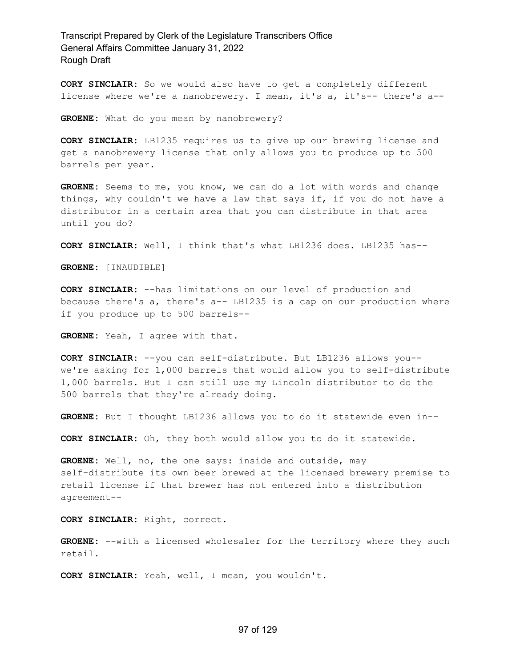**CORY SINCLAIR:** So we would also have to get a completely different license where we're a nanobrewery. I mean, it's a, it's-- there's a--

**GROENE:** What do you mean by nanobrewery?

**CORY SINCLAIR:** LB1235 requires us to give up our brewing license and get a nanobrewery license that only allows you to produce up to 500 barrels per year.

**GROENE:** Seems to me, you know, we can do a lot with words and change things, why couldn't we have a law that says if, if you do not have a distributor in a certain area that you can distribute in that area until you do?

**CORY SINCLAIR:** Well, I think that's what LB1236 does. LB1235 has--

**GROENE:** [INAUDIBLE]

**CORY SINCLAIR:** --has limitations on our level of production and because there's a, there's a-- LB1235 is a cap on our production where if you produce up to 500 barrels--

**GROENE:** Yeah, I agree with that.

**CORY SINCLAIR:** --you can self-distribute. But LB1236 allows you- we're asking for 1,000 barrels that would allow you to self-distribute 1,000 barrels. But I can still use my Lincoln distributor to do the 500 barrels that they're already doing.

**GROENE:** But I thought LB1236 allows you to do it statewide even in--

**CORY SINCLAIR:** Oh, they both would allow you to do it statewide.

**GROENE:** Well, no, the one says: inside and outside, may self-distribute its own beer brewed at the licensed brewery premise to retail license if that brewer has not entered into a distribution agreement--

**CORY SINCLAIR:** Right, correct.

**GROENE:** --with a licensed wholesaler for the territory where they such retail.

**CORY SINCLAIR:** Yeah, well, I mean, you wouldn't.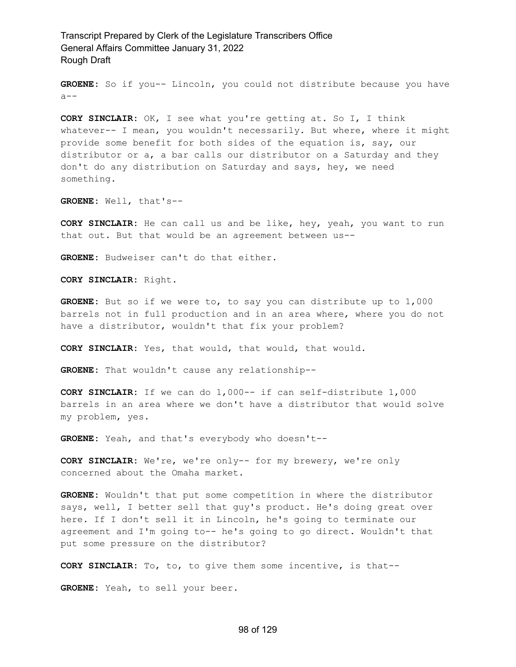**GROENE:** So if you-- Lincoln, you could not distribute because you have  $a--$ 

**CORY SINCLAIR:** OK, I see what you're getting at. So I, I think whatever-- I mean, you wouldn't necessarily. But where, where it might provide some benefit for both sides of the equation is, say, our distributor or a, a bar calls our distributor on a Saturday and they don't do any distribution on Saturday and says, hey, we need something.

**GROENE:** Well, that's--

**CORY SINCLAIR:** He can call us and be like, hey, yeah, you want to run that out. But that would be an agreement between us--

**GROENE:** Budweiser can't do that either.

**CORY SINCLAIR:** Right.

**GROENE:** But so if we were to, to say you can distribute up to 1,000 barrels not in full production and in an area where, where you do not have a distributor, wouldn't that fix your problem?

**CORY SINCLAIR:** Yes, that would, that would, that would.

**GROENE:** That wouldn't cause any relationship--

**CORY SINCLAIR:** If we can do 1,000-- if can self-distribute 1,000 barrels in an area where we don't have a distributor that would solve my problem, yes.

**GROENE:** Yeah, and that's everybody who doesn't--

**CORY SINCLAIR:** We're, we're only-- for my brewery, we're only concerned about the Omaha market.

**GROENE:** Wouldn't that put some competition in where the distributor says, well, I better sell that guy's product. He's doing great over here. If I don't sell it in Lincoln, he's going to terminate our agreement and I'm going to-- he's going to go direct. Wouldn't that put some pressure on the distributor?

**CORY SINCLAIR:** To, to, to give them some incentive, is that--

**GROENE:** Yeah, to sell your beer.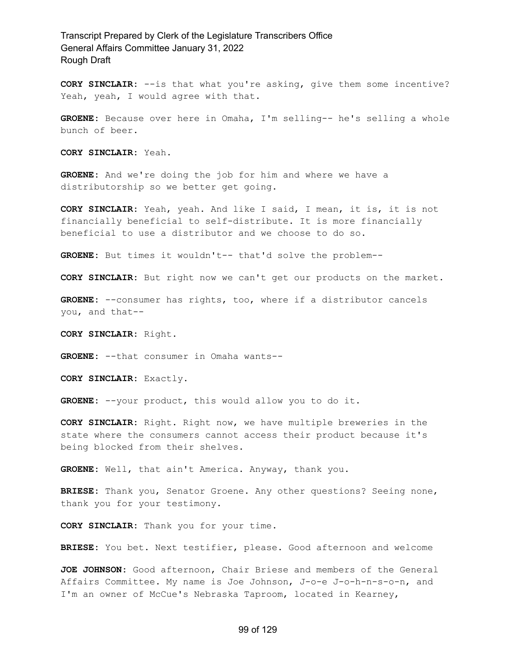**CORY SINCLAIR:** --is that what you're asking, give them some incentive? Yeah, yeah, I would agree with that.

**GROENE:** Because over here in Omaha, I'm selling-- he's selling a whole bunch of beer.

**CORY SINCLAIR:** Yeah.

**GROENE:** And we're doing the job for him and where we have a distributorship so we better get going.

**CORY SINCLAIR:** Yeah, yeah. And like I said, I mean, it is, it is not financially beneficial to self-distribute. It is more financially beneficial to use a distributor and we choose to do so.

**GROENE:** But times it wouldn't-- that'd solve the problem--

**CORY SINCLAIR:** But right now we can't get our products on the market.

**GROENE:** --consumer has rights, too, where if a distributor cancels you, and that--

**CORY SINCLAIR:** Right.

**GROENE:** --that consumer in Omaha wants--

**CORY SINCLAIR:** Exactly.

GROENE: --your product, this would allow you to do it.

**CORY SINCLAIR:** Right. Right now, we have multiple breweries in the state where the consumers cannot access their product because it's being blocked from their shelves.

**GROENE:** Well, that ain't America. Anyway, thank you.

**BRIESE:** Thank you, Senator Groene. Any other questions? Seeing none, thank you for your testimony.

**CORY SINCLAIR:** Thank you for your time.

**BRIESE:** You bet. Next testifier, please. Good afternoon and welcome

**JOE JOHNSON:** Good afternoon, Chair Briese and members of the General Affairs Committee. My name is Joe Johnson, J-o-e J-o-h-n-s-o-n, and I'm an owner of McCue's Nebraska Taproom, located in Kearney,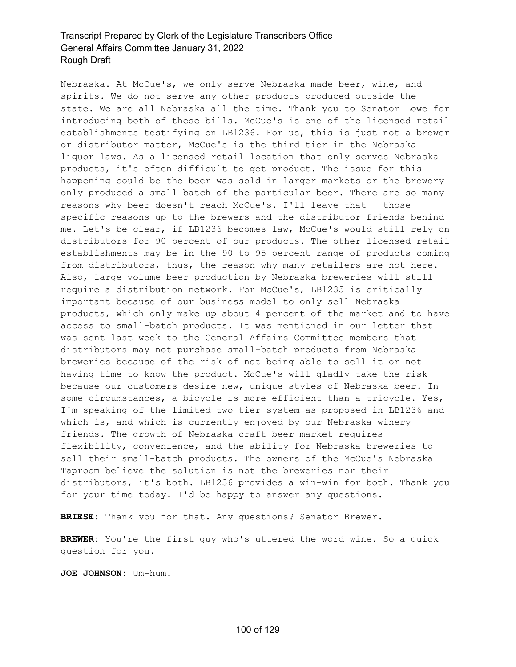Nebraska. At McCue's, we only serve Nebraska-made beer, wine, and spirits. We do not serve any other products produced outside the state. We are all Nebraska all the time. Thank you to Senator Lowe for introducing both of these bills. McCue's is one of the licensed retail establishments testifying on LB1236. For us, this is just not a brewer or distributor matter, McCue's is the third tier in the Nebraska liquor laws. As a licensed retail location that only serves Nebraska products, it's often difficult to get product. The issue for this happening could be the beer was sold in larger markets or the brewery only produced a small batch of the particular beer. There are so many reasons why beer doesn't reach McCue's. I'll leave that-- those specific reasons up to the brewers and the distributor friends behind me. Let's be clear, if LB1236 becomes law, McCue's would still rely on distributors for 90 percent of our products. The other licensed retail establishments may be in the 90 to 95 percent range of products coming from distributors, thus, the reason why many retailers are not here. Also, large-volume beer production by Nebraska breweries will still require a distribution network. For McCue's, LB1235 is critically important because of our business model to only sell Nebraska products, which only make up about 4 percent of the market and to have access to small-batch products. It was mentioned in our letter that was sent last week to the General Affairs Committee members that distributors may not purchase small-batch products from Nebraska breweries because of the risk of not being able to sell it or not having time to know the product. McCue's will gladly take the risk because our customers desire new, unique styles of Nebraska beer. In some circumstances, a bicycle is more efficient than a tricycle. Yes, I'm speaking of the limited two-tier system as proposed in LB1236 and which is, and which is currently enjoyed by our Nebraska winery friends. The growth of Nebraska craft beer market requires flexibility, convenience, and the ability for Nebraska breweries to sell their small-batch products. The owners of the McCue's Nebraska Taproom believe the solution is not the breweries nor their distributors, it's both. LB1236 provides a win-win for both. Thank you for your time today. I'd be happy to answer any questions.

**BRIESE:** Thank you for that. Any questions? Senator Brewer.

**BREWER:** You're the first guy who's uttered the word wine. So a quick question for you.

**JOE JOHNSON:** Um-hum.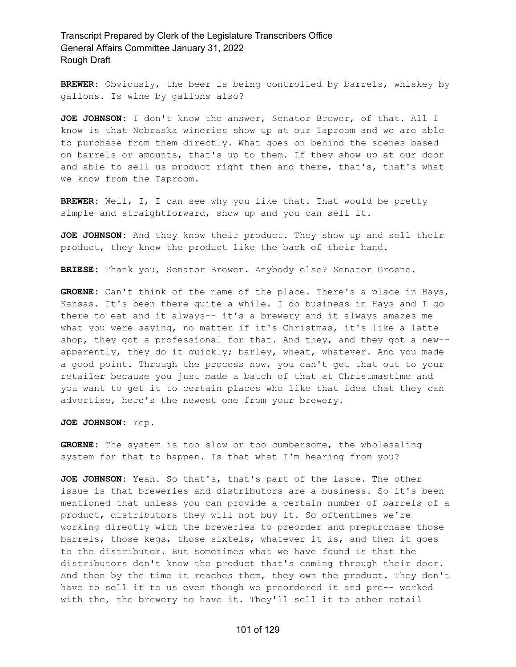**BREWER:** Obviously, the beer is being controlled by barrels, whiskey by gallons. Is wine by gallons also?

**JOE JOHNSON:** I don't know the answer, Senator Brewer, of that. All I know is that Nebraska wineries show up at our Taproom and we are able to purchase from them directly. What goes on behind the scenes based on barrels or amounts, that's up to them. If they show up at our door and able to sell us product right then and there, that's, that's what we know from the Taproom.

**BREWER:** Well, I, I can see why you like that. That would be pretty simple and straightforward, show up and you can sell it.

**JOE JOHNSON:** And they know their product. They show up and sell their product, they know the product like the back of their hand.

**BRIESE:** Thank you, Senator Brewer. Anybody else? Senator Groene.

**GROENE:** Can't think of the name of the place. There's a place in Hays, Kansas. It's been there quite a while. I do business in Hays and I go there to eat and it always-- it's a brewery and it always amazes me what you were saying, no matter if it's Christmas, it's like a latte shop, they got a professional for that. And they, and they got a new- apparently, they do it quickly; barley, wheat, whatever. And you made a good point. Through the process now, you can't get that out to your retailer because you just made a batch of that at Christmastime and you want to get it to certain places who like that idea that they can advertise, here's the newest one from your brewery.

**JOE JOHNSON:** Yep.

**GROENE:** The system is too slow or too cumbersome, the wholesaling system for that to happen. Is that what I'm hearing from you?

**JOE JOHNSON:** Yeah. So that's, that's part of the issue. The other issue is that breweries and distributors are a business. So it's been mentioned that unless you can provide a certain number of barrels of a product, distributors they will not buy it. So oftentimes we're working directly with the breweries to preorder and prepurchase those barrels, those kegs, those sixtels, whatever it is, and then it goes to the distributor. But sometimes what we have found is that the distributors don't know the product that's coming through their door. And then by the time it reaches them, they own the product. They don't have to sell it to us even though we preordered it and pre-- worked with the, the brewery to have it. They'll sell it to other retail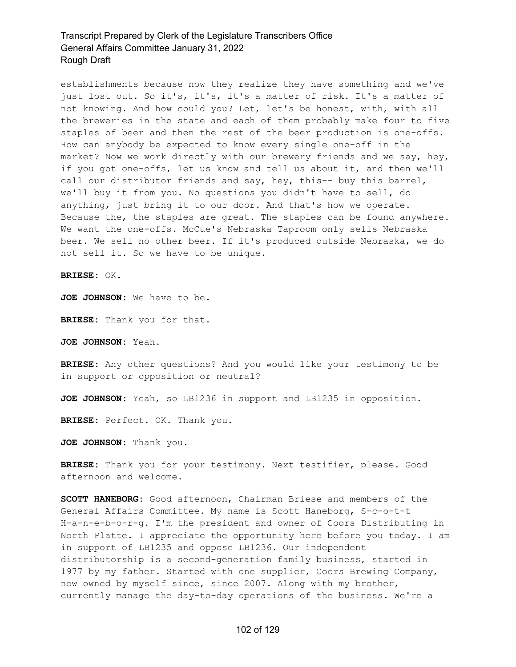establishments because now they realize they have something and we've just lost out. So it's, it's, it's a matter of risk. It's a matter of not knowing. And how could you? Let, let's be honest, with, with all the breweries in the state and each of them probably make four to five staples of beer and then the rest of the beer production is one-offs. How can anybody be expected to know every single one-off in the market? Now we work directly with our brewery friends and we say, hey, if you got one-offs, let us know and tell us about it, and then we'll call our distributor friends and say, hey, this-- buy this barrel, we'll buy it from you. No questions you didn't have to sell, do anything, just bring it to our door. And that's how we operate. Because the, the staples are great. The staples can be found anywhere. We want the one-offs. McCue's Nebraska Taproom only sells Nebraska beer. We sell no other beer. If it's produced outside Nebraska, we do not sell it. So we have to be unique.

**BRIESE:** OK.

**JOE JOHNSON:** We have to be.

**BRIESE:** Thank you for that.

**JOE JOHNSON:** Yeah.

**BRIESE:** Any other questions? And you would like your testimony to be in support or opposition or neutral?

**JOE JOHNSON:** Yeah, so LB1236 in support and LB1235 in opposition.

**BRIESE:** Perfect. OK. Thank you.

**JOE JOHNSON:** Thank you.

**BRIESE:** Thank you for your testimony. Next testifier, please. Good afternoon and welcome.

**SCOTT HANEBORG:** Good afternoon, Chairman Briese and members of the General Affairs Committee. My name is Scott Haneborg, S-c-o-t-t H-a-n-e-b-o-r-g. I'm the president and owner of Coors Distributing in North Platte. I appreciate the opportunity here before you today. I am in support of LB1235 and oppose LB1236. Our independent distributorship is a second-generation family business, started in 1977 by my father. Started with one supplier, Coors Brewing Company, now owned by myself since, since 2007. Along with my brother, currently manage the day-to-day operations of the business. We're a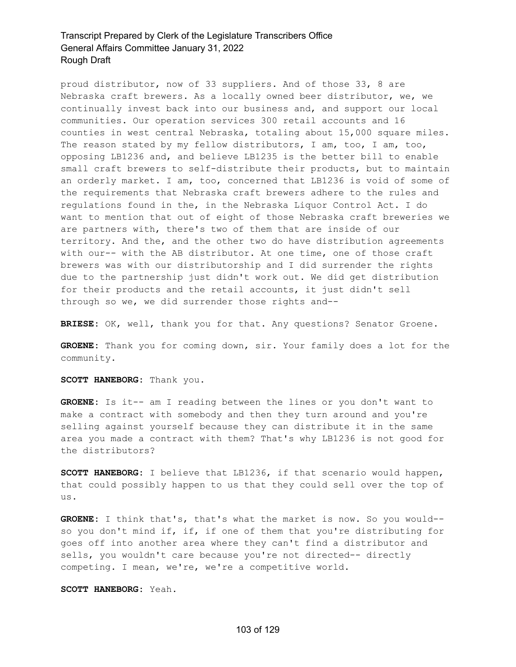proud distributor, now of 33 suppliers. And of those 33, 8 are Nebraska craft brewers. As a locally owned beer distributor, we, we continually invest back into our business and, and support our local communities. Our operation services 300 retail accounts and 16 counties in west central Nebraska, totaling about 15,000 square miles. The reason stated by my fellow distributors, I am, too, I am, too, opposing LB1236 and, and believe LB1235 is the better bill to enable small craft brewers to self-distribute their products, but to maintain an orderly market. I am, too, concerned that LB1236 is void of some of the requirements that Nebraska craft brewers adhere to the rules and regulations found in the, in the Nebraska Liquor Control Act. I do want to mention that out of eight of those Nebraska craft breweries we are partners with, there's two of them that are inside of our territory. And the, and the other two do have distribution agreements with our-- with the AB distributor. At one time, one of those craft brewers was with our distributorship and I did surrender the rights due to the partnership just didn't work out. We did get distribution for their products and the retail accounts, it just didn't sell through so we, we did surrender those rights and--

**BRIESE:** OK, well, thank you for that. Any questions? Senator Groene.

**GROENE:** Thank you for coming down, sir. Your family does a lot for the community.

**SCOTT HANEBORG:** Thank you.

**GROENE:** Is it-- am I reading between the lines or you don't want to make a contract with somebody and then they turn around and you're selling against yourself because they can distribute it in the same area you made a contract with them? That's why LB1236 is not good for the distributors?

**SCOTT HANEBORG:** I believe that LB1236, if that scenario would happen, that could possibly happen to us that they could sell over the top of us.

**GROENE:** I think that's, that's what the market is now. So you would- so you don't mind if, if, if one of them that you're distributing for goes off into another area where they can't find a distributor and sells, you wouldn't care because you're not directed-- directly competing. I mean, we're, we're a competitive world.

**SCOTT HANEBORG:** Yeah.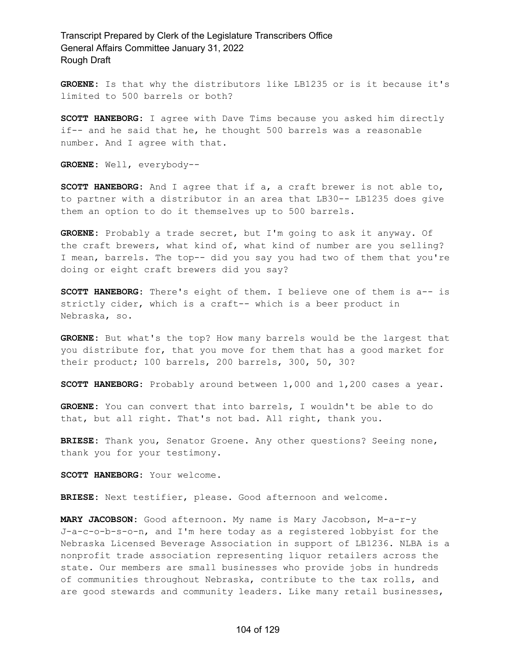**GROENE:** Is that why the distributors like LB1235 or is it because it's limited to 500 barrels or both?

**SCOTT HANEBORG:** I agree with Dave Tims because you asked him directly if-- and he said that he, he thought 500 barrels was a reasonable number. And I agree with that.

**GROENE:** Well, everybody--

**SCOTT HANEBORG:** And I agree that if a, a craft brewer is not able to, to partner with a distributor in an area that LB30-- LB1235 does give them an option to do it themselves up to 500 barrels.

**GROENE:** Probably a trade secret, but I'm going to ask it anyway. Of the craft brewers, what kind of, what kind of number are you selling? I mean, barrels. The top-- did you say you had two of them that you're doing or eight craft brewers did you say?

**SCOTT HANEBORG:** There's eight of them. I believe one of them is a-- is strictly cider, which is a craft-- which is a beer product in Nebraska, so.

**GROENE:** But what's the top? How many barrels would be the largest that you distribute for, that you move for them that has a good market for their product; 100 barrels, 200 barrels, 300, 50, 30?

**SCOTT HANEBORG:** Probably around between 1,000 and 1,200 cases a year.

**GROENE:** You can convert that into barrels, I wouldn't be able to do that, but all right. That's not bad. All right, thank you.

**BRIESE:** Thank you, Senator Groene. Any other questions? Seeing none, thank you for your testimony.

**SCOTT HANEBORG:** Your welcome.

**BRIESE:** Next testifier, please. Good afternoon and welcome.

**MARY JACOBSON:** Good afternoon. My name is Mary Jacobson, M-a-r-y J-a-c-o-b-s-o-n, and I'm here today as a registered lobbyist for the Nebraska Licensed Beverage Association in support of LB1236. NLBA is a nonprofit trade association representing liquor retailers across the state. Our members are small businesses who provide jobs in hundreds of communities throughout Nebraska, contribute to the tax rolls, and are good stewards and community leaders. Like many retail businesses,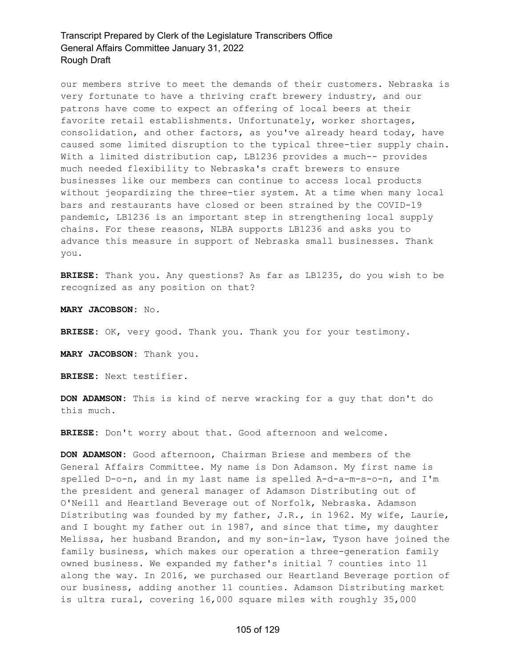our members strive to meet the demands of their customers. Nebraska is very fortunate to have a thriving craft brewery industry, and our patrons have come to expect an offering of local beers at their favorite retail establishments. Unfortunately, worker shortages, consolidation, and other factors, as you've already heard today, have caused some limited disruption to the typical three-tier supply chain. With a limited distribution cap, LB1236 provides a much-- provides much needed flexibility to Nebraska's craft brewers to ensure businesses like our members can continue to access local products without jeopardizing the three-tier system. At a time when many local bars and restaurants have closed or been strained by the COVID-19 pandemic, LB1236 is an important step in strengthening local supply chains. For these reasons, NLBA supports LB1236 and asks you to advance this measure in support of Nebraska small businesses. Thank you.

**BRIESE:** Thank you. Any questions? As far as LB1235, do you wish to be recognized as any position on that?

**MARY JACOBSON:** No.

**BRIESE:** OK, very good. Thank you. Thank you for your testimony.

**MARY JACOBSON:** Thank you.

**BRIESE:** Next testifier.

**DON ADAMSON:** This is kind of nerve wracking for a guy that don't do this much.

**BRIESE:** Don't worry about that. Good afternoon and welcome.

**DON ADAMSON:** Good afternoon, Chairman Briese and members of the General Affairs Committee. My name is Don Adamson. My first name is spelled D-o-n, and in my last name is spelled A-d-a-m-s-o-n, and I'm the president and general manager of Adamson Distributing out of O'Neill and Heartland Beverage out of Norfolk, Nebraska. Adamson Distributing was founded by my father, J.R., in 1962. My wife, Laurie, and I bought my father out in 1987, and since that time, my daughter Melissa, her husband Brandon, and my son-in-law, Tyson have joined the family business, which makes our operation a three-generation family owned business. We expanded my father's initial 7 counties into 11 along the way. In 2016, we purchased our Heartland Beverage portion of our business, adding another 11 counties. Adamson Distributing market is ultra rural, covering 16,000 square miles with roughly 35,000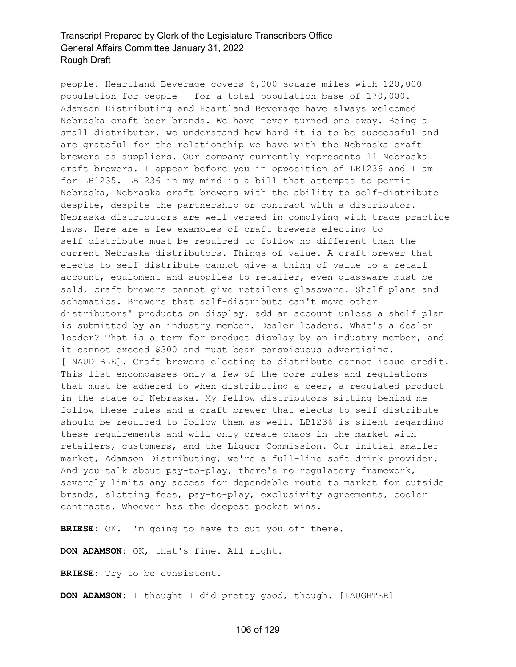people. Heartland Beverage covers 6,000 square miles with 120,000 population for people-- for a total population base of 170,000. Adamson Distributing and Heartland Beverage have always welcomed Nebraska craft beer brands. We have never turned one away. Being a small distributor, we understand how hard it is to be successful and are grateful for the relationship we have with the Nebraska craft brewers as suppliers. Our company currently represents 11 Nebraska craft brewers. I appear before you in opposition of LB1236 and I am for LB1235. LB1236 in my mind is a bill that attempts to permit Nebraska, Nebraska craft brewers with the ability to self-distribute despite, despite the partnership or contract with a distributor. Nebraska distributors are well-versed in complying with trade practice laws. Here are a few examples of craft brewers electing to self-distribute must be required to follow no different than the current Nebraska distributors. Things of value. A craft brewer that elects to self-distribute cannot give a thing of value to a retail account, equipment and supplies to retailer, even glassware must be sold, craft brewers cannot give retailers glassware. Shelf plans and schematics. Brewers that self-distribute can't move other distributors' products on display, add an account unless a shelf plan is submitted by an industry member. Dealer loaders. What's a dealer loader? That is a term for product display by an industry member, and it cannot exceed \$300 and must bear conspicuous advertising. [INAUDIBLE]. Craft brewers electing to distribute cannot issue credit. This list encompasses only a few of the core rules and regulations that must be adhered to when distributing a beer, a regulated product in the state of Nebraska. My fellow distributors sitting behind me follow these rules and a craft brewer that elects to self-distribute should be required to follow them as well. LB1236 is silent regarding these requirements and will only create chaos in the market with retailers, customers, and the Liquor Commission. Our initial smaller market, Adamson Distributing, we're a full-line soft drink provider. And you talk about pay-to-play, there's no regulatory framework, severely limits any access for dependable route to market for outside brands, slotting fees, pay-to-play, exclusivity agreements, cooler contracts. Whoever has the deepest pocket wins.

**BRIESE:** OK. I'm going to have to cut you off there.

**DON ADAMSON:** OK, that's fine. All right.

**BRIESE:** Try to be consistent.

**DON ADAMSON:** I thought I did pretty good, though. [LAUGHTER]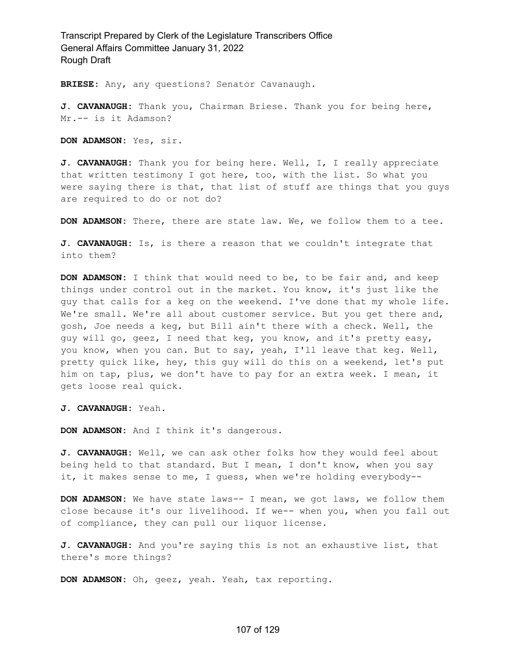**BRIESE:** Any, any questions? Senator Cavanaugh.

**J. CAVANAUGH:** Thank you, Chairman Briese. Thank you for being here, Mr.-- is it Adamson?

**DON ADAMSON:** Yes, sir.

**J. CAVANAUGH:** Thank you for being here. Well, I, I really appreciate that written testimony I got here, too, with the list. So what you were saying there is that, that list of stuff are things that you guys are required to do or not do?

**DON ADAMSON:** There, there are state law. We, we follow them to a tee.

**J. CAVANAUGH:** Is, is there a reason that we couldn't integrate that into them?

**DON ADAMSON:** I think that would need to be, to be fair and, and keep things under control out in the market. You know, it's just like the guy that calls for a keg on the weekend. I've done that my whole life. We're small. We're all about customer service. But you get there and, gosh, Joe needs a keg, but Bill ain't there with a check. Well, the guy will go, geez, I need that keg, you know, and it's pretty easy, you know, when you can. But to say, yeah, I'll leave that keg. Well, pretty quick like, hey, this guy will do this on a weekend, let's put him on tap, plus, we don't have to pay for an extra week. I mean, it gets loose real quick.

**J. CAVANAUGH:** Yeah.

**DON ADAMSON:** And I think it's dangerous.

**J. CAVANAUGH:** Well, we can ask other folks how they would feel about being held to that standard. But I mean, I don't know, when you say it, it makes sense to me, I guess, when we're holding everybody--

**DON ADAMSON:** We have state laws-- I mean, we got laws, we follow them close because it's our livelihood. If we-- when you, when you fall out of compliance, they can pull our liquor license.

**J. CAVANAUGH:** And you're saying this is not an exhaustive list, that there's more things?

**DON ADAMSON:** Oh, geez, yeah. Yeah, tax reporting.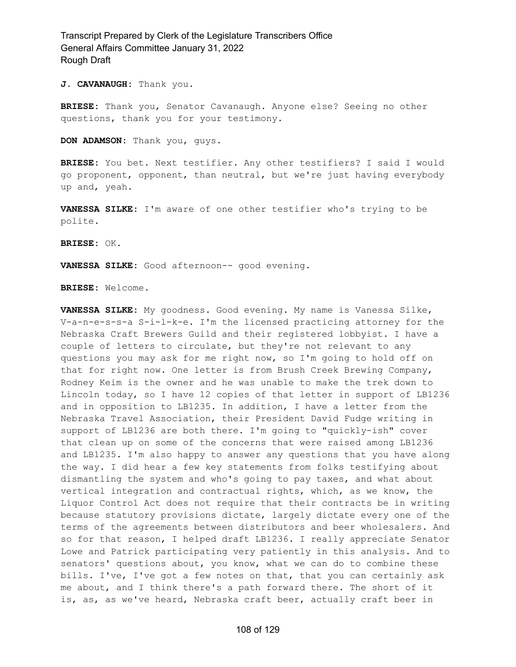**J. CAVANAUGH:** Thank you.

**BRIESE:** Thank you, Senator Cavanaugh. Anyone else? Seeing no other questions, thank you for your testimony.

**DON ADAMSON:** Thank you, guys.

**BRIESE:** You bet. Next testifier. Any other testifiers? I said I would go proponent, opponent, than neutral, but we're just having everybody up and, yeah.

**VANESSA SILKE:** I'm aware of one other testifier who's trying to be polite.

**BRIESE:** OK.

**VANESSA SILKE:** Good afternoon-- good evening.

**BRIESE:** Welcome.

**VANESSA SILKE:** My goodness. Good evening. My name is Vanessa Silke, V-a-n-e-s-s-a S-i-l-k-e. I'm the licensed practicing attorney for the Nebraska Craft Brewers Guild and their registered lobbyist. I have a couple of letters to circulate, but they're not relevant to any questions you may ask for me right now, so I'm going to hold off on that for right now. One letter is from Brush Creek Brewing Company, Rodney Keim is the owner and he was unable to make the trek down to Lincoln today, so I have 12 copies of that letter in support of LB1236 and in opposition to LB1235. In addition, I have a letter from the Nebraska Travel Association, their President David Fudge writing in support of LB1236 are both there. I'm going to "quickly-ish" cover that clean up on some of the concerns that were raised among LB1236 and LB1235. I'm also happy to answer any questions that you have along the way. I did hear a few key statements from folks testifying about dismantling the system and who's going to pay taxes, and what about vertical integration and contractual rights, which, as we know, the Liquor Control Act does not require that their contracts be in writing because statutory provisions dictate, largely dictate every one of the terms of the agreements between distributors and beer wholesalers. And so for that reason, I helped draft LB1236. I really appreciate Senator Lowe and Patrick participating very patiently in this analysis. And to senators' questions about, you know, what we can do to combine these bills. I've, I've got a few notes on that, that you can certainly ask me about, and I think there's a path forward there. The short of it is, as, as we've heard, Nebraska craft beer, actually craft beer in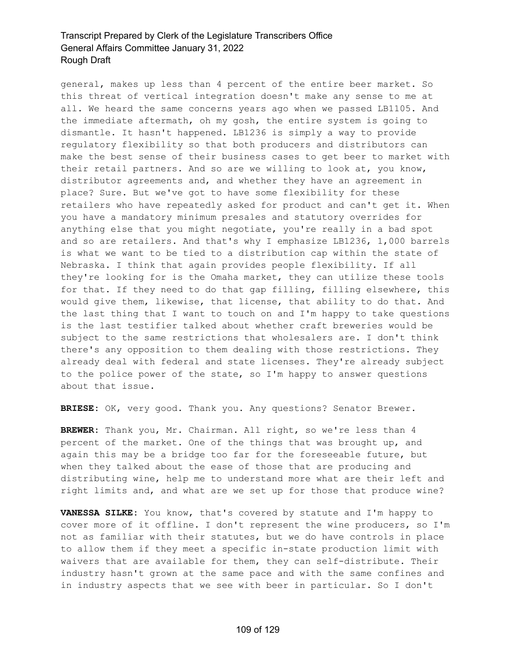general, makes up less than 4 percent of the entire beer market. So this threat of vertical integration doesn't make any sense to me at all. We heard the same concerns years ago when we passed LB1105. And the immediate aftermath, oh my gosh, the entire system is going to dismantle. It hasn't happened. LB1236 is simply a way to provide regulatory flexibility so that both producers and distributors can make the best sense of their business cases to get beer to market with their retail partners. And so are we willing to look at, you know, distributor agreements and, and whether they have an agreement in place? Sure. But we've got to have some flexibility for these retailers who have repeatedly asked for product and can't get it. When you have a mandatory minimum presales and statutory overrides for anything else that you might negotiate, you're really in a bad spot and so are retailers. And that's why I emphasize LB1236, 1,000 barrels is what we want to be tied to a distribution cap within the state of Nebraska. I think that again provides people flexibility. If all they're looking for is the Omaha market, they can utilize these tools for that. If they need to do that gap filling, filling elsewhere, this would give them, likewise, that license, that ability to do that. And the last thing that I want to touch on and I'm happy to take questions is the last testifier talked about whether craft breweries would be subject to the same restrictions that wholesalers are. I don't think there's any opposition to them dealing with those restrictions. They already deal with federal and state licenses. They're already subject to the police power of the state, so I'm happy to answer questions about that issue.

**BRIESE:** OK, very good. Thank you. Any questions? Senator Brewer.

**BREWER:** Thank you, Mr. Chairman. All right, so we're less than 4 percent of the market. One of the things that was brought up, and again this may be a bridge too far for the foreseeable future, but when they talked about the ease of those that are producing and distributing wine, help me to understand more what are their left and right limits and, and what are we set up for those that produce wine?

**VANESSA SILKE:** You know, that's covered by statute and I'm happy to cover more of it offline. I don't represent the wine producers, so I'm not as familiar with their statutes, but we do have controls in place to allow them if they meet a specific in-state production limit with waivers that are available for them, they can self-distribute. Their industry hasn't grown at the same pace and with the same confines and in industry aspects that we see with beer in particular. So I don't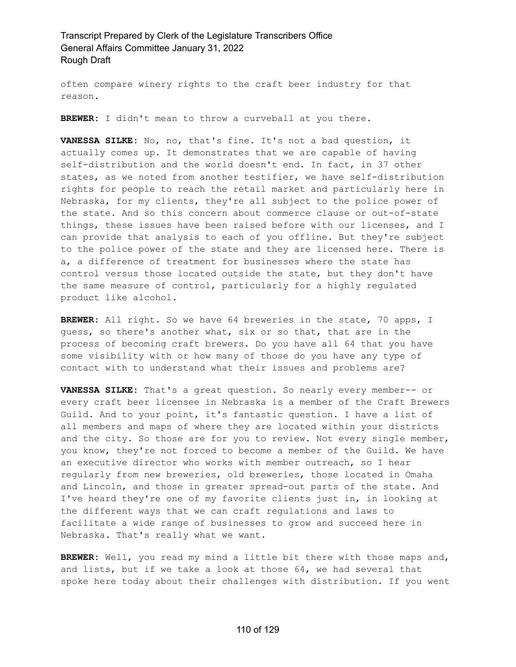often compare winery rights to the craft beer industry for that reason.

**BREWER:** I didn't mean to throw a curveball at you there.

**VANESSA SILKE:** No, no, that's fine. It's not a bad question, it actually comes up. It demonstrates that we are capable of having self-distribution and the world doesn't end. In fact, in 37 other states, as we noted from another testifier, we have self-distribution rights for people to reach the retail market and particularly here in Nebraska, for my clients, they're all subject to the police power of the state. And so this concern about commerce clause or out-of-state things, these issues have been raised before with our licenses, and I can provide that analysis to each of you offline. But they're subject to the police power of the state and they are licensed here. There is a, a difference of treatment for businesses where the state has control versus those located outside the state, but they don't have the same measure of control, particularly for a highly regulated product like alcohol.

**BREWER:** All right. So we have 64 breweries in the state, 70 apps, I guess, so there's another what, six or so that, that are in the process of becoming craft brewers. Do you have all 64 that you have some visibility with or how many of those do you have any type of contact with to understand what their issues and problems are?

**VANESSA SILKE:** That's a great question. So nearly every member-- or every craft beer licensee in Nebraska is a member of the Craft Brewers Guild. And to your point, it's fantastic question. I have a list of all members and maps of where they are located within your districts and the city. So those are for you to review. Not every single member, you know, they're not forced to become a member of the Guild. We have an executive director who works with member outreach, so I hear regularly from new breweries, old breweries, those located in Omaha and Lincoln, and those in greater spread-out parts of the state. And I've heard they're one of my favorite clients just in, in looking at the different ways that we can craft regulations and laws to facilitate a wide range of businesses to grow and succeed here in Nebraska. That's really what we want.

**BREWER:** Well, you read my mind a little bit there with those maps and, and lists, but if we take a look at those 64, we had several that spoke here today about their challenges with distribution. If you went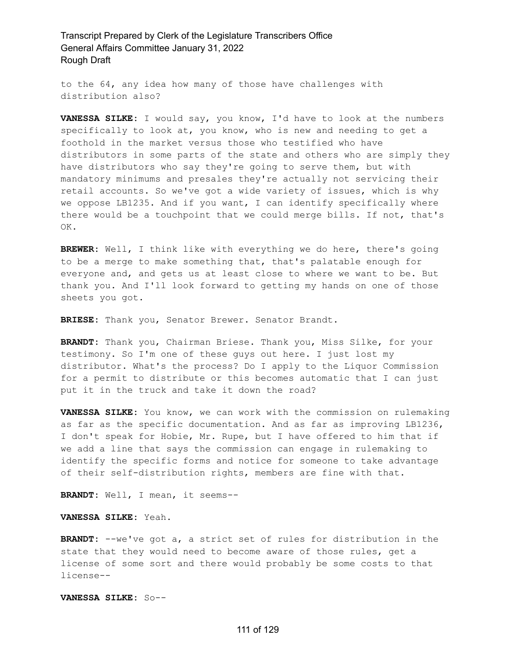to the 64, any idea how many of those have challenges with distribution also?

**VANESSA SILKE:** I would say, you know, I'd have to look at the numbers specifically to look at, you know, who is new and needing to get a foothold in the market versus those who testified who have distributors in some parts of the state and others who are simply they have distributors who say they're going to serve them, but with mandatory minimums and presales they're actually not servicing their retail accounts. So we've got a wide variety of issues, which is why we oppose LB1235. And if you want, I can identify specifically where there would be a touchpoint that we could merge bills. If not, that's OK.

**BREWER:** Well, I think like with everything we do here, there's going to be a merge to make something that, that's palatable enough for everyone and, and gets us at least close to where we want to be. But thank you. And I'll look forward to getting my hands on one of those sheets you got.

**BRIESE:** Thank you, Senator Brewer. Senator Brandt.

**BRANDT:** Thank you, Chairman Briese. Thank you, Miss Silke, for your testimony. So I'm one of these guys out here. I just lost my distributor. What's the process? Do I apply to the Liquor Commission for a permit to distribute or this becomes automatic that I can just put it in the truck and take it down the road?

**VANESSA SILKE:** You know, we can work with the commission on rulemaking as far as the specific documentation. And as far as improving LB1236, I don't speak for Hobie, Mr. Rupe, but I have offered to him that if we add a line that says the commission can engage in rulemaking to identify the specific forms and notice for someone to take advantage of their self-distribution rights, members are fine with that.

**BRANDT:** Well, I mean, it seems--

**VANESSA SILKE:** Yeah.

**BRANDT:** --we've got a, a strict set of rules for distribution in the state that they would need to become aware of those rules, get a license of some sort and there would probably be some costs to that license--

**VANESSA SILKE:** So--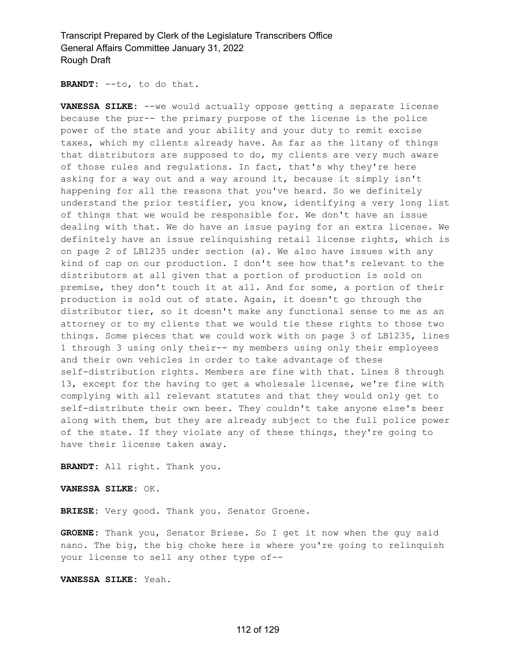**BRANDT:** --to, to do that.

**VANESSA SILKE:** --we would actually oppose getting a separate license because the pur-- the primary purpose of the license is the police power of the state and your ability and your duty to remit excise taxes, which my clients already have. As far as the litany of things that distributors are supposed to do, my clients are very much aware of those rules and regulations. In fact, that's why they're here asking for a way out and a way around it, because it simply isn't happening for all the reasons that you've heard. So we definitely understand the prior testifier, you know, identifying a very long list of things that we would be responsible for. We don't have an issue dealing with that. We do have an issue paying for an extra license. We definitely have an issue relinquishing retail license rights, which is on page 2 of LB1235 under section (a). We also have issues with any kind of cap on our production. I don't see how that's relevant to the distributors at all given that a portion of production is sold on premise, they don't touch it at all. And for some, a portion of their production is sold out of state. Again, it doesn't go through the distributor tier, so it doesn't make any functional sense to me as an attorney or to my clients that we would tie these rights to those two things. Some pieces that we could work with on page 3 of LB1235, lines 1 through 3 using only their-- my members using only their employees and their own vehicles in order to take advantage of these self-distribution rights. Members are fine with that. Lines 8 through 13, except for the having to get a wholesale license, we're fine with complying with all relevant statutes and that they would only get to self-distribute their own beer. They couldn't take anyone else's beer along with them, but they are already subject to the full police power of the state. If they violate any of these things, they're going to have their license taken away.

**BRANDT:** All right. Thank you.

**VANESSA SILKE:** OK.

**BRIESE:** Very good. Thank you. Senator Groene.

**GROENE:** Thank you, Senator Briese. So I get it now when the guy said nano. The big, the big choke here is where you're going to relinquish your license to sell any other type of--

**VANESSA SILKE:** Yeah.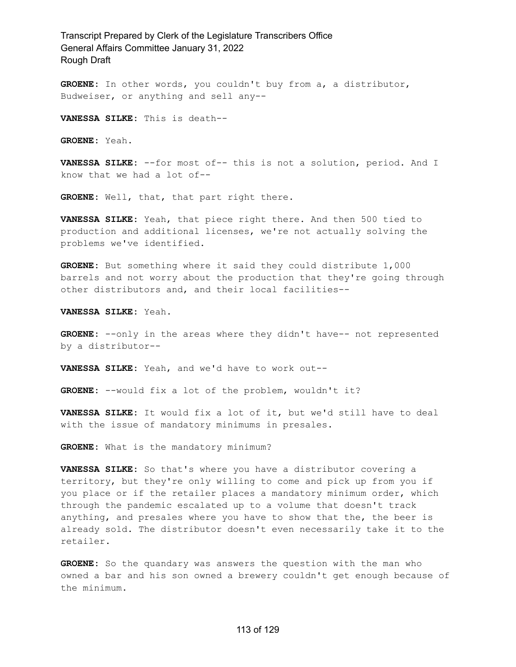**GROENE:** In other words, you couldn't buy from a, a distributor, Budweiser, or anything and sell any--

**VANESSA SILKE:** This is death--

**GROENE:** Yeah.

**VANESSA SILKE:** --for most of-- this is not a solution, period. And I know that we had a lot of--

**GROENE:** Well, that, that part right there.

**VANESSA SILKE:** Yeah, that piece right there. And then 500 tied to production and additional licenses, we're not actually solving the problems we've identified.

**GROENE:** But something where it said they could distribute 1,000 barrels and not worry about the production that they're going through other distributors and, and their local facilities--

**VANESSA SILKE:** Yeah.

**GROENE:** --only in the areas where they didn't have-- not represented by a distributor--

**VANESSA SILKE:** Yeah, and we'd have to work out--

**GROENE:** --would fix a lot of the problem, wouldn't it?

**VANESSA SILKE:** It would fix a lot of it, but we'd still have to deal with the issue of mandatory minimums in presales.

**GROENE:** What is the mandatory minimum?

**VANESSA SILKE:** So that's where you have a distributor covering a territory, but they're only willing to come and pick up from you if you place or if the retailer places a mandatory minimum order, which through the pandemic escalated up to a volume that doesn't track anything, and presales where you have to show that the, the beer is already sold. The distributor doesn't even necessarily take it to the retailer.

**GROENE:** So the quandary was answers the question with the man who owned a bar and his son owned a brewery couldn't get enough because of the minimum.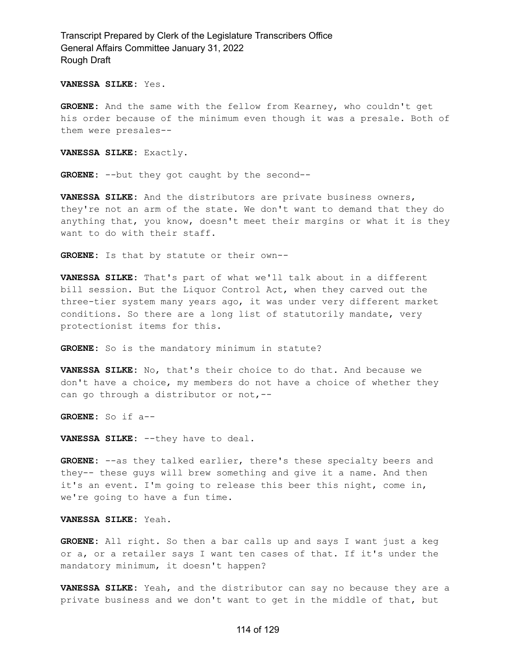**VANESSA SILKE:** Yes.

**GROENE:** And the same with the fellow from Kearney, who couldn't get his order because of the minimum even though it was a presale. Both of them were presales--

**VANESSA SILKE:** Exactly.

**GROENE:** --but they got caught by the second--

**VANESSA SILKE:** And the distributors are private business owners, they're not an arm of the state. We don't want to demand that they do anything that, you know, doesn't meet their margins or what it is they want to do with their staff.

**GROENE:** Is that by statute or their own--

**VANESSA SILKE:** That's part of what we'll talk about in a different bill session. But the Liquor Control Act, when they carved out the three-tier system many years ago, it was under very different market conditions. So there are a long list of statutorily mandate, very protectionist items for this.

**GROENE:** So is the mandatory minimum in statute?

**VANESSA SILKE:** No, that's their choice to do that. And because we don't have a choice, my members do not have a choice of whether they can go through a distributor or not,--

**GROENE:** So if a--

**VANESSA SILKE:** --they have to deal.

**GROENE:** --as they talked earlier, there's these specialty beers and they-- these guys will brew something and give it a name. And then it's an event. I'm going to release this beer this night, come in, we're going to have a fun time.

**VANESSA SILKE:** Yeah.

**GROENE:** All right. So then a bar calls up and says I want just a keg or a, or a retailer says I want ten cases of that. If it's under the mandatory minimum, it doesn't happen?

**VANESSA SILKE:** Yeah, and the distributor can say no because they are a private business and we don't want to get in the middle of that, but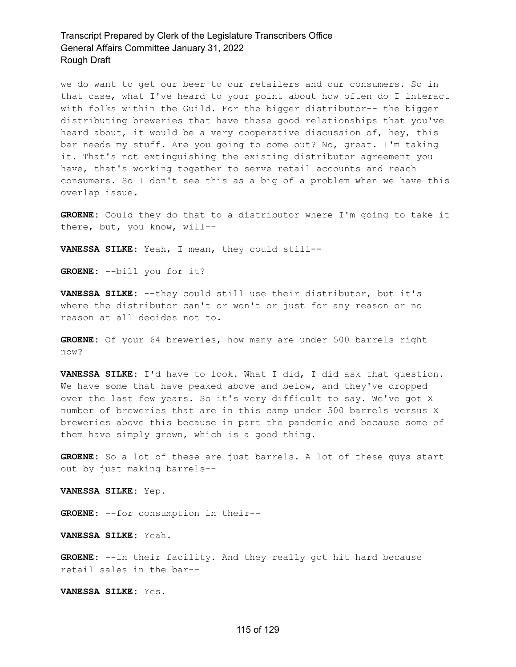we do want to get our beer to our retailers and our consumers. So in that case, what I've heard to your point about how often do I interact with folks within the Guild. For the bigger distributor-- the bigger distributing breweries that have these good relationships that you've heard about, it would be a very cooperative discussion of, hey, this bar needs my stuff. Are you going to come out? No, great. I'm taking it. That's not extinguishing the existing distributor agreement you have, that's working together to serve retail accounts and reach consumers. So I don't see this as a big of a problem when we have this overlap issue.

**GROENE:** Could they do that to a distributor where I'm going to take it there, but, you know, will--

**VANESSA SILKE:** Yeah, I mean, they could still--

**GROENE:** --bill you for it?

**VANESSA SILKE:** --they could still use their distributor, but it's where the distributor can't or won't or just for any reason or no reason at all decides not to.

**GROENE:** Of your 64 breweries, how many are under 500 barrels right now?

**VANESSA SILKE:** I'd have to look. What I did, I did ask that question. We have some that have peaked above and below, and they've dropped over the last few years. So it's very difficult to say. We've got X number of breweries that are in this camp under 500 barrels versus X breweries above this because in part the pandemic and because some of them have simply grown, which is a good thing.

**GROENE:** So a lot of these are just barrels. A lot of these guys start out by just making barrels--

**VANESSA SILKE:** Yep.

**GROENE:** --for consumption in their--

**VANESSA SILKE:** Yeah.

**GROENE:** --in their facility. And they really got hit hard because retail sales in the bar--

**VANESSA SILKE:** Yes.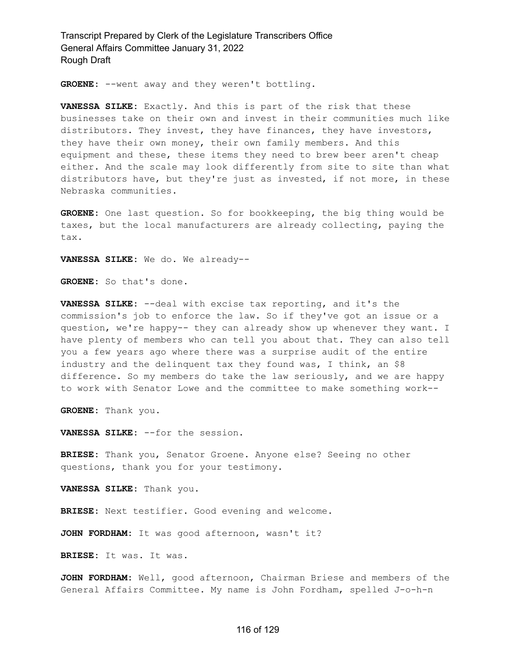GROENE: --went away and they weren't bottling.

**VANESSA SILKE:** Exactly. And this is part of the risk that these businesses take on their own and invest in their communities much like distributors. They invest, they have finances, they have investors, they have their own money, their own family members. And this equipment and these, these items they need to brew beer aren't cheap either. And the scale may look differently from site to site than what distributors have, but they're just as invested, if not more, in these Nebraska communities.

**GROENE:** One last question. So for bookkeeping, the big thing would be taxes, but the local manufacturers are already collecting, paying the tax.

**VANESSA SILKE:** We do. We already--

**GROENE:** So that's done.

**VANESSA SILKE:** --deal with excise tax reporting, and it's the commission's job to enforce the law. So if they've got an issue or a question, we're happy-- they can already show up whenever they want. I have plenty of members who can tell you about that. They can also tell you a few years ago where there was a surprise audit of the entire industry and the delinquent tax they found was, I think, an \$8 difference. So my members do take the law seriously, and we are happy to work with Senator Lowe and the committee to make something work--

**GROENE:** Thank you.

**VANESSA SILKE:** --for the session.

**BRIESE:** Thank you, Senator Groene. Anyone else? Seeing no other questions, thank you for your testimony.

**VANESSA SILKE:** Thank you.

**BRIESE:** Next testifier. Good evening and welcome.

**JOHN FORDHAM:** It was good afternoon, wasn't it?

**BRIESE:** It was. It was.

**JOHN FORDHAM:** Well, good afternoon, Chairman Briese and members of the General Affairs Committee. My name is John Fordham, spelled J-o-h-n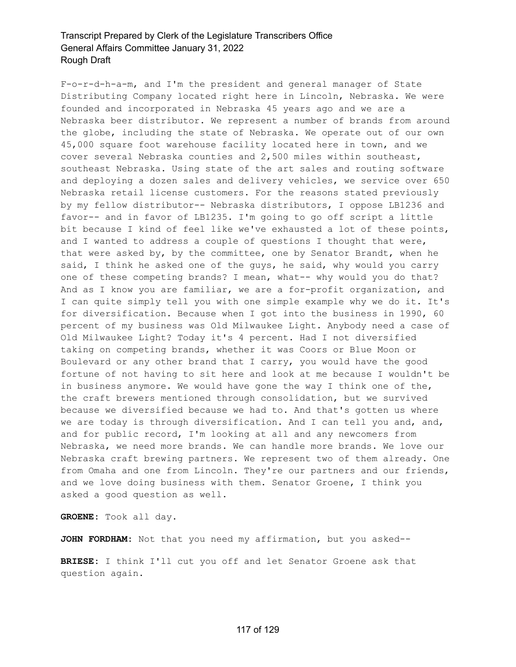F-o-r-d-h-a-m, and I'm the president and general manager of State Distributing Company located right here in Lincoln, Nebraska. We were founded and incorporated in Nebraska 45 years ago and we are a Nebraska beer distributor. We represent a number of brands from around the globe, including the state of Nebraska. We operate out of our own 45,000 square foot warehouse facility located here in town, and we cover several Nebraska counties and 2,500 miles within southeast, southeast Nebraska. Using state of the art sales and routing software and deploying a dozen sales and delivery vehicles, we service over 650 Nebraska retail license customers. For the reasons stated previously by my fellow distributor-- Nebraska distributors, I oppose LB1236 and favor-- and in favor of LB1235. I'm going to go off script a little bit because I kind of feel like we've exhausted a lot of these points, and I wanted to address a couple of questions I thought that were, that were asked by, by the committee, one by Senator Brandt, when he said, I think he asked one of the guys, he said, why would you carry one of these competing brands? I mean, what-- why would you do that? And as I know you are familiar, we are a for-profit organization, and I can quite simply tell you with one simple example why we do it. It's for diversification. Because when I got into the business in 1990, 60 percent of my business was Old Milwaukee Light. Anybody need a case of Old Milwaukee Light? Today it's 4 percent. Had I not diversified taking on competing brands, whether it was Coors or Blue Moon or Boulevard or any other brand that I carry, you would have the good fortune of not having to sit here and look at me because I wouldn't be in business anymore. We would have gone the way I think one of the, the craft brewers mentioned through consolidation, but we survived because we diversified because we had to. And that's gotten us where we are today is through diversification. And I can tell you and, and, and for public record, I'm looking at all and any newcomers from Nebraska, we need more brands. We can handle more brands. We love our Nebraska craft brewing partners. We represent two of them already. One from Omaha and one from Lincoln. They're our partners and our friends, and we love doing business with them. Senator Groene, I think you asked a good question as well.

**GROENE:** Took all day.

**JOHN FORDHAM:** Not that you need my affirmation, but you asked--

**BRIESE:** I think I'll cut you off and let Senator Groene ask that question again.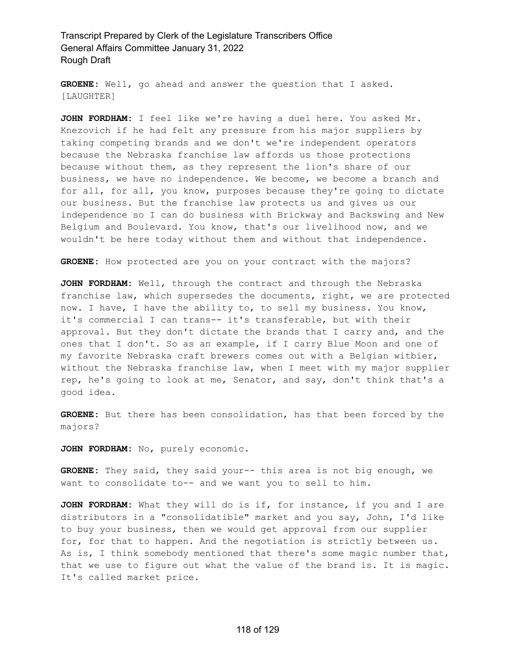**GROENE:** Well, go ahead and answer the question that I asked. [LAUGHTER]

**JOHN FORDHAM:** I feel like we're having a duel here. You asked Mr. Knezovich if he had felt any pressure from his major suppliers by taking competing brands and we don't we're independent operators because the Nebraska franchise law affords us those protections because without them, as they represent the lion's share of our business, we have no independence. We become, we become a branch and for all, for all, you know, purposes because they're going to dictate our business. But the franchise law protects us and gives us our independence so I can do business with Brickway and Backswing and New Belgium and Boulevard. You know, that's our livelihood now, and we wouldn't be here today without them and without that independence.

**GROENE:** How protected are you on your contract with the majors?

**JOHN FORDHAM:** Well, through the contract and through the Nebraska franchise law, which supersedes the documents, right, we are protected now. I have, I have the ability to, to sell my business. You know, it's commercial I can trans-- it's transferable, but with their approval. But they don't dictate the brands that I carry and, and the ones that I don't. So as an example, if I carry Blue Moon and one of my favorite Nebraska craft brewers comes out with a Belgian witbier, without the Nebraska franchise law, when I meet with my major supplier rep, he's going to look at me, Senator, and say, don't think that's a good idea.

**GROENE:** But there has been consolidation, has that been forced by the majors?

**JOHN FORDHAM:** No, purely economic.

**GROENE:** They said, they said your-- this area is not big enough, we want to consolidate to-- and we want you to sell to him.

**JOHN FORDHAM:** What they will do is if, for instance, if you and I are distributors in a "consolidatible" market and you say, John, I'd like to buy your business, then we would get approval from our supplier for, for that to happen. And the negotiation is strictly between us. As is, I think somebody mentioned that there's some magic number that, that we use to figure out what the value of the brand is. It is magic. It's called market price.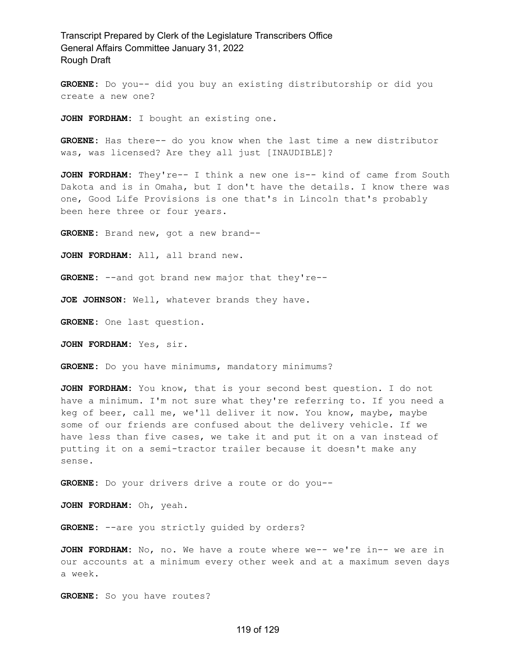**GROENE:** Do you-- did you buy an existing distributorship or did you create a new one?

**JOHN FORDHAM:** I bought an existing one.

**GROENE:** Has there-- do you know when the last time a new distributor was, was licensed? Are they all just [INAUDIBLE]?

**JOHN FORDHAM:** They're-- I think a new one is-- kind of came from South Dakota and is in Omaha, but I don't have the details. I know there was one, Good Life Provisions is one that's in Lincoln that's probably been here three or four years.

**GROENE:** Brand new, got a new brand--

**JOHN FORDHAM:** All, all brand new.

**GROENE:** --and got brand new major that they're--

**JOE JOHNSON:** Well, whatever brands they have.

**GROENE:** One last question.

**JOHN FORDHAM:** Yes, sir.

**GROENE:** Do you have minimums, mandatory minimums?

**JOHN FORDHAM:** You know, that is your second best question. I do not have a minimum. I'm not sure what they're referring to. If you need a keg of beer, call me, we'll deliver it now. You know, maybe, maybe some of our friends are confused about the delivery vehicle. If we have less than five cases, we take it and put it on a van instead of putting it on a semi-tractor trailer because it doesn't make any sense.

**GROENE:** Do your drivers drive a route or do you--

**JOHN FORDHAM:** Oh, yeah.

**GROENE:** --are you strictly guided by orders?

**JOHN FORDHAM:** No, no. We have a route where we-- we're in-- we are in our accounts at a minimum every other week and at a maximum seven days a week.

**GROENE:** So you have routes?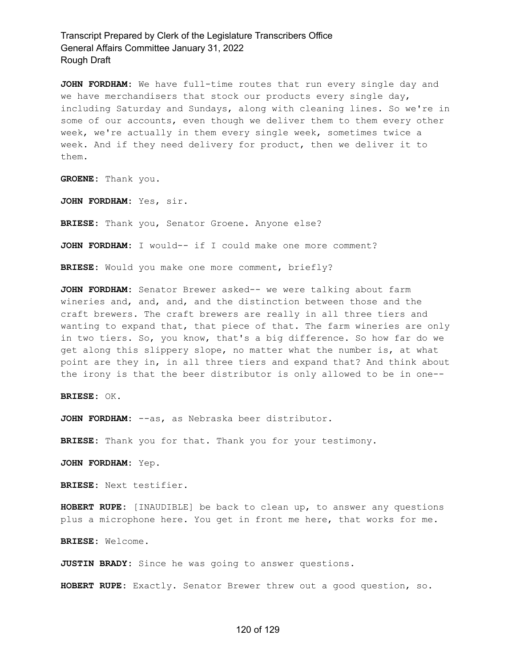**JOHN FORDHAM:** We have full-time routes that run every single day and we have merchandisers that stock our products every single day, including Saturday and Sundays, along with cleaning lines. So we're in some of our accounts, even though we deliver them to them every other week, we're actually in them every single week, sometimes twice a week. And if they need delivery for product, then we deliver it to them.

**GROENE:** Thank you.

**JOHN FORDHAM:** Yes, sir.

**BRIESE:** Thank you, Senator Groene. Anyone else?

**JOHN FORDHAM:** I would-- if I could make one more comment?

**BRIESE:** Would you make one more comment, briefly?

**JOHN FORDHAM:** Senator Brewer asked-- we were talking about farm wineries and, and, and, and the distinction between those and the craft brewers. The craft brewers are really in all three tiers and wanting to expand that, that piece of that. The farm wineries are only in two tiers. So, you know, that's a big difference. So how far do we get along this slippery slope, no matter what the number is, at what point are they in, in all three tiers and expand that? And think about the irony is that the beer distributor is only allowed to be in one--

**BRIESE:** OK.

**JOHN FORDHAM:** --as, as Nebraska beer distributor.

**BRIESE:** Thank you for that. Thank you for your testimony.

**JOHN FORDHAM:** Yep.

**BRIESE:** Next testifier.

**HOBERT RUPE:** [INAUDIBLE] be back to clean up, to answer any questions plus a microphone here. You get in front me here, that works for me.

**BRIESE:** Welcome.

**JUSTIN BRADY:** Since he was going to answer questions.

**HOBERT RUPE:** Exactly. Senator Brewer threw out a good question, so.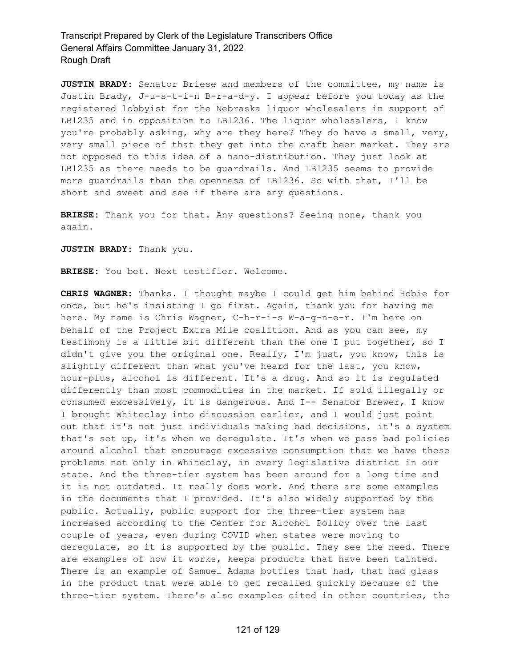**JUSTIN BRADY:** Senator Briese and members of the committee, my name is Justin Brady, J-u-s-t-i-n B-r-a-d-y. I appear before you today as the registered lobbyist for the Nebraska liquor wholesalers in support of LB1235 and in opposition to LB1236. The liquor wholesalers, I know you're probably asking, why are they here? They do have a small, very, very small piece of that they get into the craft beer market. They are not opposed to this idea of a nano-distribution. They just look at LB1235 as there needs to be guardrails. And LB1235 seems to provide more guardrails than the openness of LB1236. So with that, I'll be short and sweet and see if there are any questions.

**BRIESE:** Thank you for that. Any questions? Seeing none, thank you again.

**JUSTIN BRADY:** Thank you.

**BRIESE:** You bet. Next testifier. Welcome.

**CHRIS WAGNER:** Thanks. I thought maybe I could get him behind Hobie for once, but he's insisting I go first. Again, thank you for having me here. My name is Chris Wagner, C-h-r-i-s W-a-g-n-e-r. I'm here on behalf of the Project Extra Mile coalition. And as you can see, my testimony is a little bit different than the one I put together, so I didn't give you the original one. Really, I'm just, you know, this is slightly different than what you've heard for the last, you know, hour-plus, alcohol is different. It's a drug. And so it is regulated differently than most commodities in the market. If sold illegally or consumed excessively, it is dangerous. And I-- Senator Brewer, I know I brought Whiteclay into discussion earlier, and I would just point out that it's not just individuals making bad decisions, it's a system that's set up, it's when we deregulate. It's when we pass bad policies around alcohol that encourage excessive consumption that we have these problems not only in Whiteclay, in every legislative district in our state. And the three-tier system has been around for a long time and it is not outdated. It really does work. And there are some examples in the documents that I provided. It's also widely supported by the public. Actually, public support for the three-tier system has increased according to the Center for Alcohol Policy over the last couple of years, even during COVID when states were moving to deregulate, so it is supported by the public. They see the need. There are examples of how it works, keeps products that have been tainted. There is an example of Samuel Adams bottles that had, that had glass in the product that were able to get recalled quickly because of the three-tier system. There's also examples cited in other countries, the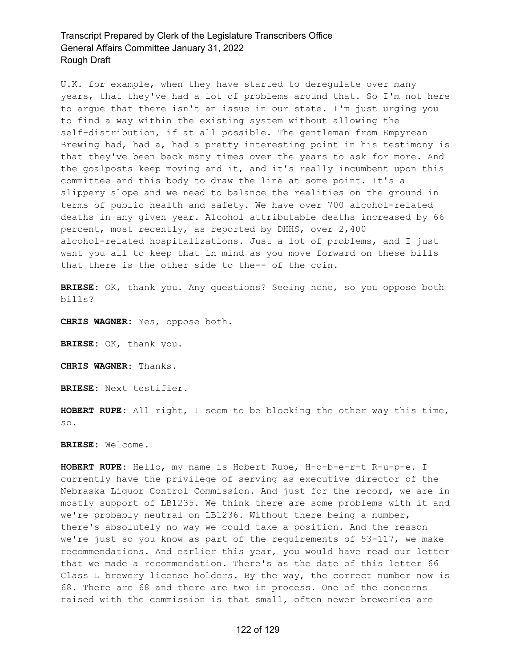U.K. for example, when they have started to deregulate over many years, that they've had a lot of problems around that. So I'm not here to argue that there isn't an issue in our state. I'm just urging you to find a way within the existing system without allowing the self-distribution, if at all possible. The gentleman from Empyrean Brewing had, had a, had a pretty interesting point in his testimony is that they've been back many times over the years to ask for more. And the goalposts keep moving and it, and it's really incumbent upon this committee and this body to draw the line at some point. It's a slippery slope and we need to balance the realities on the ground in terms of public health and safety. We have over 700 alcohol-related deaths in any given year. Alcohol attributable deaths increased by 66 percent, most recently, as reported by DHHS, over 2,400 alcohol-related hospitalizations. Just a lot of problems, and I just want you all to keep that in mind as you move forward on these bills that there is the other side to the-- of the coin.

**BRIESE:** OK, thank you. Any questions? Seeing none, so you oppose both bills?

**CHRIS WAGNER:** Yes, oppose both.

**BRIESE:** OK, thank you.

**CHRIS WAGNER:** Thanks.

**BRIESE:** Next testifier.

**HOBERT RUPE:** All right, I seem to be blocking the other way this time, so.

**BRIESE:** Welcome.

**HOBERT RUPE:** Hello, my name is Hobert Rupe, H-o-b-e-r-t R-u-p-e. I currently have the privilege of serving as executive director of the Nebraska Liquor Control Commission. And just for the record, we are in mostly support of LB1235. We think there are some problems with it and we're probably neutral on LB1236. Without there being a number, there's absolutely no way we could take a position. And the reason we're just so you know as part of the requirements of 53-117, we make recommendations. And earlier this year, you would have read our letter that we made a recommendation. There's as the date of this letter 66 Class L brewery license holders. By the way, the correct number now is 68. There are 68 and there are two in process. One of the concerns raised with the commission is that small, often newer breweries are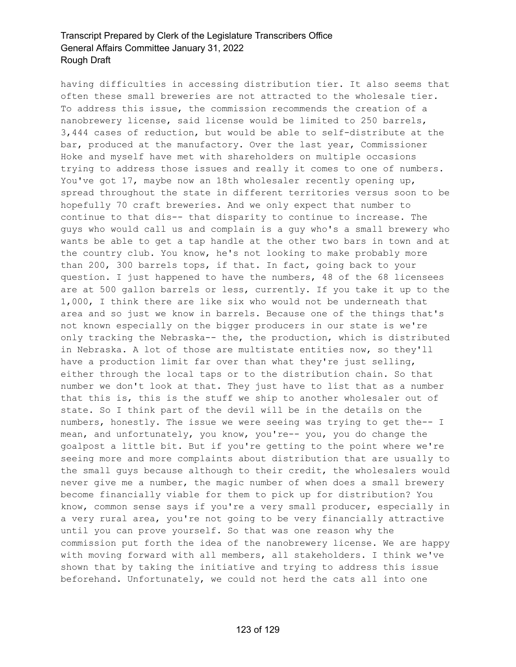having difficulties in accessing distribution tier. It also seems that often these small breweries are not attracted to the wholesale tier. To address this issue, the commission recommends the creation of a nanobrewery license, said license would be limited to 250 barrels, 3,444 cases of reduction, but would be able to self-distribute at the bar, produced at the manufactory. Over the last year, Commissioner Hoke and myself have met with shareholders on multiple occasions trying to address those issues and really it comes to one of numbers. You've got 17, maybe now an 18th wholesaler recently opening up, spread throughout the state in different territories versus soon to be hopefully 70 craft breweries. And we only expect that number to continue to that dis-- that disparity to continue to increase. The guys who would call us and complain is a guy who's a small brewery who wants be able to get a tap handle at the other two bars in town and at the country club. You know, he's not looking to make probably more than 200, 300 barrels tops, if that. In fact, going back to your question. I just happened to have the numbers, 48 of the 68 licensees are at 500 gallon barrels or less, currently. If you take it up to the 1,000, I think there are like six who would not be underneath that area and so just we know in barrels. Because one of the things that's not known especially on the bigger producers in our state is we're only tracking the Nebraska-- the, the production, which is distributed in Nebraska. A lot of those are multistate entities now, so they'll have a production limit far over than what they're just selling, either through the local taps or to the distribution chain. So that number we don't look at that. They just have to list that as a number that this is, this is the stuff we ship to another wholesaler out of state. So I think part of the devil will be in the details on the numbers, honestly. The issue we were seeing was trying to get the-- I mean, and unfortunately, you know, you're-- you, you do change the goalpost a little bit. But if you're getting to the point where we're seeing more and more complaints about distribution that are usually to the small guys because although to their credit, the wholesalers would never give me a number, the magic number of when does a small brewery become financially viable for them to pick up for distribution? You know, common sense says if you're a very small producer, especially in a very rural area, you're not going to be very financially attractive until you can prove yourself. So that was one reason why the commission put forth the idea of the nanobrewery license. We are happy with moving forward with all members, all stakeholders. I think we've shown that by taking the initiative and trying to address this issue beforehand. Unfortunately, we could not herd the cats all into one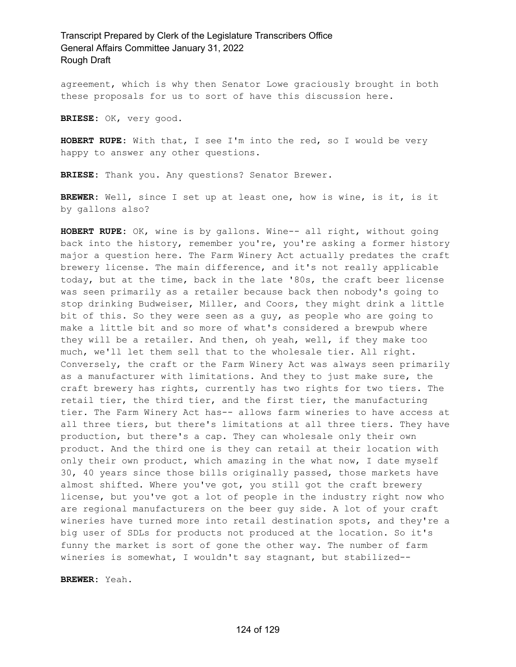agreement, which is why then Senator Lowe graciously brought in both these proposals for us to sort of have this discussion here.

**BRIESE:** OK, very good.

**HOBERT RUPE:** With that, I see I'm into the red, so I would be very happy to answer any other questions.

**BRIESE:** Thank you. Any questions? Senator Brewer.

**BREWER:** Well, since I set up at least one, how is wine, is it, is it by gallons also?

**HOBERT RUPE:** OK, wine is by gallons. Wine-- all right, without going back into the history, remember you're, you're asking a former history major a question here. The Farm Winery Act actually predates the craft brewery license. The main difference, and it's not really applicable today, but at the time, back in the late '80s, the craft beer license was seen primarily as a retailer because back then nobody's going to stop drinking Budweiser, Miller, and Coors, they might drink a little bit of this. So they were seen as a guy, as people who are going to make a little bit and so more of what's considered a brewpub where they will be a retailer. And then, oh yeah, well, if they make too much, we'll let them sell that to the wholesale tier. All right. Conversely, the craft or the Farm Winery Act was always seen primarily as a manufacturer with limitations. And they to just make sure, the craft brewery has rights, currently has two rights for two tiers. The retail tier, the third tier, and the first tier, the manufacturing tier. The Farm Winery Act has-- allows farm wineries to have access at all three tiers, but there's limitations at all three tiers. They have production, but there's a cap. They can wholesale only their own product. And the third one is they can retail at their location with only their own product, which amazing in the what now, I date myself 30, 40 years since those bills originally passed, those markets have almost shifted. Where you've got, you still got the craft brewery license, but you've got a lot of people in the industry right now who are regional manufacturers on the beer guy side. A lot of your craft wineries have turned more into retail destination spots, and they're a big user of SDLs for products not produced at the location. So it's funny the market is sort of gone the other way. The number of farm wineries is somewhat, I wouldn't say stagnant, but stabilized--

**BREWER:** Yeah.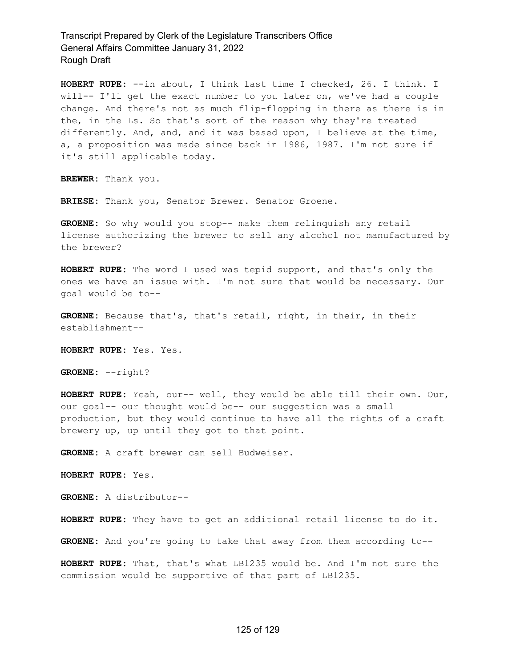**HOBERT RUPE:** --in about, I think last time I checked, 26. I think. I will-- I'll get the exact number to you later on, we've had a couple change. And there's not as much flip-flopping in there as there is in the, in the Ls. So that's sort of the reason why they're treated differently. And, and, and it was based upon, I believe at the time, a, a proposition was made since back in 1986, 1987. I'm not sure if it's still applicable today.

**BREWER:** Thank you.

**BRIESE:** Thank you, Senator Brewer. Senator Groene.

**GROENE:** So why would you stop-- make them relinquish any retail license authorizing the brewer to sell any alcohol not manufactured by the brewer?

**HOBERT RUPE:** The word I used was tepid support, and that's only the ones we have an issue with. I'm not sure that would be necessary. Our goal would be to--

**GROENE:** Because that's, that's retail, right, in their, in their establishment--

**HOBERT RUPE:** Yes. Yes.

**GROENE:** --right?

**HOBERT RUPE:** Yeah, our-- well, they would be able till their own. Our, our goal-- our thought would be-- our suggestion was a small production, but they would continue to have all the rights of a craft brewery up, up until they got to that point.

**GROENE:** A craft brewer can sell Budweiser.

**HOBERT RUPE:** Yes.

**GROENE:** A distributor--

**HOBERT RUPE:** They have to get an additional retail license to do it.

**GROENE:** And you're going to take that away from them according to--

**HOBERT RUPE:** That, that's what LB1235 would be. And I'm not sure the commission would be supportive of that part of LB1235.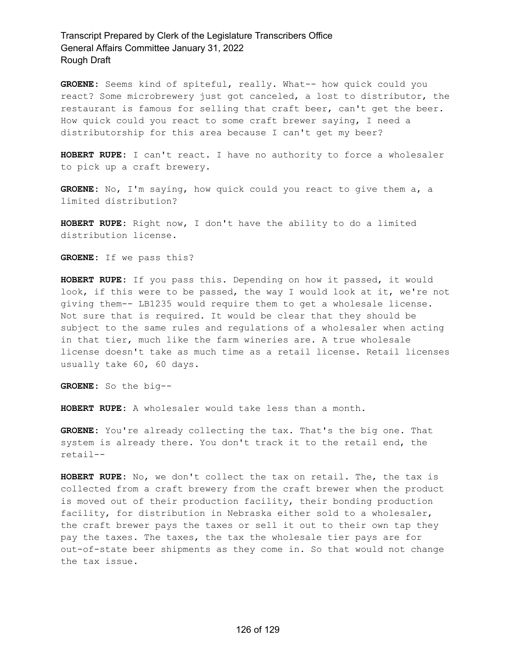**GROENE:** Seems kind of spiteful, really. What-- how quick could you react? Some microbrewery just got canceled, a lost to distributor, the restaurant is famous for selling that craft beer, can't get the beer. How quick could you react to some craft brewer saying, I need a distributorship for this area because I can't get my beer?

**HOBERT RUPE:** I can't react. I have no authority to force a wholesaler to pick up a craft brewery.

**GROENE:** No, I'm saying, how quick could you react to give them a, a limited distribution?

**HOBERT RUPE:** Right now, I don't have the ability to do a limited distribution license.

**GROENE:** If we pass this?

**HOBERT RUPE:** If you pass this. Depending on how it passed, it would look, if this were to be passed, the way I would look at it, we're not giving them-- LB1235 would require them to get a wholesale license. Not sure that is required. It would be clear that they should be subject to the same rules and regulations of a wholesaler when acting in that tier, much like the farm wineries are. A true wholesale license doesn't take as much time as a retail license. Retail licenses usually take 60, 60 days.

**GROENE:** So the big--

**HOBERT RUPE:** A wholesaler would take less than a month.

**GROENE:** You're already collecting the tax. That's the big one. That system is already there. You don't track it to the retail end, the retail--

**HOBERT RUPE:** No, we don't collect the tax on retail. The, the tax is collected from a craft brewery from the craft brewer when the product is moved out of their production facility, their bonding production facility, for distribution in Nebraska either sold to a wholesaler, the craft brewer pays the taxes or sell it out to their own tap they pay the taxes. The taxes, the tax the wholesale tier pays are for out-of-state beer shipments as they come in. So that would not change the tax issue.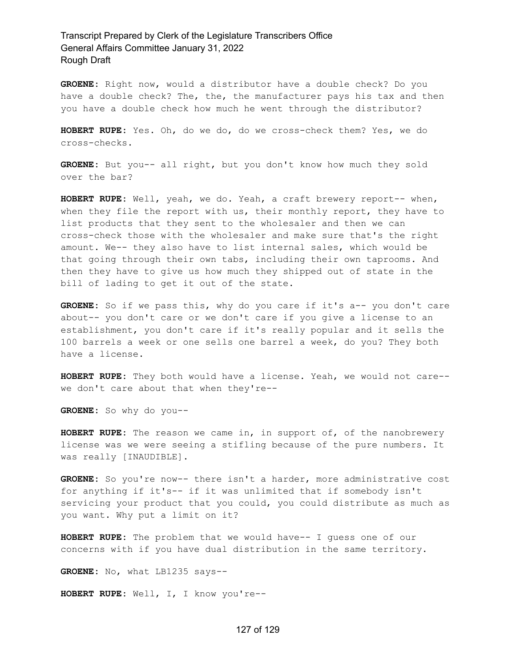**GROENE:** Right now, would a distributor have a double check? Do you have a double check? The, the, the manufacturer pays his tax and then you have a double check how much he went through the distributor?

**HOBERT RUPE:** Yes. Oh, do we do, do we cross-check them? Yes, we do cross-checks.

**GROENE:** But you-- all right, but you don't know how much they sold over the bar?

**HOBERT RUPE:** Well, yeah, we do. Yeah, a craft brewery report-- when, when they file the report with us, their monthly report, they have to list products that they sent to the wholesaler and then we can cross-check those with the wholesaler and make sure that's the right amount. We-- they also have to list internal sales, which would be that going through their own tabs, including their own taprooms. And then they have to give us how much they shipped out of state in the bill of lading to get it out of the state.

GROENE: So if we pass this, why do you care if it's a-- you don't care about-- you don't care or we don't care if you give a license to an establishment, you don't care if it's really popular and it sells the 100 barrels a week or one sells one barrel a week, do you? They both have a license.

**HOBERT RUPE:** They both would have a license. Yeah, we would not care- we don't care about that when they're--

**GROENE:** So why do you--

**HOBERT RUPE:** The reason we came in, in support of, of the nanobrewery license was we were seeing a stifling because of the pure numbers. It was really [INAUDIBLE].

**GROENE:** So you're now-- there isn't a harder, more administrative cost for anything if it's-- if it was unlimited that if somebody isn't servicing your product that you could, you could distribute as much as you want. Why put a limit on it?

**HOBERT RUPE:** The problem that we would have-- I guess one of our concerns with if you have dual distribution in the same territory.

**GROENE:** No, what LB1235 says--

**HOBERT RUPE:** Well, I, I know you're--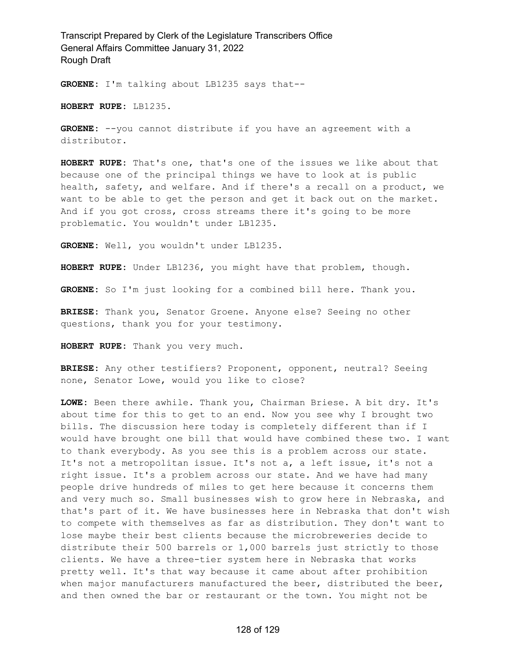**GROENE:** I'm talking about LB1235 says that--

**HOBERT RUPE:** LB1235.

**GROENE:** --you cannot distribute if you have an agreement with a distributor.

**HOBERT RUPE:** That's one, that's one of the issues we like about that because one of the principal things we have to look at is public health, safety, and welfare. And if there's a recall on a product, we want to be able to get the person and get it back out on the market. And if you got cross, cross streams there it's going to be more problematic. You wouldn't under LB1235.

**GROENE:** Well, you wouldn't under LB1235.

**HOBERT RUPE:** Under LB1236, you might have that problem, though.

**GROENE:** So I'm just looking for a combined bill here. Thank you.

**BRIESE:** Thank you, Senator Groene. Anyone else? Seeing no other questions, thank you for your testimony.

**HOBERT RUPE:** Thank you very much.

**BRIESE:** Any other testifiers? Proponent, opponent, neutral? Seeing none, Senator Lowe, would you like to close?

**LOWE:** Been there awhile. Thank you, Chairman Briese. A bit dry. It's about time for this to get to an end. Now you see why I brought two bills. The discussion here today is completely different than if I would have brought one bill that would have combined these two. I want to thank everybody. As you see this is a problem across our state. It's not a metropolitan issue. It's not a, a left issue, it's not a right issue. It's a problem across our state. And we have had many people drive hundreds of miles to get here because it concerns them and very much so. Small businesses wish to grow here in Nebraska, and that's part of it. We have businesses here in Nebraska that don't wish to compete with themselves as far as distribution. They don't want to lose maybe their best clients because the microbreweries decide to distribute their 500 barrels or 1,000 barrels just strictly to those clients. We have a three-tier system here in Nebraska that works pretty well. It's that way because it came about after prohibition when major manufacturers manufactured the beer, distributed the beer, and then owned the bar or restaurant or the town. You might not be